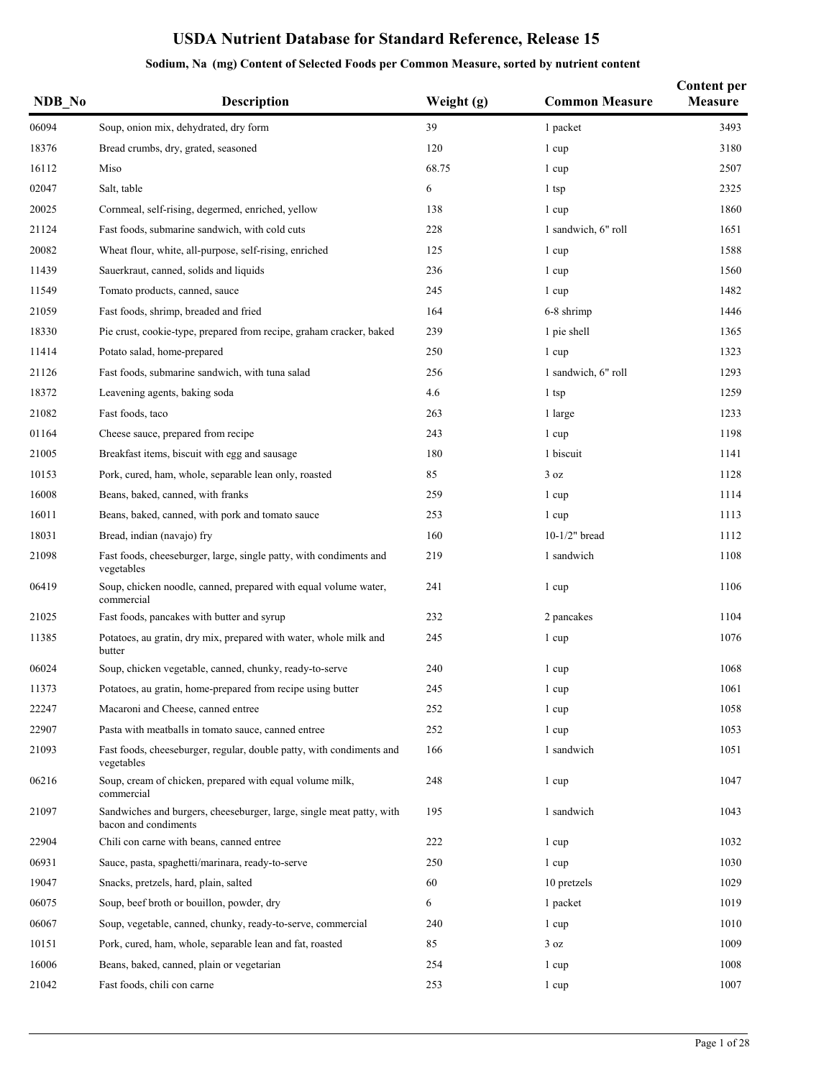| NDB_No | Description                                                                                  | Weight (g) | <b>Common Measure</b> | <b>Content per</b><br>Measure |
|--------|----------------------------------------------------------------------------------------------|------------|-----------------------|-------------------------------|
| 06094  | Soup, onion mix, dehydrated, dry form                                                        | 39         | 1 packet              | 3493                          |
| 18376  | Bread crumbs, dry, grated, seasoned                                                          | 120        | 1 cup                 | 3180                          |
| 16112  | Miso                                                                                         | 68.75      | 1 cup                 | 2507                          |
| 02047  | Salt, table                                                                                  | 6          | 1 tsp                 | 2325                          |
| 20025  | Cornmeal, self-rising, degermed, enriched, yellow                                            | 138        | 1 cup                 | 1860                          |
| 21124  | Fast foods, submarine sandwich, with cold cuts                                               | 228        | 1 sandwich, 6" roll   | 1651                          |
| 20082  | Wheat flour, white, all-purpose, self-rising, enriched                                       | 125        | 1 cup                 | 1588                          |
| 11439  | Sauerkraut, canned, solids and liquids                                                       | 236        | 1 cup                 | 1560                          |
| 11549  | Tomato products, canned, sauce                                                               | 245        | 1 cup                 | 1482                          |
| 21059  | Fast foods, shrimp, breaded and fried                                                        | 164        | 6-8 shrimp            | 1446                          |
| 18330  | Pie crust, cookie-type, prepared from recipe, graham cracker, baked                          | 239        | 1 pie shell           | 1365                          |
| 11414  | Potato salad, home-prepared                                                                  | 250        | 1 cup                 | 1323                          |
| 21126  | Fast foods, submarine sandwich, with tuna salad                                              | 256        | 1 sandwich, 6" roll   | 1293                          |
| 18372  | Leavening agents, baking soda                                                                | 4.6        | 1 tsp                 | 1259                          |
| 21082  | Fast foods, taco                                                                             | 263        | 1 large               | 1233                          |
| 01164  | Cheese sauce, prepared from recipe                                                           | 243        | 1 cup                 | 1198                          |
| 21005  | Breakfast items, biscuit with egg and sausage                                                | 180        | 1 biscuit             | 1141                          |
| 10153  | Pork, cured, ham, whole, separable lean only, roasted                                        | 85         | 3 oz                  | 1128                          |
| 16008  | Beans, baked, canned, with franks                                                            | 259        | 1 cup                 | 1114                          |
| 16011  | Beans, baked, canned, with pork and tomato sauce                                             | 253        | 1 cup                 | 1113                          |
| 18031  | Bread, indian (navajo) fry                                                                   | 160        | $10-1/2"$ bread       | 1112                          |
| 21098  | Fast foods, cheeseburger, large, single patty, with condiments and<br>vegetables             | 219        | 1 sandwich            | 1108                          |
| 06419  | Soup, chicken noodle, canned, prepared with equal volume water,<br>commercial                | 241        | 1 cup                 | 1106                          |
| 21025  | Fast foods, pancakes with butter and syrup                                                   | 232        | 2 pancakes            | 1104                          |
| 11385  | Potatoes, au gratin, dry mix, prepared with water, whole milk and<br>butter                  | 245        | 1 cup                 | 1076                          |
| 06024  | Soup, chicken vegetable, canned, chunky, ready-to-serve                                      | 240        | 1 cup                 | 1068                          |
| 11373  | Potatoes, au gratin, home-prepared from recipe using butter                                  | 245        | 1 cup                 | 1061                          |
| 22247  | Macaroni and Cheese, canned entree                                                           | 252        | 1 cup                 | 1058                          |
| 22907  | Pasta with meatballs in tomato sauce, canned entree                                          | 252        | 1 cup                 | 1053                          |
| 21093  | Fast foods, cheeseburger, regular, double patty, with condiments and<br>vegetables           | 166        | 1 sandwich            | 1051                          |
| 06216  | Soup, cream of chicken, prepared with equal volume milk,<br>commercial                       | 248        | 1 cup                 | 1047                          |
| 21097  | Sandwiches and burgers, cheeseburger, large, single meat patty, with<br>bacon and condiments | 195        | 1 sandwich            | 1043                          |
| 22904  | Chili con carne with beans, canned entree                                                    | 222        | 1 cup                 | 1032                          |
| 06931  | Sauce, pasta, spaghetti/marinara, ready-to-serve                                             | 250        | 1 cup                 | 1030                          |
| 19047  | Snacks, pretzels, hard, plain, salted                                                        | 60         | 10 pretzels           | 1029                          |
| 06075  | Soup, beef broth or bouillon, powder, dry                                                    | 6          | 1 packet              | 1019                          |
| 06067  | Soup, vegetable, canned, chunky, ready-to-serve, commercial                                  | 240        | 1 cup                 | 1010                          |
| 10151  | Pork, cured, ham, whole, separable lean and fat, roasted                                     | 85         | 3 oz                  | 1009                          |
| 16006  | Beans, baked, canned, plain or vegetarian                                                    | 254        | 1 cup                 | 1008                          |
| 21042  | Fast foods, chili con carne                                                                  | 253        | 1 cup                 | 1007                          |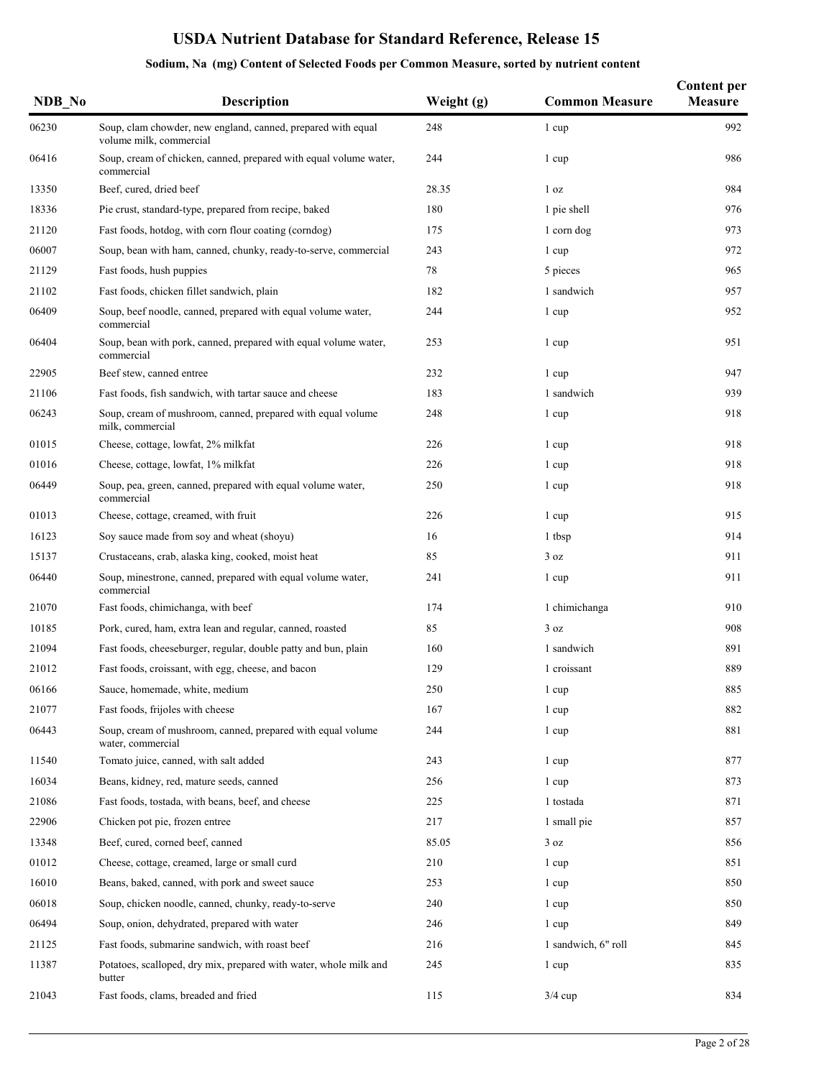| NDB No | <b>Description</b>                                                                      | Weight (g) | <b>Common Measure</b> | <b>Content per</b><br>Measure |
|--------|-----------------------------------------------------------------------------------------|------------|-----------------------|-------------------------------|
| 06230  | Soup, clam chowder, new england, canned, prepared with equal<br>volume milk, commercial | 248        | 1 cup                 | 992                           |
| 06416  | Soup, cream of chicken, canned, prepared with equal volume water,<br>commercial         | 244        | 1 cup                 | 986                           |
| 13350  | Beef, cured, dried beef                                                                 | 28.35      | 1 <sub>oz</sub>       | 984                           |
| 18336  | Pie crust, standard-type, prepared from recipe, baked                                   | 180        | 1 pie shell           | 976                           |
| 21120  | Fast foods, hotdog, with corn flour coating (corndog)                                   | 175        | 1 corn dog            | 973                           |
| 06007  | Soup, bean with ham, canned, chunky, ready-to-serve, commercial                         | 243        | 1 cup                 | 972                           |
| 21129  | Fast foods, hush puppies                                                                | 78         | 5 pieces              | 965                           |
| 21102  | Fast foods, chicken fillet sandwich, plain                                              | 182        | 1 sandwich            | 957                           |
| 06409  | Soup, beef noodle, canned, prepared with equal volume water,<br>commercial              | 244        | 1 cup                 | 952                           |
| 06404  | Soup, bean with pork, canned, prepared with equal volume water,<br>commercial           | 253        | 1 cup                 | 951                           |
| 22905  | Beef stew, canned entree                                                                | 232        | 1 cup                 | 947                           |
| 21106  | Fast foods, fish sandwich, with tartar sauce and cheese                                 | 183        | 1 sandwich            | 939                           |
| 06243  | Soup, cream of mushroom, canned, prepared with equal volume<br>milk, commercial         | 248        | 1 cup                 | 918                           |
| 01015  | Cheese, cottage, lowfat, 2% milkfat                                                     | 226        | 1 cup                 | 918                           |
| 01016  | Cheese, cottage, lowfat, 1% milkfat                                                     | 226        | 1 cup                 | 918                           |
| 06449  | Soup, pea, green, canned, prepared with equal volume water,<br>commercial               | 250        | 1 cup                 | 918                           |
| 01013  | Cheese, cottage, creamed, with fruit                                                    | 226        | 1 cup                 | 915                           |
| 16123  | Soy sauce made from soy and wheat (shoyu)                                               | 16         | 1 tbsp                | 914                           |
| 15137  | Crustaceans, crab, alaska king, cooked, moist heat                                      | 85         | 3 oz                  | 911                           |
| 06440  | Soup, minestrone, canned, prepared with equal volume water,<br>commercial               | 241        | 1 cup                 | 911                           |
| 21070  | Fast foods, chimichanga, with beef                                                      | 174        | 1 chimichanga         | 910                           |
| 10185  | Pork, cured, ham, extra lean and regular, canned, roasted                               | 85         | 3 oz                  | 908                           |
| 21094  | Fast foods, cheeseburger, regular, double patty and bun, plain                          | 160        | 1 sandwich            | 891                           |
| 21012  | Fast foods, croissant, with egg, cheese, and bacon                                      | 129        | 1 croissant           | 889                           |
| 06166  | Sauce, homemade, white, medium                                                          | 250        | 1 cup                 | 885                           |
| 21077  | Fast foods, frijoles with cheese                                                        | 167        | 1 cup                 | 882                           |
| 06443  | Soup, cream of mushroom, canned, prepared with equal volume<br>water, commercial        | 244        | 1 cup                 | 881                           |
| 11540  | Tomato juice, canned, with salt added                                                   | 243        | 1 cup                 | 877                           |
| 16034  | Beans, kidney, red, mature seeds, canned                                                | 256        | 1 cup                 | 873                           |
| 21086  | Fast foods, tostada, with beans, beef, and cheese                                       | 225        | 1 tostada             | 871                           |
| 22906  | Chicken pot pie, frozen entree                                                          | 217        | 1 small pie           | 857                           |
| 13348  | Beef, cured, corned beef, canned                                                        | 85.05      | 3 oz                  | 856                           |
| 01012  | Cheese, cottage, creamed, large or small curd                                           | 210        | 1 cup                 | 851                           |
| 16010  | Beans, baked, canned, with pork and sweet sauce                                         | 253        | 1 cup                 | 850                           |
| 06018  | Soup, chicken noodle, canned, chunky, ready-to-serve                                    | 240        | 1 cup                 | 850                           |
| 06494  | Soup, onion, dehydrated, prepared with water                                            | 246        | 1 cup                 | 849                           |
| 21125  | Fast foods, submarine sandwich, with roast beef                                         | 216        | 1 sandwich, 6" roll   | 845                           |
| 11387  | Potatoes, scalloped, dry mix, prepared with water, whole milk and<br>butter             | 245        | 1 cup                 | 835                           |
| 21043  | Fast foods, clams, breaded and fried                                                    | 115        | $3/4$ cup             | 834                           |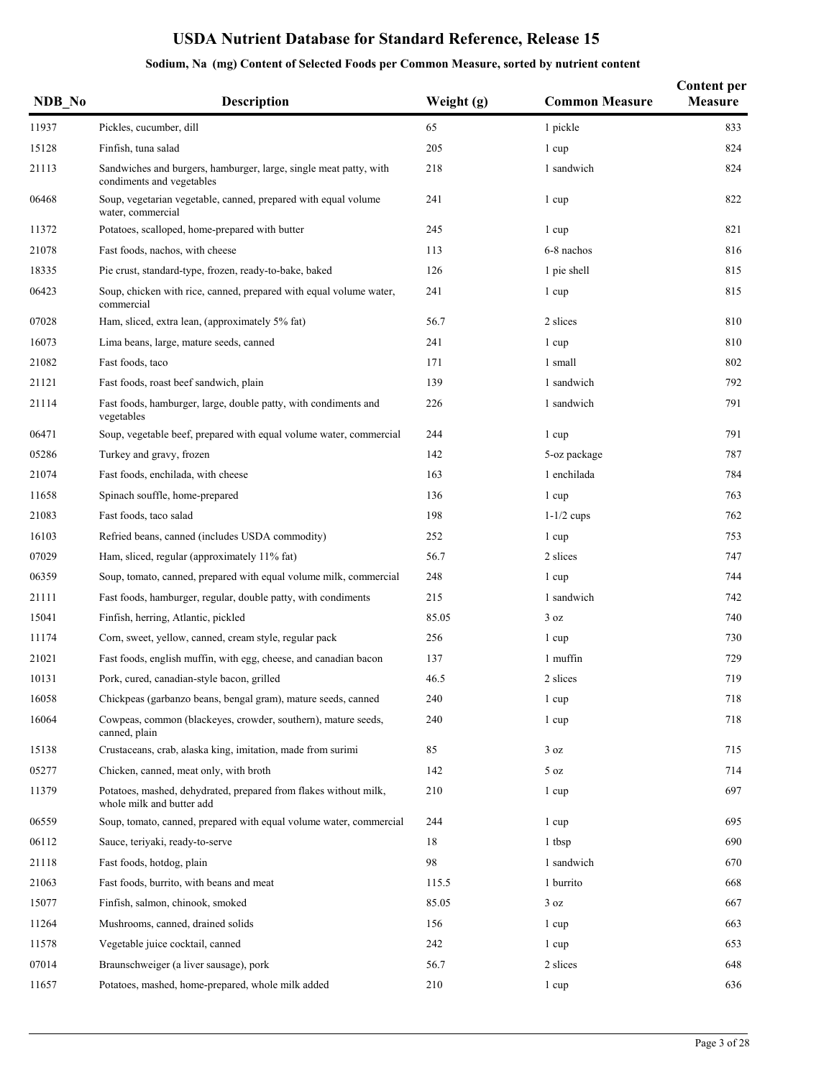| NDB No | <b>Description</b>                                                                             | Weight (g) | <b>Common Measure</b> | <b>Content per</b><br>Measure |
|--------|------------------------------------------------------------------------------------------------|------------|-----------------------|-------------------------------|
| 11937  | Pickles, cucumber, dill                                                                        | 65         | 1 pickle              | 833                           |
| 15128  | Finfish, tuna salad                                                                            | 205        | 1 cup                 | 824                           |
| 21113  | Sandwiches and burgers, hamburger, large, single meat patty, with<br>condiments and vegetables | 218        | 1 sandwich            | 824                           |
| 06468  | Soup, vegetarian vegetable, canned, prepared with equal volume<br>water, commercial            | 241        | 1 cup                 | 822                           |
| 11372  | Potatoes, scalloped, home-prepared with butter                                                 | 245        | 1 cup                 | 821                           |
| 21078  | Fast foods, nachos, with cheese                                                                | 113        | 6-8 nachos            | 816                           |
| 18335  | Pie crust, standard-type, frozen, ready-to-bake, baked                                         | 126        | 1 pie shell           | 815                           |
| 06423  | Soup, chicken with rice, canned, prepared with equal volume water,<br>commercial               | 241        | 1 cup                 | 815                           |
| 07028  | Ham, sliced, extra lean, (approximately 5% fat)                                                | 56.7       | 2 slices              | 810                           |
| 16073  | Lima beans, large, mature seeds, canned                                                        | 241        | 1 cup                 | 810                           |
| 21082  | Fast foods, taco                                                                               | 171        | 1 small               | 802                           |
| 21121  | Fast foods, roast beef sandwich, plain                                                         | 139        | 1 sandwich            | 792                           |
| 21114  | Fast foods, hamburger, large, double patty, with condiments and<br>vegetables                  | 226        | 1 sandwich            | 791                           |
| 06471  | Soup, vegetable beef, prepared with equal volume water, commercial                             | 244        | 1 cup                 | 791                           |
| 05286  | Turkey and gravy, frozen                                                                       | 142        | 5-oz package          | 787                           |
| 21074  | Fast foods, enchilada, with cheese                                                             | 163        | 1 enchilada           | 784                           |
| 11658  | Spinach souffle, home-prepared                                                                 | 136        | 1 cup                 | 763                           |
| 21083  | Fast foods, taco salad                                                                         | 198        | $1-1/2$ cups          | 762                           |
| 16103  | Refried beans, canned (includes USDA commodity)                                                | 252        | 1 cup                 | 753                           |
| 07029  | Ham, sliced, regular (approximately 11% fat)                                                   | 56.7       | 2 slices              | 747                           |
| 06359  | Soup, tomato, canned, prepared with equal volume milk, commercial                              | 248        | 1 cup                 | 744                           |
| 21111  | Fast foods, hamburger, regular, double patty, with condiments                                  | 215        | 1 sandwich            | 742                           |
| 15041  | Finfish, herring, Atlantic, pickled                                                            | 85.05      | 3 oz                  | 740                           |
| 11174  | Corn, sweet, yellow, canned, cream style, regular pack                                         | 256        | 1 cup                 | 730                           |
| 21021  | Fast foods, english muffin, with egg, cheese, and canadian bacon                               | 137        | 1 muffin              | 729                           |
| 10131  | Pork, cured, canadian-style bacon, grilled                                                     | 46.5       | 2 slices              | 719                           |
| 16058  | Chickpeas (garbanzo beans, bengal gram), mature seeds, canned                                  | 240        | 1 cup                 | 718                           |
| 16064  | Cowpeas, common (blackeyes, crowder, southern), mature seeds,<br>canned, plain                 | 240        | 1 cup                 | 718                           |
| 15138  | Crustaceans, crab, alaska king, imitation, made from surimi                                    | 85         | 3 oz                  | 715                           |
| 05277  | Chicken, canned, meat only, with broth                                                         | 142        | 5 oz                  | 714                           |
| 11379  | Potatoes, mashed, dehydrated, prepared from flakes without milk,<br>whole milk and butter add  | 210        | 1 cup                 | 697                           |
| 06559  | Soup, tomato, canned, prepared with equal volume water, commercial                             | 244        | 1 cup                 | 695                           |
| 06112  | Sauce, teriyaki, ready-to-serve                                                                | 18         | 1 tbsp                | 690                           |
| 21118  | Fast foods, hotdog, plain                                                                      | 98         | 1 sandwich            | 670                           |
| 21063  | Fast foods, burrito, with beans and meat                                                       | 115.5      | 1 burrito             | 668                           |
| 15077  | Finfish, salmon, chinook, smoked                                                               | 85.05      | 3 oz                  | 667                           |
| 11264  | Mushrooms, canned, drained solids                                                              | 156        | 1 cup                 | 663                           |
| 11578  | Vegetable juice cocktail, canned                                                               | 242        | 1 cup                 | 653                           |
| 07014  | Braunschweiger (a liver sausage), pork                                                         | 56.7       | 2 slices              | 648                           |
| 11657  | Potatoes, mashed, home-prepared, whole milk added                                              | 210        | 1 cup                 | 636                           |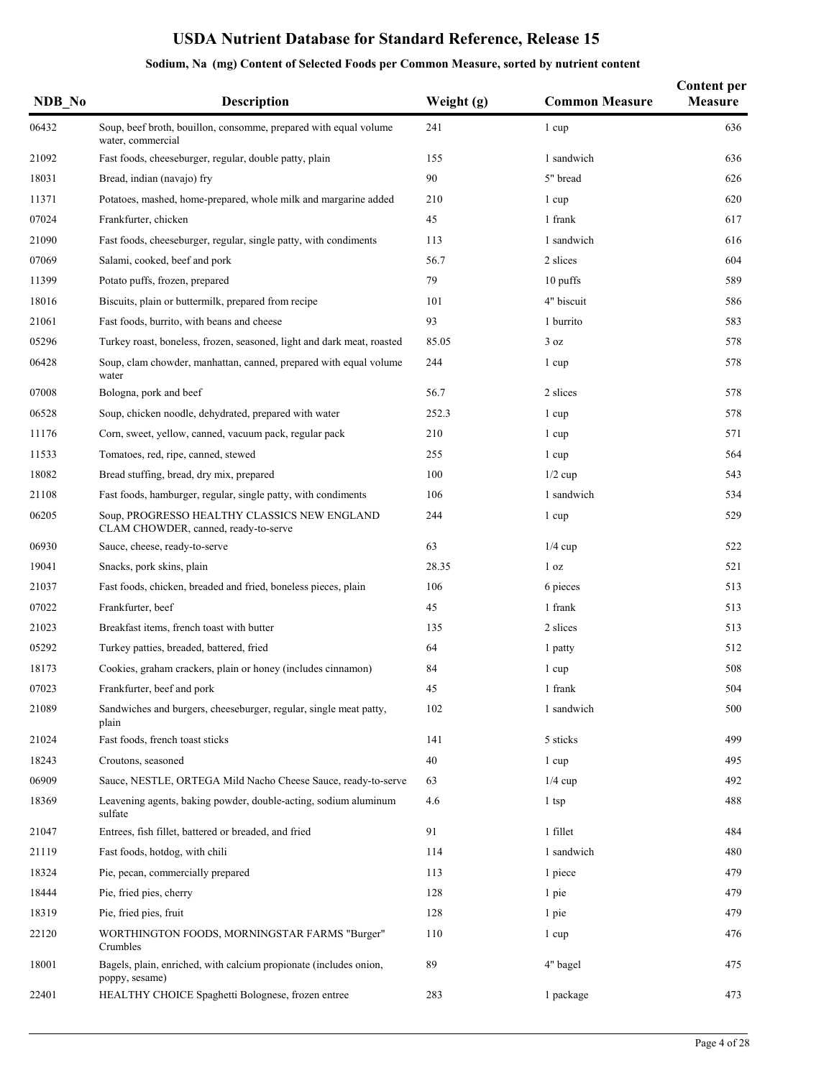| NDB No | <b>Description</b>                                                                    | Weight (g) | <b>Common Measure</b> | <b>Content per</b><br><b>Measure</b> |
|--------|---------------------------------------------------------------------------------------|------------|-----------------------|--------------------------------------|
| 06432  | Soup, beef broth, bouillon, consomme, prepared with equal volume<br>water, commercial | 241        | 1 cup                 | 636                                  |
| 21092  | Fast foods, cheeseburger, regular, double patty, plain                                | 155        | 1 sandwich            | 636                                  |
| 18031  | Bread, indian (navajo) fry                                                            | 90         | 5" bread              | 626                                  |
| 11371  | Potatoes, mashed, home-prepared, whole milk and margarine added                       | 210        | 1 cup                 | 620                                  |
| 07024  | Frankfurter, chicken                                                                  | 45         | 1 frank               | 617                                  |
| 21090  | Fast foods, cheeseburger, regular, single patty, with condiments                      | 113        | 1 sandwich            | 616                                  |
| 07069  | Salami, cooked, beef and pork                                                         | 56.7       | 2 slices              | 604                                  |
| 11399  | Potato puffs, frozen, prepared                                                        | 79         | 10 puffs              | 589                                  |
| 18016  | Biscuits, plain or buttermilk, prepared from recipe                                   | 101        | 4" biscuit            | 586                                  |
| 21061  | Fast foods, burrito, with beans and cheese                                            | 93         | 1 burrito             | 583                                  |
| 05296  | Turkey roast, boneless, frozen, seasoned, light and dark meat, roasted                | 85.05      | 3 oz                  | 578                                  |
| 06428  | Soup, clam chowder, manhattan, canned, prepared with equal volume<br>water            | 244        | 1 cup                 | 578                                  |
| 07008  | Bologna, pork and beef                                                                | 56.7       | 2 slices              | 578                                  |
| 06528  | Soup, chicken noodle, dehydrated, prepared with water                                 | 252.3      | 1 cup                 | 578                                  |
| 11176  | Corn, sweet, yellow, canned, vacuum pack, regular pack                                | 210        | 1 cup                 | 571                                  |
| 11533  | Tomatoes, red, ripe, canned, stewed                                                   | 255        | 1 cup                 | 564                                  |
| 18082  | Bread stuffing, bread, dry mix, prepared                                              | 100        | $1/2$ cup             | 543                                  |
| 21108  | Fast foods, hamburger, regular, single patty, with condiments                         | 106        | 1 sandwich            | 534                                  |
| 06205  | Soup, PROGRESSO HEALTHY CLASSICS NEW ENGLAND<br>CLAM CHOWDER, canned, ready-to-serve  | 244        | 1 cup                 | 529                                  |
| 06930  | Sauce, cheese, ready-to-serve                                                         | 63         | $1/4$ cup             | 522                                  |
| 19041  | Snacks, pork skins, plain                                                             | 28.35      | 1 <sub>oz</sub>       | 521                                  |
| 21037  | Fast foods, chicken, breaded and fried, boneless pieces, plain                        | 106        | 6 pieces              | 513                                  |
| 07022  | Frankfurter, beef                                                                     | 45         | 1 frank               | 513                                  |
| 21023  | Breakfast items, french toast with butter                                             | 135        | 2 slices              | 513                                  |
| 05292  | Turkey patties, breaded, battered, fried                                              | 64         | 1 patty               | 512                                  |
| 18173  | Cookies, graham crackers, plain or honey (includes cinnamon)                          | 84         | 1 cup                 | 508                                  |
| 07023  | Frankfurter, beef and pork                                                            | 45         | 1 frank               | 504                                  |
| 21089  | Sandwiches and burgers, cheeseburger, regular, single meat patty,<br>plain            | 102        | 1 sandwich            | 500                                  |
| 21024  | Fast foods, french toast sticks                                                       | 141        | 5 sticks              | 499                                  |
| 18243  | Croutons, seasoned                                                                    | 40         | 1 cup                 | 495                                  |
| 06909  | Sauce, NESTLE, ORTEGA Mild Nacho Cheese Sauce, ready-to-serve                         | 63         | $1/4$ cup             | 492                                  |
| 18369  | Leavening agents, baking powder, double-acting, sodium aluminum<br>sulfate            | 4.6        | 1 tsp                 | 488                                  |
| 21047  | Entrees, fish fillet, battered or breaded, and fried                                  | 91         | 1 fillet              | 484                                  |
| 21119  | Fast foods, hotdog, with chili                                                        | 114        | 1 sandwich            | 480                                  |
| 18324  | Pie, pecan, commercially prepared                                                     | 113        | 1 piece               | 479                                  |
| 18444  | Pie, fried pies, cherry                                                               | 128        | 1 pie                 | 479                                  |
| 18319  | Pie, fried pies, fruit                                                                | 128        | 1 pie                 | 479                                  |
| 22120  | WORTHINGTON FOODS, MORNINGSTAR FARMS "Burger"<br>Crumbles                             | 110        | 1 cup                 | 476                                  |
| 18001  | Bagels, plain, enriched, with calcium propionate (includes onion,<br>poppy, sesame)   | 89         | 4" bagel              | 475                                  |
| 22401  | HEALTHY CHOICE Spaghetti Bolognese, frozen entree                                     | 283        | 1 package             | 473                                  |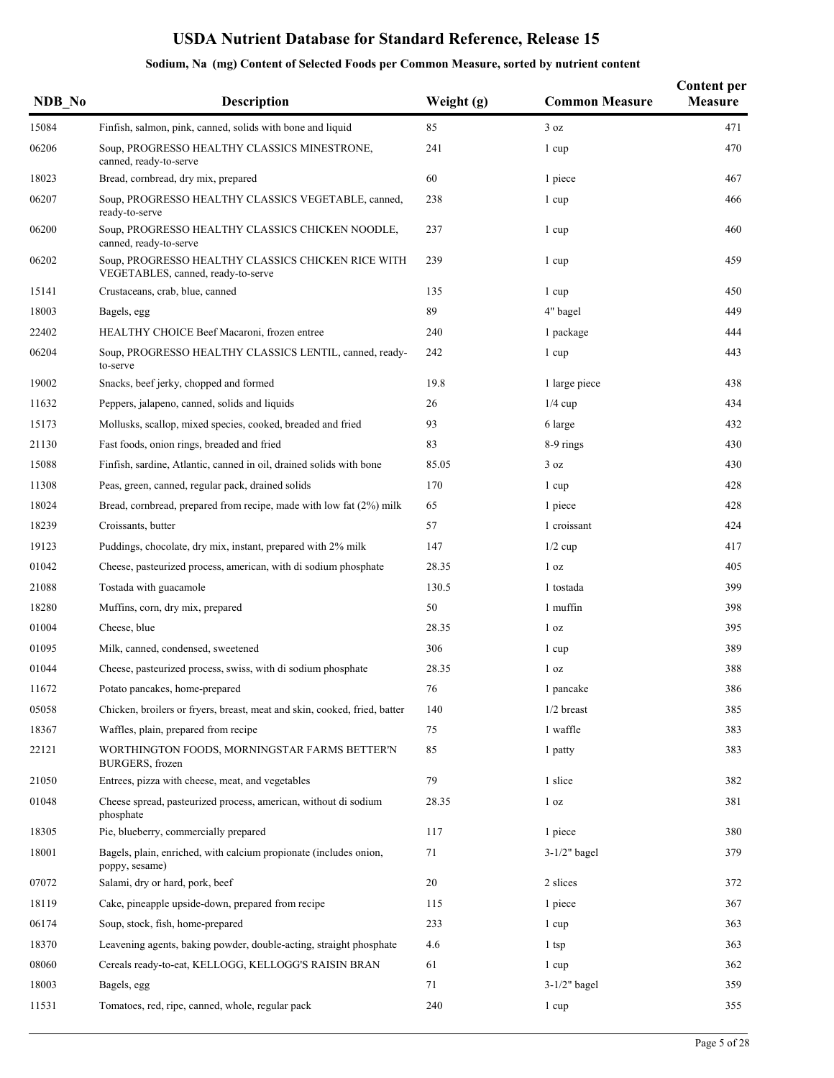| NDB No | <b>Description</b>                                                                       | Weight (g) | <b>Common Measure</b> | <b>Content per</b><br><b>Measure</b> |
|--------|------------------------------------------------------------------------------------------|------------|-----------------------|--------------------------------------|
| 15084  | Finfish, salmon, pink, canned, solids with bone and liquid                               | 85         | 3 oz                  | 471                                  |
| 06206  | Soup, PROGRESSO HEALTHY CLASSICS MINESTRONE,<br>canned, ready-to-serve                   | 241        | 1 cup                 | 470                                  |
| 18023  | Bread, cornbread, dry mix, prepared                                                      | 60         | 1 piece               | 467                                  |
| 06207  | Soup, PROGRESSO HEALTHY CLASSICS VEGETABLE, canned,<br>ready-to-serve                    | 238        | 1 cup                 | 466                                  |
| 06200  | Soup, PROGRESSO HEALTHY CLASSICS CHICKEN NOODLE,<br>canned, ready-to-serve               | 237        | 1 cup                 | 460                                  |
| 06202  | Soup, PROGRESSO HEALTHY CLASSICS CHICKEN RICE WITH<br>VEGETABLES, canned, ready-to-serve | 239        | 1 cup                 | 459                                  |
| 15141  | Crustaceans, crab, blue, canned                                                          | 135        | 1 cup                 | 450                                  |
| 18003  | Bagels, egg                                                                              | 89         | 4" bagel              | 449                                  |
| 22402  | HEALTHY CHOICE Beef Macaroni, frozen entree                                              | 240        | 1 package             | 444                                  |
| 06204  | Soup, PROGRESSO HEALTHY CLASSICS LENTIL, canned, ready-<br>to-serve                      | 242        | 1 cup                 | 443                                  |
| 19002  | Snacks, beef jerky, chopped and formed                                                   | 19.8       | 1 large piece         | 438                                  |
| 11632  | Peppers, jalapeno, canned, solids and liquids                                            | 26         | $1/4$ cup             | 434                                  |
| 15173  | Mollusks, scallop, mixed species, cooked, breaded and fried                              | 93         | 6 large               | 432                                  |
| 21130  | Fast foods, onion rings, breaded and fried                                               | 83         | 8-9 rings             | 430                                  |
| 15088  | Finfish, sardine, Atlantic, canned in oil, drained solids with bone                      | 85.05      | 3 oz                  | 430                                  |
| 11308  | Peas, green, canned, regular pack, drained solids                                        | 170        | 1 cup                 | 428                                  |
| 18024  | Bread, cornbread, prepared from recipe, made with low fat (2%) milk                      | 65         | 1 piece               | 428                                  |
| 18239  | Croissants, butter                                                                       | 57         | 1 croissant           | 424                                  |
| 19123  | Puddings, chocolate, dry mix, instant, prepared with 2% milk                             | 147        | $1/2$ cup             | 417                                  |
| 01042  | Cheese, pasteurized process, american, with di sodium phosphate                          | 28.35      | 1 <sub>oz</sub>       | 405                                  |
| 21088  | Tostada with guacamole                                                                   | 130.5      | 1 tostada             | 399                                  |
| 18280  | Muffins, corn, dry mix, prepared                                                         | 50         | 1 muffin              | 398                                  |
| 01004  | Cheese, blue                                                                             | 28.35      | 1 <sub>oz</sub>       | 395                                  |
| 01095  | Milk, canned, condensed, sweetened                                                       | 306        | 1 cup                 | 389                                  |
| 01044  | Cheese, pasteurized process, swiss, with di sodium phosphate                             | 28.35      | 1 <sub>oz</sub>       | 388                                  |
| 11672  | Potato pancakes, home-prepared                                                           | 76         | 1 pancake             | 386                                  |
| 05058  | Chicken, broilers or fryers, breast, meat and skin, cooked, fried, batter                | 140        | $1/2$ breast          | 385                                  |
| 18367  | Waffles, plain, prepared from recipe                                                     | 75         | 1 waffle              | 383                                  |
| 22121  | WORTHINGTON FOODS, MORNINGSTAR FARMS BETTER'N<br>BURGERS, frozen                         | 85         | 1 patty               | 383                                  |
| 21050  | Entrees, pizza with cheese, meat, and vegetables                                         | 79         | 1 slice               | 382                                  |
| 01048  | Cheese spread, pasteurized process, american, without di sodium<br>phosphate             | 28.35      | 1 <sub>oz</sub>       | 381                                  |
| 18305  | Pie, blueberry, commercially prepared                                                    | 117        | 1 piece               | 380                                  |
| 18001  | Bagels, plain, enriched, with calcium propionate (includes onion,<br>poppy, sesame)      | 71         | $3-1/2"$ bagel        | 379                                  |
| 07072  | Salami, dry or hard, pork, beef                                                          | 20         | 2 slices              | 372                                  |
| 18119  | Cake, pineapple upside-down, prepared from recipe                                        | 115        | 1 piece               | 367                                  |
| 06174  | Soup, stock, fish, home-prepared                                                         | 233        | 1 cup                 | 363                                  |
| 18370  | Leavening agents, baking powder, double-acting, straight phosphate                       | 4.6        | 1 tsp                 | 363                                  |
| 08060  | Cereals ready-to-eat, KELLOGG, KELLOGG'S RAISIN BRAN                                     | 61         | 1 cup                 | 362                                  |
| 18003  | Bagels, egg                                                                              | 71         | $3-1/2"$ bagel        | 359                                  |
| 11531  | Tomatoes, red, ripe, canned, whole, regular pack                                         | 240        | 1 cup                 | 355                                  |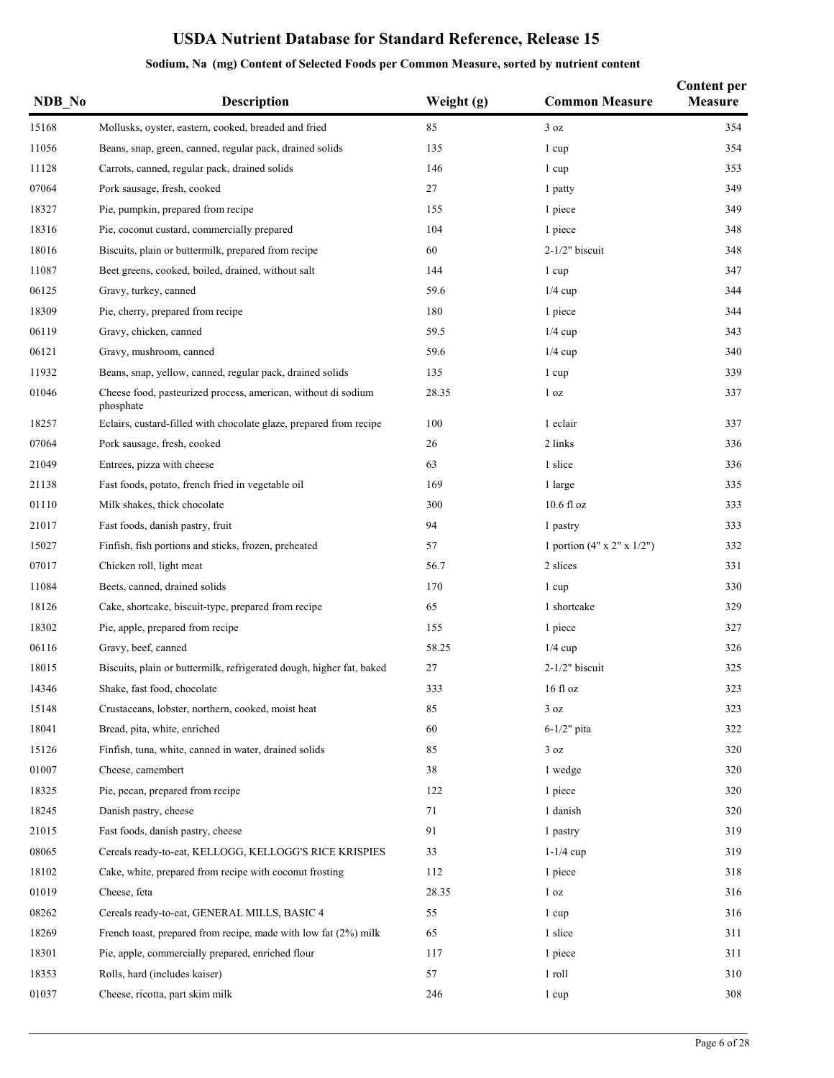|  |  |  |  |  | Sodium, Na (mg) Content of Selected Foods per Common Measure, sorted by nutrient content |
|--|--|--|--|--|------------------------------------------------------------------------------------------|
|--|--|--|--|--|------------------------------------------------------------------------------------------|

| NDB No | <b>Description</b>                                                         | Weight (g) | <b>Common Measure</b>                  | <b>Content per</b><br><b>Measure</b> |
|--------|----------------------------------------------------------------------------|------------|----------------------------------------|--------------------------------------|
| 15168  | Mollusks, oyster, eastern, cooked, breaded and fried                       | 85         | 3 oz                                   | 354                                  |
| 11056  | Beans, snap, green, canned, regular pack, drained solids                   | 135        | 1 cup                                  | 354                                  |
| 11128  | Carrots, canned, regular pack, drained solids                              | 146        | 1 cup                                  | 353                                  |
| 07064  | Pork sausage, fresh, cooked                                                | 27         | 1 patty                                | 349                                  |
| 18327  | Pie, pumpkin, prepared from recipe                                         | 155        | 1 piece                                | 349                                  |
| 18316  | Pie, coconut custard, commercially prepared                                | 104        | 1 piece                                | 348                                  |
| 18016  | Biscuits, plain or buttermilk, prepared from recipe                        | 60         | $2-1/2"$ biscuit                       | 348                                  |
| 11087  | Beet greens, cooked, boiled, drained, without salt                         | 144        | 1 cup                                  | 347                                  |
| 06125  | Gravy, turkey, canned                                                      | 59.6       | $1/4$ cup                              | 344                                  |
| 18309  | Pie, cherry, prepared from recipe                                          | 180        | 1 piece                                | 344                                  |
| 06119  | Gravy, chicken, canned                                                     | 59.5       | $1/4$ cup                              | 343                                  |
| 06121  | Gravy, mushroom, canned                                                    | 59.6       | $1/4$ cup                              | 340                                  |
| 11932  | Beans, snap, yellow, canned, regular pack, drained solids                  | 135        | 1 cup                                  | 339                                  |
| 01046  | Cheese food, pasteurized process, american, without di sodium<br>phosphate | 28.35      | 1 <sub>oz</sub>                        | 337                                  |
| 18257  | Eclairs, custard-filled with chocolate glaze, prepared from recipe         | 100        | 1 eclair                               | 337                                  |
| 07064  | Pork sausage, fresh, cooked                                                | 26         | 2 links                                | 336                                  |
| 21049  | Entrees, pizza with cheese                                                 | 63         | 1 slice                                | 336                                  |
| 21138  | Fast foods, potato, french fried in vegetable oil                          | 169        | 1 large                                | 335                                  |
| 01110  | Milk shakes, thick chocolate                                               | 300        | $10.6 \text{ fl oz}$                   | 333                                  |
| 21017  | Fast foods, danish pastry, fruit                                           | 94         | 1 pastry                               | 333                                  |
| 15027  | Finfish, fish portions and sticks, frozen, preheated                       | 57         | 1 portion $(4" \times 2" \times 1/2")$ | 332                                  |
| 07017  | Chicken roll, light meat                                                   | 56.7       | 2 slices                               | 331                                  |
| 11084  | Beets, canned, drained solids                                              | 170        | 1 cup                                  | 330                                  |
| 18126  | Cake, shortcake, biscuit-type, prepared from recipe                        | 65         | 1 shortcake                            | 329                                  |
| 18302  | Pie, apple, prepared from recipe                                           | 155        | 1 piece                                | 327                                  |
| 06116  | Gravy, beef, canned                                                        | 58.25      | $1/4$ cup                              | 326                                  |
| 18015  | Biscuits, plain or buttermilk, refrigerated dough, higher fat, baked       | 27         | $2-1/2"$ biscuit                       | 325                                  |
| 14346  | Shake, fast food, chocolate                                                | 333        | $16f$ l oz                             | 323                                  |
| 15148  | Crustaceans, lobster, northern, cooked, moist heat                         | 85         | 3 oz                                   | 323                                  |
| 18041  | Bread, pita, white, enriched                                               | 60         | $6-1/2$ " pita                         | 322                                  |
| 15126  | Finfish, tuna, white, canned in water, drained solids                      | 85         | 3 oz                                   | 320                                  |
| 01007  | Cheese, camembert                                                          | 38         | 1 wedge                                | 320                                  |
| 18325  | Pie, pecan, prepared from recipe                                           | 122        | 1 piece                                | 320                                  |
| 18245  | Danish pastry, cheese                                                      | 71         | 1 danish                               | 320                                  |
| 21015  | Fast foods, danish pastry, cheese                                          | 91         | 1 pastry                               | 319                                  |
| 08065  | Cereals ready-to-eat, KELLOGG, KELLOGG'S RICE KRISPIES                     | 33         | $1-1/4$ cup                            | 319                                  |
| 18102  | Cake, white, prepared from recipe with coconut frosting                    | 112        | 1 piece                                | 318                                  |
| 01019  | Cheese, feta                                                               | 28.35      | 1 <sub>oz</sub>                        | 316                                  |
| 08262  | Cereals ready-to-eat, GENERAL MILLS, BASIC 4                               | 55         | 1 cup                                  | 316                                  |
| 18269  | French toast, prepared from recipe, made with low fat (2%) milk            | 65         | 1 slice                                | 311                                  |
| 18301  | Pie, apple, commercially prepared, enriched flour                          | 117        | 1 piece                                | 311                                  |
| 18353  | Rolls, hard (includes kaiser)                                              | 57         | 1 roll                                 | 310                                  |
| 01037  | Cheese, ricotta, part skim milk                                            | 246        | 1 cup                                  | 308                                  |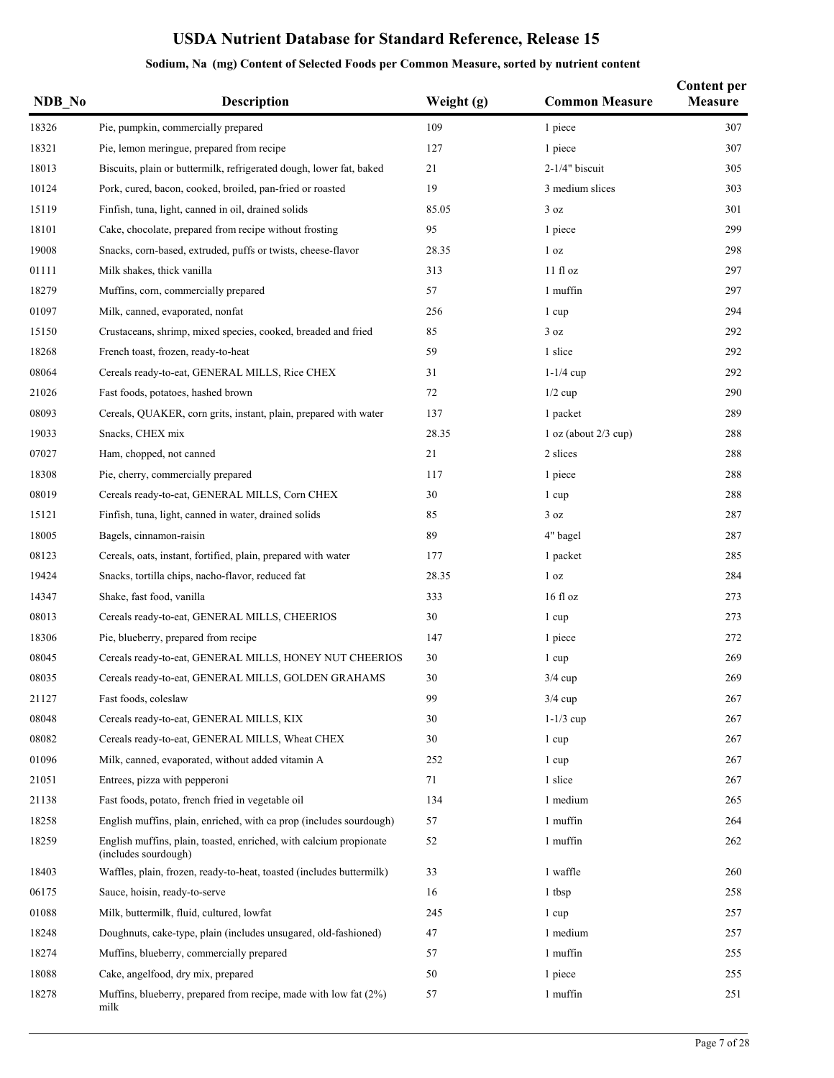| NDB_No | <b>Description</b>                                                                         | Weight (g) | <b>Common Measure</b>    | <b>Content per</b><br>Measure |
|--------|--------------------------------------------------------------------------------------------|------------|--------------------------|-------------------------------|
| 18326  | Pie, pumpkin, commercially prepared                                                        | 109        | 1 piece                  | 307                           |
| 18321  | Pie, lemon meringue, prepared from recipe                                                  | 127        | 1 piece                  | 307                           |
| 18013  | Biscuits, plain or buttermilk, refrigerated dough, lower fat, baked                        | 21         | $2-1/4"$ biscuit         | 305                           |
| 10124  | Pork, cured, bacon, cooked, broiled, pan-fried or roasted                                  | 19         | 3 medium slices          | 303                           |
| 15119  | Finfish, tuna, light, canned in oil, drained solids                                        | 85.05      | 3 oz                     | 301                           |
| 18101  | Cake, chocolate, prepared from recipe without frosting                                     | 95         | 1 piece                  | 299                           |
| 19008  | Snacks, corn-based, extruded, puffs or twists, cheese-flavor                               | 28.35      | 1 <sub>oz</sub>          | 298                           |
| 01111  | Milk shakes, thick vanilla                                                                 | 313        | 11f1oz                   | 297                           |
| 18279  | Muffins, corn, commercially prepared                                                       | 57         | 1 muffin                 | 297                           |
| 01097  | Milk, canned, evaporated, nonfat                                                           | 256        | 1 cup                    | 294                           |
| 15150  | Crustaceans, shrimp, mixed species, cooked, breaded and fried                              | 85         | 3 oz                     | 292                           |
| 18268  | French toast, frozen, ready-to-heat                                                        | 59         | 1 slice                  | 292                           |
| 08064  | Cereals ready-to-eat, GENERAL MILLS, Rice CHEX                                             | 31         | $1-1/4$ cup              | 292                           |
| 21026  | Fast foods, potatoes, hashed brown                                                         | 72         | $1/2$ cup                | 290                           |
| 08093  | Cereals, QUAKER, corn grits, instant, plain, prepared with water                           | 137        | 1 packet                 | 289                           |
| 19033  | Snacks, CHEX mix                                                                           | 28.35      | $1$ oz (about $2/3$ cup) | 288                           |
| 07027  | Ham, chopped, not canned                                                                   | 21         | 2 slices                 | 288                           |
| 18308  | Pie, cherry, commercially prepared                                                         | 117        | 1 piece                  | 288                           |
| 08019  | Cereals ready-to-eat, GENERAL MILLS, Corn CHEX                                             | 30         | 1 cup                    | 288                           |
| 15121  | Finfish, tuna, light, canned in water, drained solids                                      | 85         | 3 oz                     | 287                           |
| 18005  | Bagels, cinnamon-raisin                                                                    | 89         | 4" bagel                 | 287                           |
| 08123  | Cereals, oats, instant, fortified, plain, prepared with water                              | 177        | 1 packet                 | 285                           |
| 19424  | Snacks, tortilla chips, nacho-flavor, reduced fat                                          | 28.35      | 1 <sub>oz</sub>          | 284                           |
| 14347  | Shake, fast food, vanilla                                                                  | 333        | $16f$ l oz               | 273                           |
| 08013  | Cereals ready-to-eat, GENERAL MILLS, CHEERIOS                                              | 30         | 1 cup                    | 273                           |
| 18306  | Pie, blueberry, prepared from recipe                                                       | 147        | 1 piece                  | 272                           |
| 08045  | Cereals ready-to-eat, GENERAL MILLS, HONEY NUT CHEERIOS                                    | 30         | 1 cup                    | 269                           |
| 08035  | Cereals ready-to-eat, GENERAL MILLS, GOLDEN GRAHAMS                                        | 30         | $3/4$ cup                | 269                           |
| 21127  | Fast foods, coleslaw                                                                       | 99         | $3/4$ cup                | 267                           |
| 08048  | Cereals ready-to-eat, GENERAL MILLS, KIX                                                   | 30         | $1-1/3$ cup              | 267                           |
| 08082  | Cereals ready-to-eat, GENERAL MILLS, Wheat CHEX                                            | 30         | 1 cup                    | 267                           |
| 01096  | Milk, canned, evaporated, without added vitamin A                                          | 252        | 1 cup                    | 267                           |
| 21051  | Entrees, pizza with pepperoni                                                              | 71         | 1 slice                  | 267                           |
| 21138  | Fast foods, potato, french fried in vegetable oil                                          | 134        | 1 medium                 | 265                           |
| 18258  | English muffins, plain, enriched, with ca prop (includes sourdough)                        | 57         | 1 muffin                 | 264                           |
| 18259  | English muffins, plain, toasted, enriched, with calcium propionate<br>(includes sourdough) | 52         | 1 muffin                 | 262                           |
| 18403  | Waffles, plain, frozen, ready-to-heat, toasted (includes buttermilk)                       | 33         | 1 waffle                 | 260                           |
| 06175  | Sauce, hoisin, ready-to-serve                                                              | 16         | 1 tbsp                   | 258                           |
| 01088  | Milk, buttermilk, fluid, cultured, lowfat                                                  | 245        | 1 cup                    | 257                           |
| 18248  | Doughnuts, cake-type, plain (includes unsugared, old-fashioned)                            | 47         | 1 medium                 | 257                           |
| 18274  | Muffins, blueberry, commercially prepared                                                  | 57         | 1 muffin                 | 255                           |
| 18088  | Cake, angelfood, dry mix, prepared                                                         | 50         | 1 piece                  | 255                           |
| 18278  | Muffins, blueberry, prepared from recipe, made with low fat (2%)<br>milk                   | 57         | 1 muffin                 | 251                           |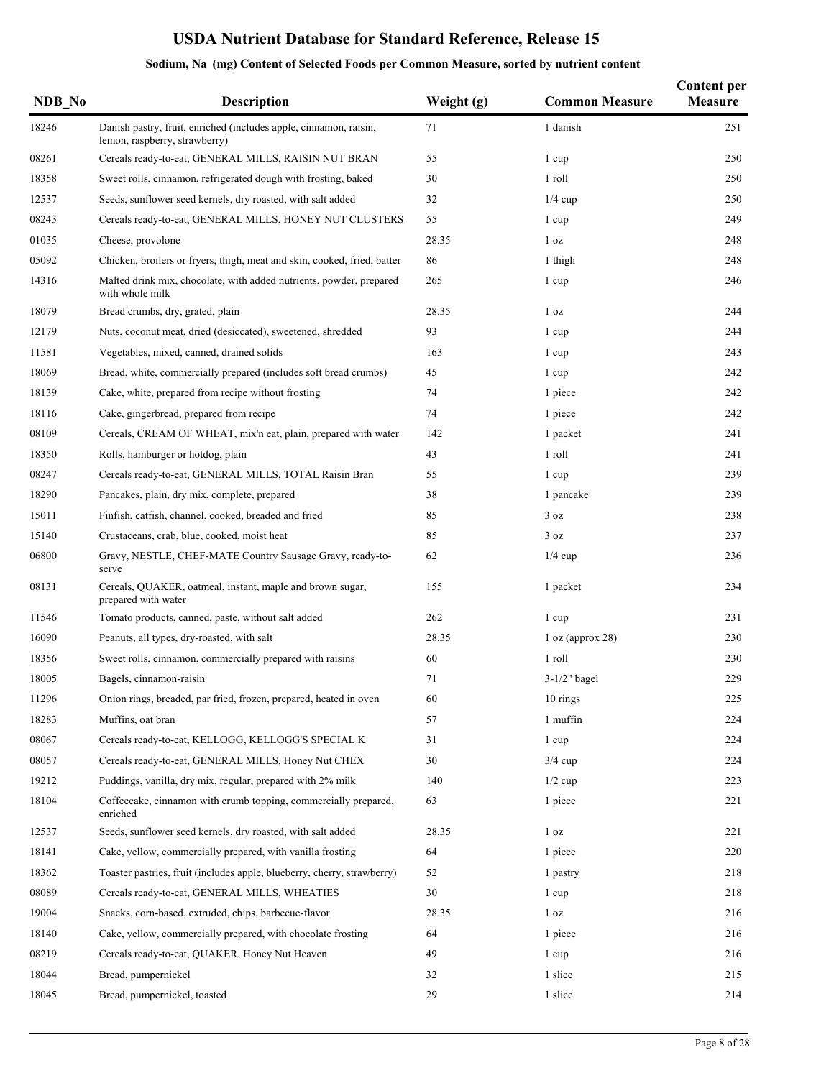| NDB No | <b>Description</b>                                                                                 | Weight (g) | <b>Common Measure</b> | <b>Content per</b><br>Measure |
|--------|----------------------------------------------------------------------------------------------------|------------|-----------------------|-------------------------------|
| 18246  | Danish pastry, fruit, enriched (includes apple, cinnamon, raisin,<br>lemon, raspberry, strawberry) | 71         | 1 danish              | 251                           |
| 08261  | Cereals ready-to-eat, GENERAL MILLS, RAISIN NUT BRAN                                               | 55         | 1 cup                 | 250                           |
| 18358  | Sweet rolls, cinnamon, refrigerated dough with frosting, baked                                     | 30         | 1 roll                | 250                           |
| 12537  | Seeds, sunflower seed kernels, dry roasted, with salt added                                        | 32         | $1/4$ cup             | 250                           |
| 08243  | Cereals ready-to-eat, GENERAL MILLS, HONEY NUT CLUSTERS                                            | 55         | 1 cup                 | 249                           |
| 01035  | Cheese, provolone                                                                                  | 28.35      | 1 <sub>oz</sub>       | 248                           |
| 05092  | Chicken, broilers or fryers, thigh, meat and skin, cooked, fried, batter                           | 86         | 1 thigh               | 248                           |
| 14316  | Malted drink mix, chocolate, with added nutrients, powder, prepared<br>with whole milk             | 265        | 1 cup                 | 246                           |
| 18079  | Bread crumbs, dry, grated, plain                                                                   | 28.35      | 1 <sub>oz</sub>       | 244                           |
| 12179  | Nuts, coconut meat, dried (desiccated), sweetened, shredded                                        | 93         | 1 cup                 | 244                           |
| 11581  | Vegetables, mixed, canned, drained solids                                                          | 163        | 1 cup                 | 243                           |
| 18069  | Bread, white, commercially prepared (includes soft bread crumbs)                                   | 45         | 1 cup                 | 242                           |
| 18139  | Cake, white, prepared from recipe without frosting                                                 | 74         | 1 piece               | 242                           |
| 18116  | Cake, gingerbread, prepared from recipe                                                            | 74         | 1 piece               | 242                           |
| 08109  | Cereals, CREAM OF WHEAT, mix'n eat, plain, prepared with water                                     | 142        | 1 packet              | 241                           |
| 18350  | Rolls, hamburger or hotdog, plain                                                                  | 43         | 1 roll                | 241                           |
| 08247  | Cereals ready-to-eat, GENERAL MILLS, TOTAL Raisin Bran                                             | 55         | 1 cup                 | 239                           |
| 18290  | Pancakes, plain, dry mix, complete, prepared                                                       | 38         | 1 pancake             | 239                           |
| 15011  | Finfish, catfish, channel, cooked, breaded and fried                                               | 85         | 3 oz                  | 238                           |
| 15140  | Crustaceans, crab, blue, cooked, moist heat                                                        | 85         | 3 oz                  | 237                           |
| 06800  | Gravy, NESTLE, CHEF-MATE Country Sausage Gravy, ready-to-<br>serve                                 | 62         | $1/4$ cup             | 236                           |
| 08131  | Cereals, QUAKER, oatmeal, instant, maple and brown sugar,<br>prepared with water                   | 155        | 1 packet              | 234                           |
| 11546  | Tomato products, canned, paste, without salt added                                                 | 262        | 1 cup                 | 231                           |
| 16090  | Peanuts, all types, dry-roasted, with salt                                                         | 28.35      | $1$ oz (approx 28)    | 230                           |
| 18356  | Sweet rolls, cinnamon, commercially prepared with raisins                                          | 60         | 1 roll                | 230                           |
| 18005  | Bagels, cinnamon-raisin                                                                            | 71         | $3-1/2"$ bagel        | 229                           |
| 11296  | Onion rings, breaded, par fried, frozen, prepared, heated in oven                                  | 60         | 10 rings              | 225                           |
| 18283  | Muffins, oat bran                                                                                  | 57         | 1 muffin              | 224                           |
| 08067  | Cereals ready-to-eat, KELLOGG, KELLOGG'S SPECIAL K                                                 | 31         | 1 cup                 | 224                           |
| 08057  | Cereals ready-to-eat, GENERAL MILLS, Honey Nut CHEX                                                | 30         | $3/4$ cup             | 224                           |
| 19212  | Puddings, vanilla, dry mix, regular, prepared with 2% milk                                         | 140        | $1/2$ cup             | 223                           |
| 18104  | Coffeecake, cinnamon with crumb topping, commercially prepared,<br>enriched                        | 63         | 1 piece               | 221                           |
| 12537  | Seeds, sunflower seed kernels, dry roasted, with salt added                                        | 28.35      | 1 <sub>oz</sub>       | 221                           |
| 18141  | Cake, yellow, commercially prepared, with vanilla frosting                                         | 64         | 1 piece               | 220                           |
| 18362  | Toaster pastries, fruit (includes apple, blueberry, cherry, strawberry)                            | 52         | 1 pastry              | 218                           |
| 08089  | Cereals ready-to-eat, GENERAL MILLS, WHEATIES                                                      | 30         | 1 cup                 | 218                           |
| 19004  | Snacks, corn-based, extruded, chips, barbecue-flavor                                               | 28.35      | 1 <sub>oz</sub>       | 216                           |
| 18140  | Cake, yellow, commercially prepared, with chocolate frosting                                       | 64         | 1 piece               | 216                           |
| 08219  | Cereals ready-to-eat, QUAKER, Honey Nut Heaven                                                     | 49         | 1 cup                 | 216                           |
| 18044  | Bread, pumpernickel                                                                                | 32         | 1 slice               | 215                           |
| 18045  | Bread, pumpernickel, toasted                                                                       | 29         | 1 slice               | 214                           |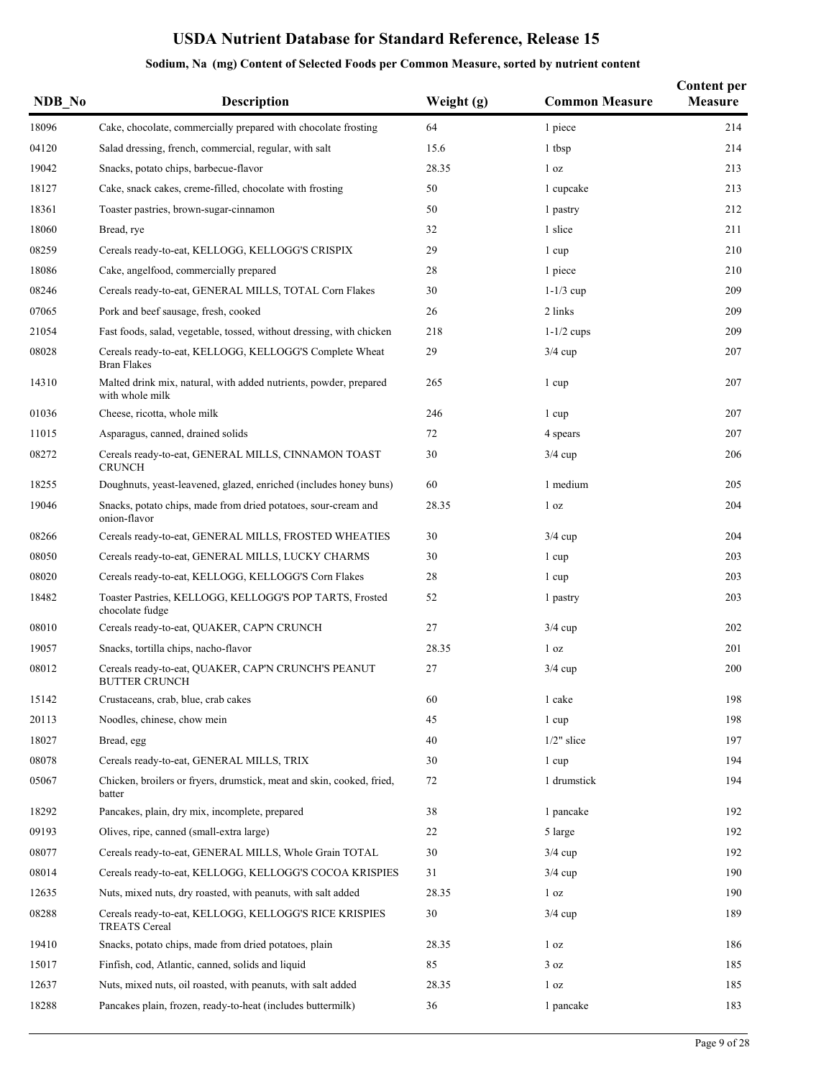| NDB No | <b>Description</b>                                                                   | Weight (g) | <b>Common Measure</b> | <b>Content per</b><br>Measure |
|--------|--------------------------------------------------------------------------------------|------------|-----------------------|-------------------------------|
| 18096  | Cake, chocolate, commercially prepared with chocolate frosting                       | 64         | 1 piece               | 214                           |
| 04120  | Salad dressing, french, commercial, regular, with salt                               | 15.6       | 1 tbsp                | 214                           |
| 19042  | Snacks, potato chips, barbecue-flavor                                                | 28.35      | 1 <sub>oz</sub>       | 213                           |
| 18127  | Cake, snack cakes, creme-filled, chocolate with frosting                             | 50         | 1 cupcake             | 213                           |
| 18361  | Toaster pastries, brown-sugar-cinnamon                                               | 50         | 1 pastry              | 212                           |
| 18060  | Bread, rye                                                                           | 32         | 1 slice               | 211                           |
| 08259  | Cereals ready-to-eat, KELLOGG, KELLOGG'S CRISPIX                                     | 29         | 1 cup                 | 210                           |
| 18086  | Cake, angelfood, commercially prepared                                               | 28         | 1 piece               | 210                           |
| 08246  | Cereals ready-to-eat, GENERAL MILLS, TOTAL Corn Flakes                               | 30         | $1-1/3$ cup           | 209                           |
| 07065  | Pork and beef sausage, fresh, cooked                                                 | 26         | 2 links               | 209                           |
| 21054  | Fast foods, salad, vegetable, tossed, without dressing, with chicken                 | 218        | $1-1/2$ cups          | 209                           |
| 08028  | Cereals ready-to-eat, KELLOGG, KELLOGG'S Complete Wheat<br><b>Bran Flakes</b>        | 29         | $3/4$ cup             | 207                           |
| 14310  | Malted drink mix, natural, with added nutrients, powder, prepared<br>with whole milk | 265        | 1 cup                 | 207                           |
| 01036  | Cheese, ricotta, whole milk                                                          | 246        | 1 cup                 | 207                           |
| 11015  | Asparagus, canned, drained solids                                                    | 72         | 4 spears              | 207                           |
| 08272  | Cereals ready-to-eat, GENERAL MILLS, CINNAMON TOAST<br><b>CRUNCH</b>                 | 30         | $3/4$ cup             | 206                           |
| 18255  | Doughnuts, yeast-leavened, glazed, enriched (includes honey buns)                    | 60         | 1 medium              | 205                           |
| 19046  | Snacks, potato chips, made from dried potatoes, sour-cream and<br>onion-flavor       | 28.35      | 1 <sub>oz</sub>       | 204                           |
| 08266  | Cereals ready-to-eat, GENERAL MILLS, FROSTED WHEATIES                                | 30         | $3/4$ cup             | 204                           |
| 08050  | Cereals ready-to-eat, GENERAL MILLS, LUCKY CHARMS                                    | 30         | 1 cup                 | 203                           |
| 08020  | Cereals ready-to-eat, KELLOGG, KELLOGG'S Corn Flakes                                 | 28         | 1 cup                 | 203                           |
| 18482  | Toaster Pastries, KELLOGG, KELLOGG'S POP TARTS, Frosted<br>chocolate fudge           | 52         | 1 pastry              | 203                           |
| 08010  | Cereals ready-to-eat, QUAKER, CAP'N CRUNCH                                           | 27         | $3/4$ cup             | 202                           |
| 19057  | Snacks, tortilla chips, nacho-flavor                                                 | 28.35      | 1 <sub>oz</sub>       | 201                           |
| 08012  | Cereals ready-to-eat, QUAKER, CAP'N CRUNCH'S PEANUT<br><b>BUTTER CRUNCH</b>          | 27         | $3/4$ cup             | 200                           |
| 15142  | Crustaceans, crab, blue, crab cakes                                                  | 60         | 1 cake                | 198                           |
| 20113  | Noodles, chinese, chow mein                                                          | 45         | 1 cup                 | 198                           |
| 18027  | Bread, egg                                                                           | 40         | $1/2$ " slice         | 197                           |
| 08078  | Cereals ready-to-eat, GENERAL MILLS, TRIX                                            | 30         | 1 cup                 | 194                           |
| 05067  | Chicken, broilers or fryers, drumstick, meat and skin, cooked, fried,<br>batter      | 72         | 1 drumstick           | 194                           |
| 18292  | Pancakes, plain, dry mix, incomplete, prepared                                       | 38         | 1 pancake             | 192                           |
| 09193  | Olives, ripe, canned (small-extra large)                                             | 22         | 5 large               | 192                           |
| 08077  | Cereals ready-to-eat, GENERAL MILLS, Whole Grain TOTAL                               | 30         | $3/4$ cup             | 192                           |
| 08014  | Cereals ready-to-eat, KELLOGG, KELLOGG'S COCOA KRISPIES                              | 31         | $3/4$ cup             | 190                           |
| 12635  | Nuts, mixed nuts, dry roasted, with peanuts, with salt added                         | 28.35      | 1 <sub>oz</sub>       | 190                           |
| 08288  | Cereals ready-to-eat, KELLOGG, KELLOGG'S RICE KRISPIES<br><b>TREATS</b> Cereal       | 30         | $3/4$ cup             | 189                           |
| 19410  | Snacks, potato chips, made from dried potatoes, plain                                | 28.35      | 1 <sub>oz</sub>       | 186                           |
| 15017  | Finfish, cod, Atlantic, canned, solids and liquid                                    | 85         | 3 oz                  | 185                           |
| 12637  | Nuts, mixed nuts, oil roasted, with peanuts, with salt added                         | 28.35      | 1 <sub>oz</sub>       | 185                           |
| 18288  | Pancakes plain, frozen, ready-to-heat (includes buttermilk)                          | 36         | 1 pancake             | 183                           |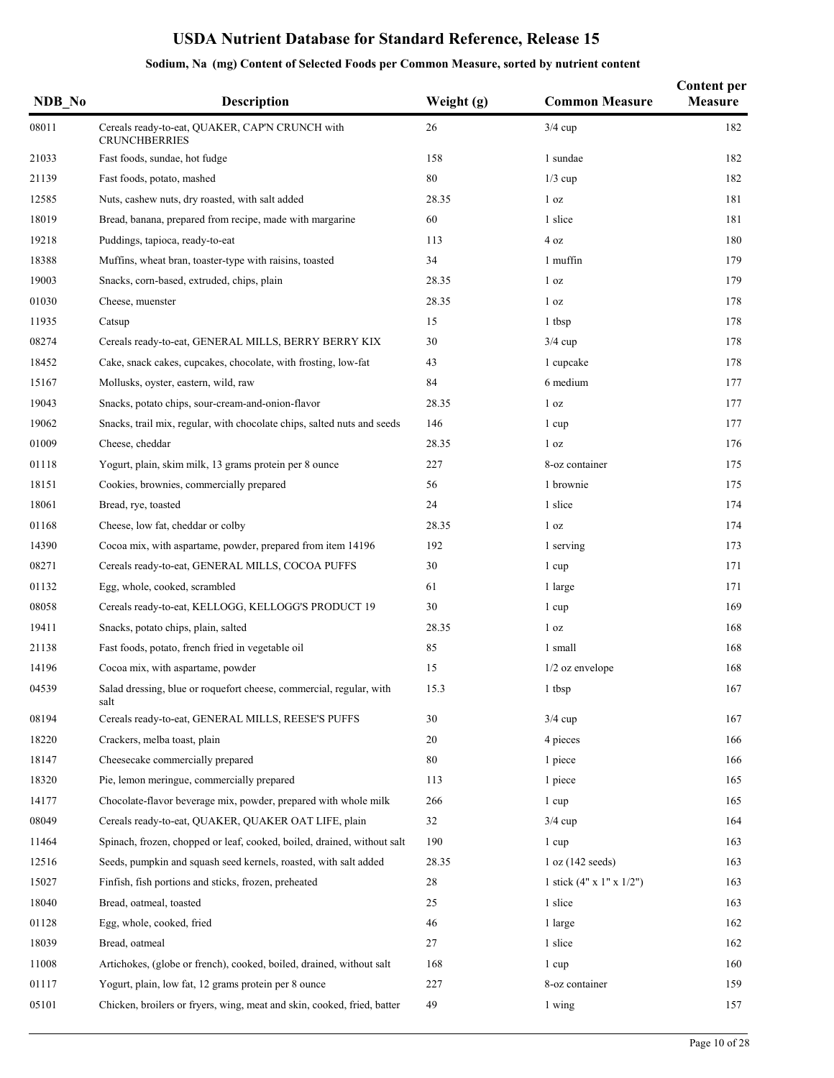| NDB_No | <b>Description</b>                                                          | Weight (g) | <b>Common Measure</b>                | <b>Content per</b><br>Measure |
|--------|-----------------------------------------------------------------------------|------------|--------------------------------------|-------------------------------|
| 08011  | Cereals ready-to-eat, QUAKER, CAP'N CRUNCH with<br><b>CRUNCHBERRIES</b>     | 26         | $3/4$ cup                            | 182                           |
| 21033  | Fast foods, sundae, hot fudge                                               | 158        | 1 sundae                             | 182                           |
| 21139  | Fast foods, potato, mashed                                                  | 80         | $1/3$ cup                            | 182                           |
| 12585  | Nuts, cashew nuts, dry roasted, with salt added                             | 28.35      | 1 <sub>oz</sub>                      | 181                           |
| 18019  | Bread, banana, prepared from recipe, made with margarine                    | 60         | 1 slice                              | 181                           |
| 19218  | Puddings, tapioca, ready-to-eat                                             | 113        | 4 oz                                 | 180                           |
| 18388  | Muffins, wheat bran, toaster-type with raisins, toasted                     | 34         | 1 muffin                             | 179                           |
| 19003  | Snacks, corn-based, extruded, chips, plain                                  | 28.35      | 1 <sub>oz</sub>                      | 179                           |
| 01030  | Cheese, muenster                                                            | 28.35      | 1 oz                                 | 178                           |
| 11935  | Catsup                                                                      | 15         | 1 tbsp                               | 178                           |
| 08274  | Cereals ready-to-eat, GENERAL MILLS, BERRY BERRY KIX                        | 30         | $3/4$ cup                            | 178                           |
| 18452  | Cake, snack cakes, cupcakes, chocolate, with frosting, low-fat              | 43         | 1 cupcake                            | 178                           |
| 15167  | Mollusks, oyster, eastern, wild, raw                                        | 84         | 6 medium                             | 177                           |
| 19043  | Snacks, potato chips, sour-cream-and-onion-flavor                           | 28.35      | 1 <sub>oz</sub>                      | 177                           |
| 19062  | Snacks, trail mix, regular, with chocolate chips, salted nuts and seeds     | 146        | 1 cup                                | 177                           |
| 01009  | Cheese, cheddar                                                             | 28.35      | 1 <sub>oz</sub>                      | 176                           |
| 01118  | Yogurt, plain, skim milk, 13 grams protein per 8 ounce                      | 227        | 8-oz container                       | 175                           |
| 18151  | Cookies, brownies, commercially prepared                                    | 56         | 1 brownie                            | 175                           |
| 18061  | Bread, rye, toasted                                                         | 24         | 1 slice                              | 174                           |
| 01168  | Cheese, low fat, cheddar or colby                                           | 28.35      | 1 <sub>oz</sub>                      | 174                           |
| 14390  | Cocoa mix, with aspartame, powder, prepared from item 14196                 | 192        | 1 serving                            | 173                           |
| 08271  | Cereals ready-to-eat, GENERAL MILLS, COCOA PUFFS                            | 30         | 1 cup                                | 171                           |
| 01132  | Egg, whole, cooked, scrambled                                               | 61         | 1 large                              | 171                           |
| 08058  | Cereals ready-to-eat, KELLOGG, KELLOGG'S PRODUCT 19                         | 30         | 1 cup                                | 169                           |
| 19411  | Snacks, potato chips, plain, salted                                         | 28.35      | 1 <sub>oz</sub>                      | 168                           |
| 21138  | Fast foods, potato, french fried in vegetable oil                           | 85         | 1 small                              | 168                           |
| 14196  | Cocoa mix, with aspartame, powder                                           | 15         | $1/2$ oz envelope                    | 168                           |
| 04539  | Salad dressing, blue or roquefort cheese, commercial, regular, with<br>salt | 15.3       | 1 tbsp                               | 167                           |
| 08194  | Cereals ready-to-eat, GENERAL MILLS, REESE'S PUFFS                          | 30         | $3/4$ cup                            | 167                           |
| 18220  | Crackers, melba toast, plain                                                | 20         | 4 pieces                             | 166                           |
| 18147  | Cheesecake commercially prepared                                            | 80         | 1 piece                              | 166                           |
| 18320  | Pie, lemon meringue, commercially prepared                                  | 113        | 1 piece                              | 165                           |
| 14177  | Chocolate-flavor beverage mix, powder, prepared with whole milk             | 266        | 1 cup                                | 165                           |
| 08049  | Cereals ready-to-eat, QUAKER, QUAKER OAT LIFE, plain                        | 32         | $3/4$ cup                            | 164                           |
| 11464  | Spinach, frozen, chopped or leaf, cooked, boiled, drained, without salt     | 190        | 1 cup                                | 163                           |
| 12516  | Seeds, pumpkin and squash seed kernels, roasted, with salt added            | 28.35      | 1 oz (142 seeds)                     | 163                           |
| 15027  | Finfish, fish portions and sticks, frozen, preheated                        | 28         | 1 stick $(4" \times 1" \times 1/2")$ | 163                           |
| 18040  | Bread, oatmeal, toasted                                                     | 25         | 1 slice                              | 163                           |
| 01128  | Egg, whole, cooked, fried                                                   | 46         | 1 large                              | 162                           |
| 18039  | Bread, oatmeal                                                              | 27         | 1 slice                              | 162                           |
| 11008  | Artichokes, (globe or french), cooked, boiled, drained, without salt        | 168        | 1 cup                                | 160                           |
| 01117  | Yogurt, plain, low fat, 12 grams protein per 8 ounce                        | 227        | 8-oz container                       | 159                           |
| 05101  | Chicken, broilers or fryers, wing, meat and skin, cooked, fried, batter     | 49         | 1 wing                               | 157                           |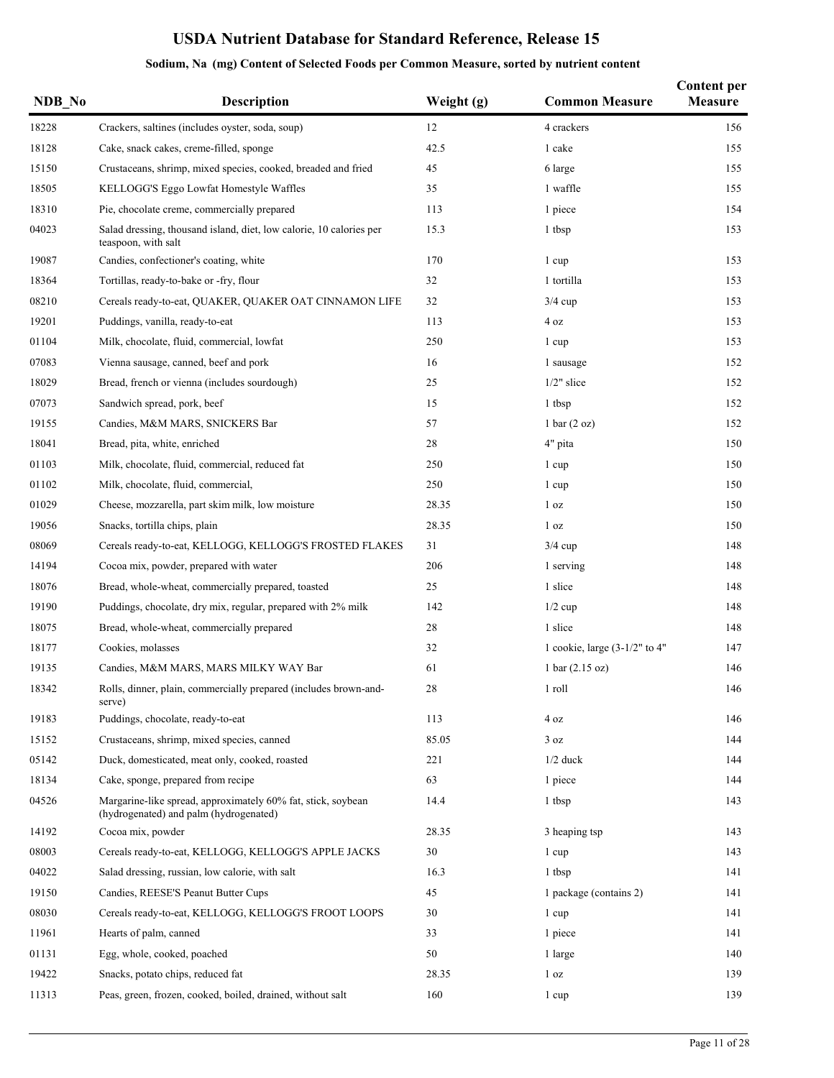| NDB_No | Description                                                                                            | Weight (g) | <b>Common Measure</b>             | <b>Content per</b><br>Measure |
|--------|--------------------------------------------------------------------------------------------------------|------------|-----------------------------------|-------------------------------|
| 18228  | Crackers, saltines (includes oyster, soda, soup)                                                       | 12         | 4 crackers                        | 156                           |
| 18128  | Cake, snack cakes, creme-filled, sponge                                                                | 42.5       | 1 cake                            | 155                           |
| 15150  | Crustaceans, shrimp, mixed species, cooked, breaded and fried                                          | 45         | 6 large                           | 155                           |
| 18505  | KELLOGG'S Eggo Lowfat Homestyle Waffles                                                                | 35         | 1 waffle                          | 155                           |
| 18310  | Pie, chocolate creme, commercially prepared                                                            | 113        | 1 piece                           | 154                           |
| 04023  | Salad dressing, thousand island, diet, low calorie, 10 calories per<br>teaspoon, with salt             | 15.3       | 1 tbsp                            | 153                           |
| 19087  | Candies, confectioner's coating, white                                                                 | 170        | 1 cup                             | 153                           |
| 18364  | Tortillas, ready-to-bake or -fry, flour                                                                | 32         | 1 tortilla                        | 153                           |
| 08210  | Cereals ready-to-eat, QUAKER, QUAKER OAT CINNAMON LIFE                                                 | 32         | $3/4$ cup                         | 153                           |
| 19201  | Puddings, vanilla, ready-to-eat                                                                        | 113        | 4 oz                              | 153                           |
| 01104  | Milk, chocolate, fluid, commercial, lowfat                                                             | 250        | 1 cup                             | 153                           |
| 07083  | Vienna sausage, canned, beef and pork                                                                  | 16         | 1 sausage                         | 152                           |
| 18029  | Bread, french or vienna (includes sourdough)                                                           | 25         | $1/2$ " slice                     | 152                           |
| 07073  | Sandwich spread, pork, beef                                                                            | 15         | 1 tbsp                            | 152                           |
| 19155  | Candies, M&M MARS, SNICKERS Bar                                                                        | 57         | $1 \text{ bar} (2 \text{ oz})$    | 152                           |
| 18041  | Bread, pita, white, enriched                                                                           | 28         | 4" pita                           | 150                           |
| 01103  | Milk, chocolate, fluid, commercial, reduced fat                                                        | 250        | 1 cup                             | 150                           |
| 01102  | Milk, chocolate, fluid, commercial,                                                                    | 250        | 1 cup                             | 150                           |
| 01029  | Cheese, mozzarella, part skim milk, low moisture                                                       | 28.35      | 1 <sub>oz</sub>                   | 150                           |
| 19056  | Snacks, tortilla chips, plain                                                                          | 28.35      | 1 <sub>oz</sub>                   | 150                           |
| 08069  | Cereals ready-to-eat, KELLOGG, KELLOGG'S FROSTED FLAKES                                                | 31         | $3/4$ cup                         | 148                           |
| 14194  | Cocoa mix, powder, prepared with water                                                                 | 206        | 1 serving                         | 148                           |
| 18076  | Bread, whole-wheat, commercially prepared, toasted                                                     | 25         | 1 slice                           | 148                           |
| 19190  | Puddings, chocolate, dry mix, regular, prepared with 2% milk                                           | 142        | $1/2$ cup                         | 148                           |
| 18075  | Bread, whole-wheat, commercially prepared                                                              | 28         | 1 slice                           | 148                           |
| 18177  | Cookies, molasses                                                                                      | 32         | 1 cookie, large $(3-1/2"$ to 4"   | 147                           |
| 19135  | Candies, M&M MARS, MARS MILKY WAY Bar                                                                  | 61         | $1 \text{ bar} (2.15 \text{ oz})$ | 146                           |
| 18342  | Rolls, dinner, plain, commercially prepared (includes brown-and-<br>serve)                             | 28         | 1 roll                            | 146                           |
| 19183  | Puddings, chocolate, ready-to-eat                                                                      | 113        | 4 oz                              | 146                           |
| 15152  | Crustaceans, shrimp, mixed species, canned                                                             | 85.05      | 3 oz                              | 144                           |
| 05142  | Duck, domesticated, meat only, cooked, roasted                                                         | 221        | $1/2$ duck                        | 144                           |
| 18134  | Cake, sponge, prepared from recipe                                                                     | 63         | 1 piece                           | 144                           |
| 04526  | Margarine-like spread, approximately 60% fat, stick, soybean<br>(hydrogenated) and palm (hydrogenated) | 14.4       | 1 tbsp                            | 143                           |
| 14192  | Cocoa mix, powder                                                                                      | 28.35      | 3 heaping tsp                     | 143                           |
| 08003  | Cereals ready-to-eat, KELLOGG, KELLOGG'S APPLE JACKS                                                   | 30         | 1 cup                             | 143                           |
| 04022  | Salad dressing, russian, low calorie, with salt                                                        | 16.3       | 1 tbsp                            | 141                           |
| 19150  | Candies, REESE'S Peanut Butter Cups                                                                    | 45         | 1 package (contains 2)            | 141                           |
| 08030  | Cereals ready-to-eat, KELLOGG, KELLOGG'S FROOT LOOPS                                                   | 30         | 1 cup                             | 141                           |
| 11961  | Hearts of palm, canned                                                                                 | 33         | 1 piece                           | 141                           |
| 01131  | Egg, whole, cooked, poached                                                                            | 50         | 1 large                           | 140                           |
| 19422  | Snacks, potato chips, reduced fat                                                                      | 28.35      | 1 <sub>oz</sub>                   | 139                           |
| 11313  | Peas, green, frozen, cooked, boiled, drained, without salt                                             | 160        | 1 cup                             | 139                           |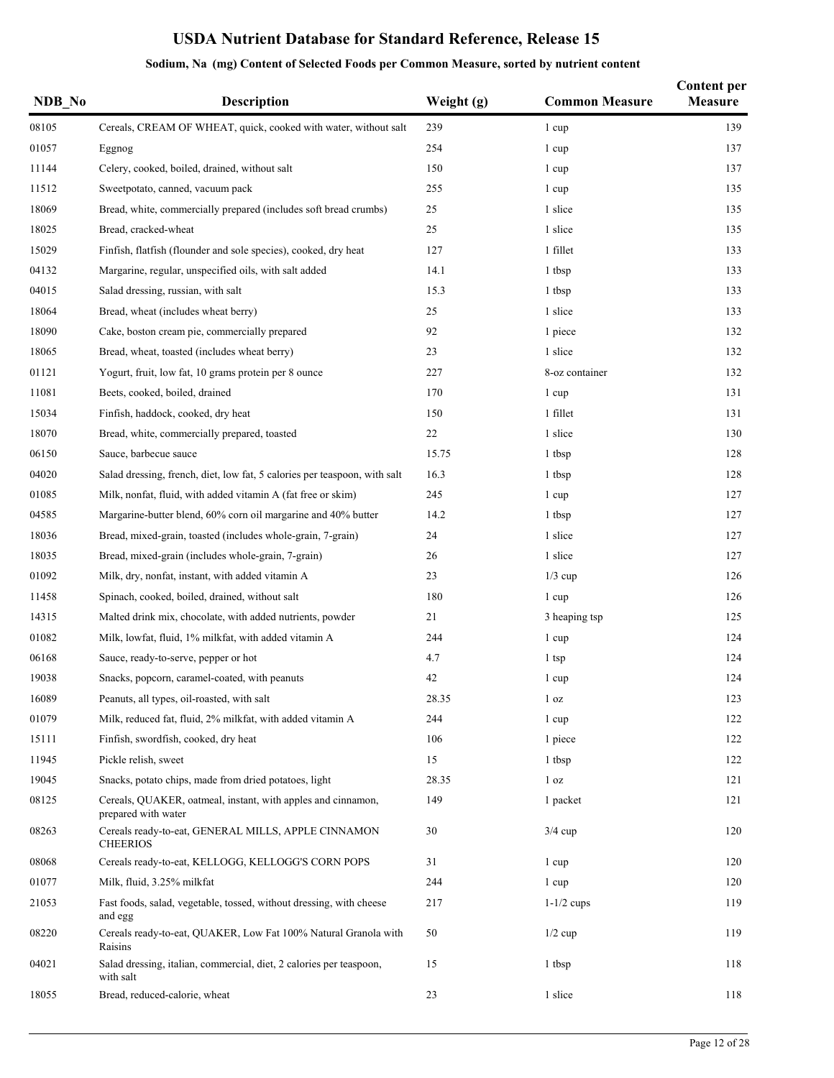| NDB_No | Description                                                                         | Weight (g) | <b>Common Measure</b> | <b>Content per</b><br><b>Measure</b> |
|--------|-------------------------------------------------------------------------------------|------------|-----------------------|--------------------------------------|
| 08105  | Cereals, CREAM OF WHEAT, quick, cooked with water, without salt                     | 239        | 1 cup                 | 139                                  |
| 01057  | Eggnog                                                                              | 254        | 1 cup                 | 137                                  |
| 11144  | Celery, cooked, boiled, drained, without salt                                       | 150        | 1 cup                 | 137                                  |
| 11512  | Sweetpotato, canned, vacuum pack                                                    | 255        | 1 cup                 | 135                                  |
| 18069  | Bread, white, commercially prepared (includes soft bread crumbs)                    | 25         | 1 slice               | 135                                  |
| 18025  | Bread, cracked-wheat                                                                | 25         | 1 slice               | 135                                  |
| 15029  | Finfish, flatfish (flounder and sole species), cooked, dry heat                     | 127        | 1 fillet              | 133                                  |
| 04132  | Margarine, regular, unspecified oils, with salt added                               | 14.1       | 1 tbsp                | 133                                  |
| 04015  | Salad dressing, russian, with salt                                                  | 15.3       | 1 tbsp                | 133                                  |
| 18064  | Bread, wheat (includes wheat berry)                                                 | 25         | 1 slice               | 133                                  |
| 18090  | Cake, boston cream pie, commercially prepared                                       | 92         | 1 piece               | 132                                  |
| 18065  | Bread, wheat, toasted (includes wheat berry)                                        | 23         | 1 slice               | 132                                  |
| 01121  | Yogurt, fruit, low fat, 10 grams protein per 8 ounce                                | 227        | 8-oz container        | 132                                  |
| 11081  | Beets, cooked, boiled, drained                                                      | 170        | 1 cup                 | 131                                  |
| 15034  | Finfish, haddock, cooked, dry heat                                                  | 150        | 1 fillet              | 131                                  |
| 18070  | Bread, white, commercially prepared, toasted                                        | 22         | 1 slice               | 130                                  |
| 06150  | Sauce, barbecue sauce                                                               | 15.75      | 1 tbsp                | 128                                  |
| 04020  | Salad dressing, french, diet, low fat, 5 calories per teaspoon, with salt           | 16.3       | 1 tbsp                | 128                                  |
| 01085  | Milk, nonfat, fluid, with added vitamin A (fat free or skim)                        | 245        | 1 cup                 | 127                                  |
| 04585  | Margarine-butter blend, 60% corn oil margarine and 40% butter                       | 14.2       | 1 tbsp                | 127                                  |
| 18036  | Bread, mixed-grain, toasted (includes whole-grain, 7-grain)                         | 24         | 1 slice               | 127                                  |
| 18035  | Bread, mixed-grain (includes whole-grain, 7-grain)                                  | 26         | 1 slice               | 127                                  |
| 01092  | Milk, dry, nonfat, instant, with added vitamin A                                    | 23         | $1/3$ cup             | 126                                  |
| 11458  | Spinach, cooked, boiled, drained, without salt                                      | 180        | 1 cup                 | 126                                  |
| 14315  | Malted drink mix, chocolate, with added nutrients, powder                           | 21         | 3 heaping tsp         | 125                                  |
| 01082  | Milk, lowfat, fluid, 1% milkfat, with added vitamin A                               | 244        | 1 cup                 | 124                                  |
| 06168  | Sauce, ready-to-serve, pepper or hot                                                | 4.7        | $1$ tsp               | 124                                  |
| 19038  | Snacks, popcorn, caramel-coated, with peanuts                                       | 42         | 1 cup                 | 124                                  |
| 16089  | Peanuts, all types, oil-roasted, with salt                                          | 28.35      | 1 <sub>oz</sub>       | 123                                  |
| 01079  | Milk, reduced fat, fluid, 2% milkfat, with added vitamin A                          | 244        | 1 cup                 | 122                                  |
| 15111  | Finfish, swordfish, cooked, dry heat                                                | 106        | 1 piece               | 122                                  |
| 11945  | Pickle relish, sweet                                                                | 15         | 1 tbsp                | 122                                  |
| 19045  | Snacks, potato chips, made from dried potatoes, light                               | 28.35      | 1 <sub>oz</sub>       | 121                                  |
| 08125  | Cereals, QUAKER, oatmeal, instant, with apples and cinnamon,<br>prepared with water | 149        | 1 packet              | 121                                  |
| 08263  | Cereals ready-to-eat, GENERAL MILLS, APPLE CINNAMON<br><b>CHEERIOS</b>              | 30         | $3/4$ cup             | 120                                  |
| 08068  | Cereals ready-to-eat, KELLOGG, KELLOGG'S CORN POPS                                  | 31         | 1 cup                 | 120                                  |
| 01077  | Milk, fluid, 3.25% milkfat                                                          | 244        | 1 cup                 | 120                                  |
| 21053  | Fast foods, salad, vegetable, tossed, without dressing, with cheese<br>and egg      | 217        | $1-1/2$ cups          | 119                                  |
| 08220  | Cereals ready-to-eat, QUAKER, Low Fat 100% Natural Granola with<br>Raisins          | 50         | $1/2$ cup             | 119                                  |
| 04021  | Salad dressing, italian, commercial, diet, 2 calories per teaspoon,<br>with salt    | 15         | 1 tbsp                | 118                                  |
| 18055  | Bread, reduced-calorie, wheat                                                       | 23         | 1 slice               | 118                                  |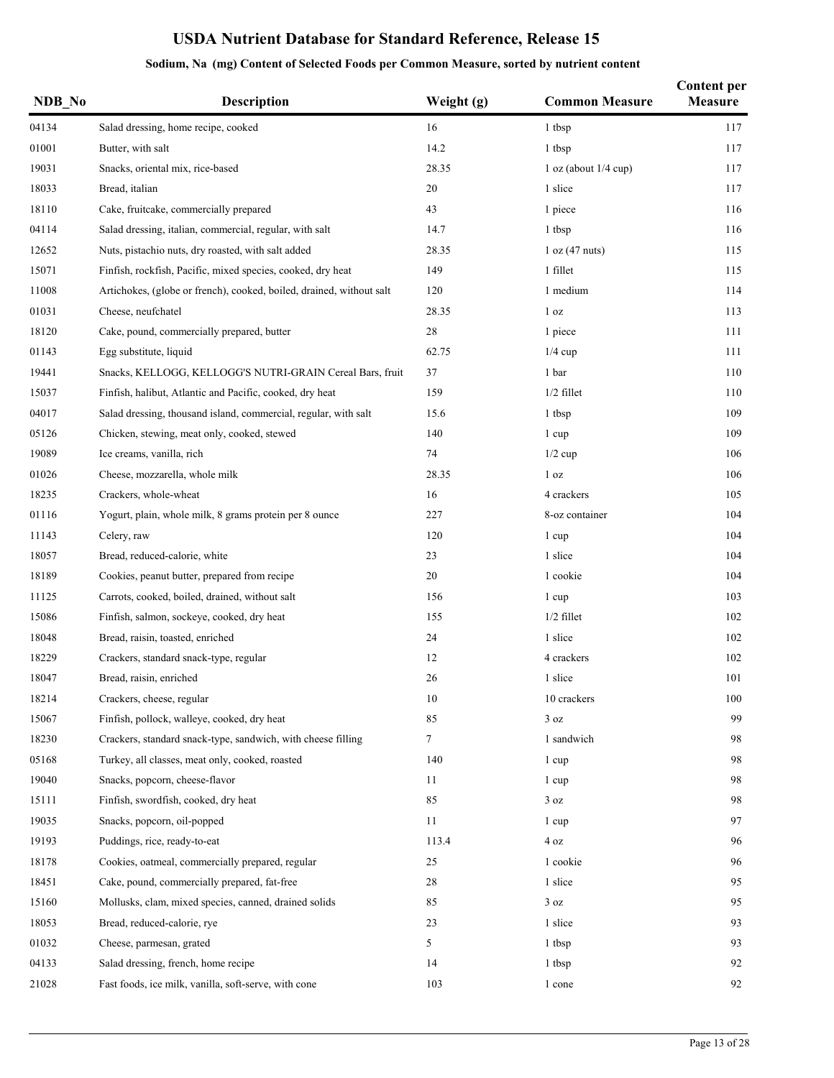| NDB No | <b>Description</b>                                                   | Weight (g) | <b>Common Measure</b> | <b>Content per</b><br><b>Measure</b> |
|--------|----------------------------------------------------------------------|------------|-----------------------|--------------------------------------|
| 04134  | Salad dressing, home recipe, cooked                                  | 16         | 1 tbsp                | 117                                  |
| 01001  | Butter, with salt                                                    | 14.2       | 1 tbsp                | 117                                  |
| 19031  | Snacks, oriental mix, rice-based                                     | 28.35      | 1 oz (about 1/4 cup)  | 117                                  |
| 18033  | Bread, italian                                                       | 20         | 1 slice               | 117                                  |
| 18110  | Cake, fruitcake, commercially prepared                               | 43         | 1 piece               | 116                                  |
| 04114  | Salad dressing, italian, commercial, regular, with salt              | 14.7       | 1 tbsp                | 116                                  |
| 12652  | Nuts, pistachio nuts, dry roasted, with salt added                   | 28.35      | 1 oz (47 nuts)        | 115                                  |
| 15071  | Finfish, rockfish, Pacific, mixed species, cooked, dry heat          | 149        | 1 fillet              | 115                                  |
| 11008  | Artichokes, (globe or french), cooked, boiled, drained, without salt | 120        | 1 medium              | 114                                  |
| 01031  | Cheese, neufchatel                                                   | 28.35      | 1 <sub>oz</sub>       | 113                                  |
| 18120  | Cake, pound, commercially prepared, butter                           | $28\,$     | 1 piece               | 111                                  |
| 01143  | Egg substitute, liquid                                               | 62.75      | $1/4$ cup             | 111                                  |
| 19441  | Snacks, KELLOGG, KELLOGG'S NUTRI-GRAIN Cereal Bars, fruit            | 37         | 1 bar                 | 110                                  |
| 15037  | Finfish, halibut, Atlantic and Pacific, cooked, dry heat             | 159        | $1/2$ fillet          | 110                                  |
| 04017  | Salad dressing, thousand island, commercial, regular, with salt      | 15.6       | 1 tbsp                | 109                                  |
| 05126  | Chicken, stewing, meat only, cooked, stewed                          | 140        | 1 cup                 | 109                                  |
| 19089  | Ice creams, vanilla, rich                                            | 74         | $1/2$ cup             | 106                                  |
| 01026  | Cheese, mozzarella, whole milk                                       | 28.35      | 1 <sub>oz</sub>       | 106                                  |
| 18235  | Crackers, whole-wheat                                                | 16         | 4 crackers            | 105                                  |
| 01116  | Yogurt, plain, whole milk, 8 grams protein per 8 ounce               | 227        | 8-oz container        | 104                                  |
| 11143  | Celery, raw                                                          | 120        | 1 cup                 | 104                                  |
| 18057  | Bread, reduced-calorie, white                                        | 23         | 1 slice               | 104                                  |
| 18189  | Cookies, peanut butter, prepared from recipe                         | 20         | 1 cookie              | 104                                  |
| 11125  | Carrots, cooked, boiled, drained, without salt                       | 156        | 1 cup                 | 103                                  |
| 15086  | Finfish, salmon, sockeye, cooked, dry heat                           | 155        | $1/2$ fillet          | 102                                  |
| 18048  | Bread, raisin, toasted, enriched                                     | 24         | 1 slice               | 102                                  |
| 18229  | Crackers, standard snack-type, regular                               | 12         | 4 crackers            | 102                                  |
| 18047  | Bread, raisin, enriched                                              | 26         | 1 slice               | 101                                  |
| 18214  | Crackers, cheese, regular                                            | 10         | 10 crackers           | 100                                  |
| 15067  | Finfish, pollock, walleye, cooked, dry heat                          | 85         | 3 oz                  | 99                                   |
| 18230  | Crackers, standard snack-type, sandwich, with cheese filling         | 7          | 1 sandwich            | 98                                   |
| 05168  | Turkey, all classes, meat only, cooked, roasted                      | 140        | 1 cup                 | 98                                   |
| 19040  | Snacks, popcorn, cheese-flavor                                       | 11         | 1 cup                 | 98                                   |
| 15111  | Finfish, swordfish, cooked, dry heat                                 | 85         | 3 oz                  | 98                                   |
| 19035  | Snacks, popcorn, oil-popped                                          | 11         | 1 cup                 | 97                                   |
| 19193  | Puddings, rice, ready-to-eat                                         | 113.4      | 4 oz                  | 96                                   |
| 18178  | Cookies, oatmeal, commercially prepared, regular                     | 25         | 1 cookie              | 96                                   |
| 18451  | Cake, pound, commercially prepared, fat-free                         | 28         | 1 slice               | 95                                   |
| 15160  | Mollusks, clam, mixed species, canned, drained solids                | 85         | 3 oz                  | 95                                   |
| 18053  | Bread, reduced-calorie, rye                                          | 23         | 1 slice               | 93                                   |
| 01032  | Cheese, parmesan, grated                                             | 5          | 1 tbsp                | 93                                   |
| 04133  | Salad dressing, french, home recipe                                  | 14         | 1 tbsp                | 92                                   |
| 21028  | Fast foods, ice milk, vanilla, soft-serve, with cone                 | 103        | 1 cone                | 92                                   |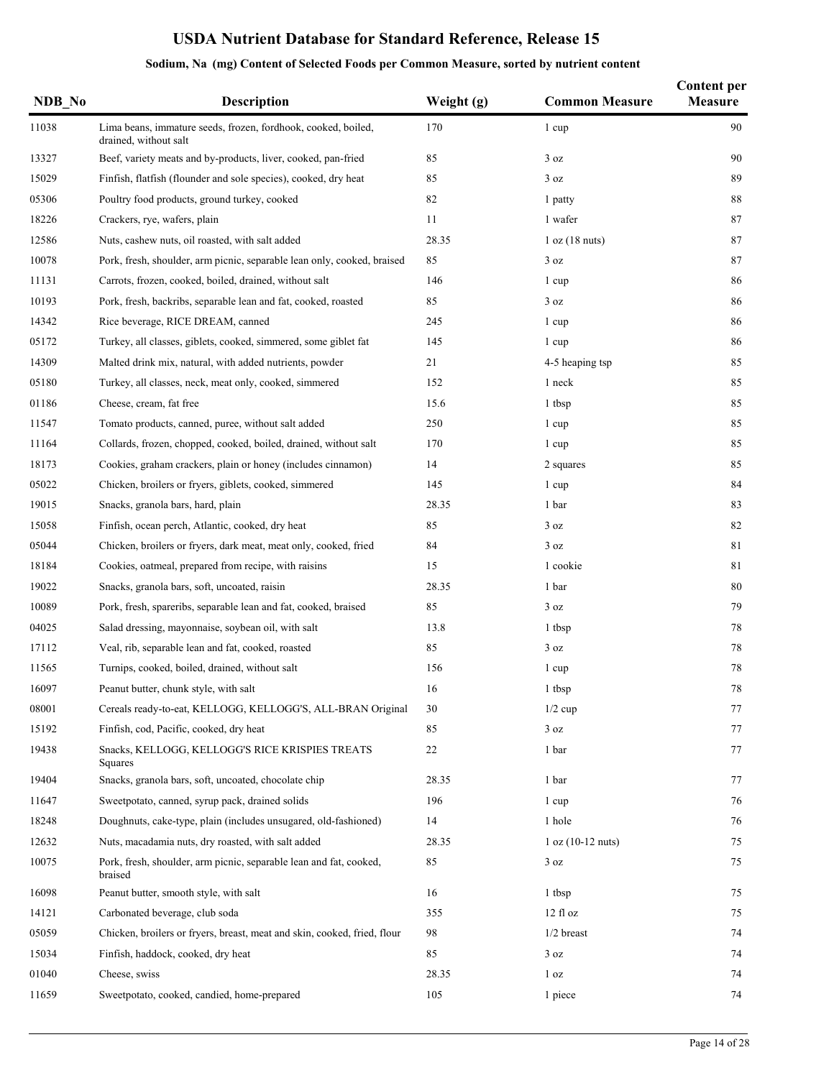| NDB No | <b>Description</b>                                                                     | Weight (g) | <b>Common Measure</b> | <b>Content per</b><br><b>Measure</b> |
|--------|----------------------------------------------------------------------------------------|------------|-----------------------|--------------------------------------|
| 11038  | Lima beans, immature seeds, frozen, fordhook, cooked, boiled,<br>drained, without salt | 170        | 1 cup                 | 90                                   |
| 13327  | Beef, variety meats and by-products, liver, cooked, pan-fried                          | 85         | 3 oz                  | 90                                   |
| 15029  | Finfish, flatfish (flounder and sole species), cooked, dry heat                        | 85         | 3 oz                  | 89                                   |
| 05306  | Poultry food products, ground turkey, cooked                                           | 82         | 1 patty               | 88                                   |
| 18226  | Crackers, rye, wafers, plain                                                           | 11         | 1 wafer               | 87                                   |
| 12586  | Nuts, cashew nuts, oil roasted, with salt added                                        | 28.35      | 1 oz (18 nuts)        | 87                                   |
| 10078  | Pork, fresh, shoulder, arm picnic, separable lean only, cooked, braised                | 85         | 3 oz                  | 87                                   |
| 11131  | Carrots, frozen, cooked, boiled, drained, without salt                                 | 146        | 1 cup                 | 86                                   |
| 10193  | Pork, fresh, backribs, separable lean and fat, cooked, roasted                         | 85         | 3 oz                  | 86                                   |
| 14342  | Rice beverage, RICE DREAM, canned                                                      | 245        | 1 cup                 | 86                                   |
| 05172  | Turkey, all classes, giblets, cooked, simmered, some giblet fat                        | 145        | 1 cup                 | 86                                   |
| 14309  | Malted drink mix, natural, with added nutrients, powder                                | 21         | 4-5 heaping tsp       | 85                                   |
| 05180  | Turkey, all classes, neck, meat only, cooked, simmered                                 | 152        | 1 neck                | 85                                   |
| 01186  | Cheese, cream, fat free                                                                | 15.6       | 1 tbsp                | 85                                   |
| 11547  | Tomato products, canned, puree, without salt added                                     | 250        | 1 cup                 | 85                                   |
| 11164  | Collards, frozen, chopped, cooked, boiled, drained, without salt                       | 170        | 1 cup                 | 85                                   |
| 18173  | Cookies, graham crackers, plain or honey (includes cinnamon)                           | 14         | 2 squares             | 85                                   |
| 05022  | Chicken, broilers or fryers, giblets, cooked, simmered                                 | 145        | 1 cup                 | 84                                   |
| 19015  | Snacks, granola bars, hard, plain                                                      | 28.35      | 1 bar                 | 83                                   |
| 15058  | Finfish, ocean perch, Atlantic, cooked, dry heat                                       | 85         | 3 oz                  | 82                                   |
| 05044  | Chicken, broilers or fryers, dark meat, meat only, cooked, fried                       | 84         | 3 oz                  | 81                                   |
| 18184  | Cookies, oatmeal, prepared from recipe, with raisins                                   | 15         | 1 cookie              | 81                                   |
| 19022  | Snacks, granola bars, soft, uncoated, raisin                                           | 28.35      | 1 bar                 | 80                                   |
| 10089  | Pork, fresh, spareribs, separable lean and fat, cooked, braised                        | 85         | 3 oz                  | 79                                   |
| 04025  | Salad dressing, mayonnaise, soybean oil, with salt                                     | 13.8       | 1 tbsp                | 78                                   |
| 17112  | Veal, rib, separable lean and fat, cooked, roasted                                     | 85         | 3 oz                  | 78                                   |
| 11565  | Turnips, cooked, boiled, drained, without salt                                         | 156        | 1 cup                 | 78                                   |
| 16097  | Peanut butter, chunk style, with salt                                                  | 16         | 1 tbsp                | $78\,$                               |
| 08001  | Cereals ready-to-eat, KELLOGG, KELLOGG'S, ALL-BRAN Original                            | 30         | $1/2$ cup             | 77                                   |
| 15192  | Finfish, cod, Pacific, cooked, dry heat                                                | 85         | 3 oz                  | 77                                   |
| 19438  | Snacks, KELLOGG, KELLOGG'S RICE KRISPIES TREATS<br>Squares                             | 22         | 1 bar                 | 77                                   |
| 19404  | Snacks, granola bars, soft, uncoated, chocolate chip                                   | 28.35      | 1 bar                 | 77                                   |
| 11647  | Sweetpotato, canned, syrup pack, drained solids                                        | 196        | 1 cup                 | 76                                   |
| 18248  | Doughnuts, cake-type, plain (includes unsugared, old-fashioned)                        | 14         | 1 hole                | 76                                   |
| 12632  | Nuts, macadamia nuts, dry roasted, with salt added                                     | 28.35      | $1 oz (10-12 nuts)$   | 75                                   |
| 10075  | Pork, fresh, shoulder, arm picnic, separable lean and fat, cooked,<br>braised          | 85         | 3 oz                  | 75                                   |
| 16098  | Peanut butter, smooth style, with salt                                                 | 16         | 1 tbsp                | 75                                   |
| 14121  | Carbonated beverage, club soda                                                         | 355        | 12f1oz                | 75                                   |
| 05059  | Chicken, broilers or fryers, breast, meat and skin, cooked, fried, flour               | 98         | $1/2$ breast          | 74                                   |
| 15034  | Finfish, haddock, cooked, dry heat                                                     | 85         | 3 oz                  | 74                                   |
| 01040  | Cheese, swiss                                                                          | 28.35      | 1 <sub>oz</sub>       | 74                                   |
| 11659  | Sweetpotato, cooked, candied, home-prepared                                            | 105        | 1 piece               | 74                                   |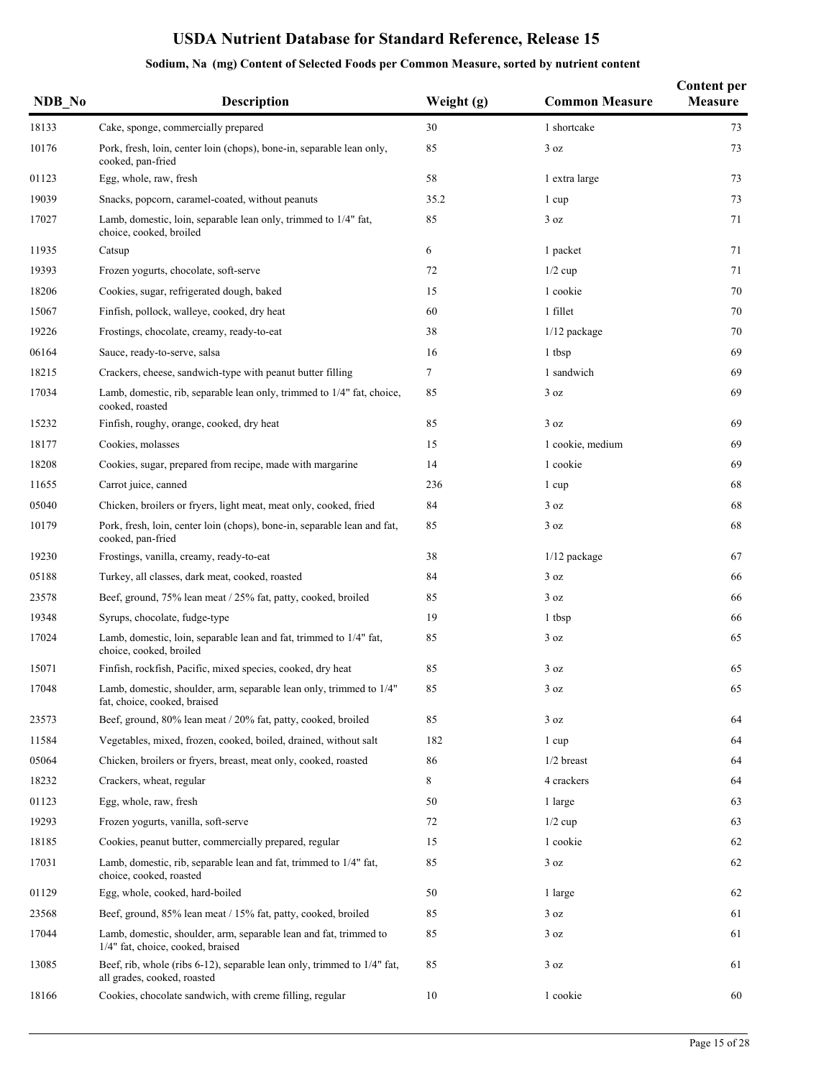| NDB_No | <b>Description</b>                                                                                     | Weight (g) | <b>Common Measure</b> | <b>Content per</b><br><b>Measure</b> |
|--------|--------------------------------------------------------------------------------------------------------|------------|-----------------------|--------------------------------------|
| 18133  | Cake, sponge, commercially prepared                                                                    | 30         | 1 shortcake           | 73                                   |
| 10176  | Pork, fresh, loin, center loin (chops), bone-in, separable lean only,<br>cooked, pan-fried             | 85         | 3 oz                  | 73                                   |
| 01123  | Egg, whole, raw, fresh                                                                                 | 58         | 1 extra large         | 73                                   |
| 19039  | Snacks, popcorn, caramel-coated, without peanuts                                                       | 35.2       | 1 cup                 | 73                                   |
| 17027  | Lamb, domestic, loin, separable lean only, trimmed to 1/4" fat,<br>choice, cooked, broiled             | 85         | 3 oz                  | 71                                   |
| 11935  | Catsup                                                                                                 | 6          | 1 packet              | 71                                   |
| 19393  | Frozen yogurts, chocolate, soft-serve                                                                  | 72         | $1/2$ cup             | 71                                   |
| 18206  | Cookies, sugar, refrigerated dough, baked                                                              | 15         | 1 cookie              | 70                                   |
| 15067  | Finfish, pollock, walleye, cooked, dry heat                                                            | 60         | 1 fillet              | 70                                   |
| 19226  | Frostings, chocolate, creamy, ready-to-eat                                                             | 38         | $1/12$ package        | 70                                   |
| 06164  | Sauce, ready-to-serve, salsa                                                                           | 16         | 1 tbsp                | 69                                   |
| 18215  | Crackers, cheese, sandwich-type with peanut butter filling                                             | 7          | 1 sandwich            | 69                                   |
| 17034  | Lamb, domestic, rib, separable lean only, trimmed to 1/4" fat, choice,<br>cooked, roasted              | 85         | 3 oz                  | 69                                   |
| 15232  | Finfish, roughy, orange, cooked, dry heat                                                              | 85         | 3 oz                  | 69                                   |
| 18177  | Cookies, molasses                                                                                      | 15         | 1 cookie, medium      | 69                                   |
| 18208  | Cookies, sugar, prepared from recipe, made with margarine                                              | 14         | 1 cookie              | 69                                   |
| 11655  | Carrot juice, canned                                                                                   | 236        | 1 cup                 | 68                                   |
| 05040  | Chicken, broilers or fryers, light meat, meat only, cooked, fried                                      | 84         | 3 oz                  | 68                                   |
| 10179  | Pork, fresh, loin, center loin (chops), bone-in, separable lean and fat,<br>cooked, pan-fried          | 85         | 3 oz                  | 68                                   |
| 19230  | Frostings, vanilla, creamy, ready-to-eat                                                               | 38         | $1/12$ package        | 67                                   |
| 05188  | Turkey, all classes, dark meat, cooked, roasted                                                        | 84         | 3 oz                  | 66                                   |
| 23578  | Beef, ground, 75% lean meat / 25% fat, patty, cooked, broiled                                          | 85         | 3 oz                  | 66                                   |
| 19348  | Syrups, chocolate, fudge-type                                                                          | 19         | 1 tbsp                | 66                                   |
| 17024  | Lamb, domestic, loin, separable lean and fat, trimmed to 1/4" fat,<br>choice, cooked, broiled          | 85         | 3 oz                  | 65                                   |
| 15071  | Finfish, rockfish, Pacific, mixed species, cooked, dry heat                                            | 85         | 3 oz                  | 65                                   |
| 17048  | Lamb, domestic, shoulder, arm, separable lean only, trimmed to 1/4"<br>fat, choice, cooked, braised    | 85         | 3 oz                  | 65                                   |
| 23573  | Beef, ground, 80% lean meat / 20% fat, patty, cooked, broiled                                          | 85         | 3 oz                  | 64                                   |
| 11584  | Vegetables, mixed, frozen, cooked, boiled, drained, without salt                                       | 182        | 1 cup                 | 64                                   |
| 05064  | Chicken, broilers or fryers, breast, meat only, cooked, roasted                                        | 86         | $1/2$ breast          | 64                                   |
| 18232  | Crackers, wheat, regular                                                                               | 8          | 4 crackers            | 64                                   |
| 01123  | Egg, whole, raw, fresh                                                                                 | 50         | 1 large               | 63                                   |
| 19293  | Frozen yogurts, vanilla, soft-serve                                                                    | 72         | $1/2$ cup             | 63                                   |
| 18185  | Cookies, peanut butter, commercially prepared, regular                                                 | 15         | 1 cookie              | 62                                   |
| 17031  | Lamb, domestic, rib, separable lean and fat, trimmed to 1/4" fat,<br>choice, cooked, roasted           | 85         | 3 oz                  | 62                                   |
| 01129  | Egg, whole, cooked, hard-boiled                                                                        | 50         | 1 large               | 62                                   |
| 23568  | Beef, ground, 85% lean meat / 15% fat, patty, cooked, broiled                                          | 85         | 3 oz                  | 61                                   |
| 17044  | Lamb, domestic, shoulder, arm, separable lean and fat, trimmed to<br>1/4" fat, choice, cooked, braised | 85         | 3 oz                  | 61                                   |
| 13085  | Beef, rib, whole (ribs 6-12), separable lean only, trimmed to 1/4" fat,<br>all grades, cooked, roasted | 85         | 3 oz                  | 61                                   |
| 18166  | Cookies, chocolate sandwich, with creme filling, regular                                               | 10         | 1 cookie              | 60                                   |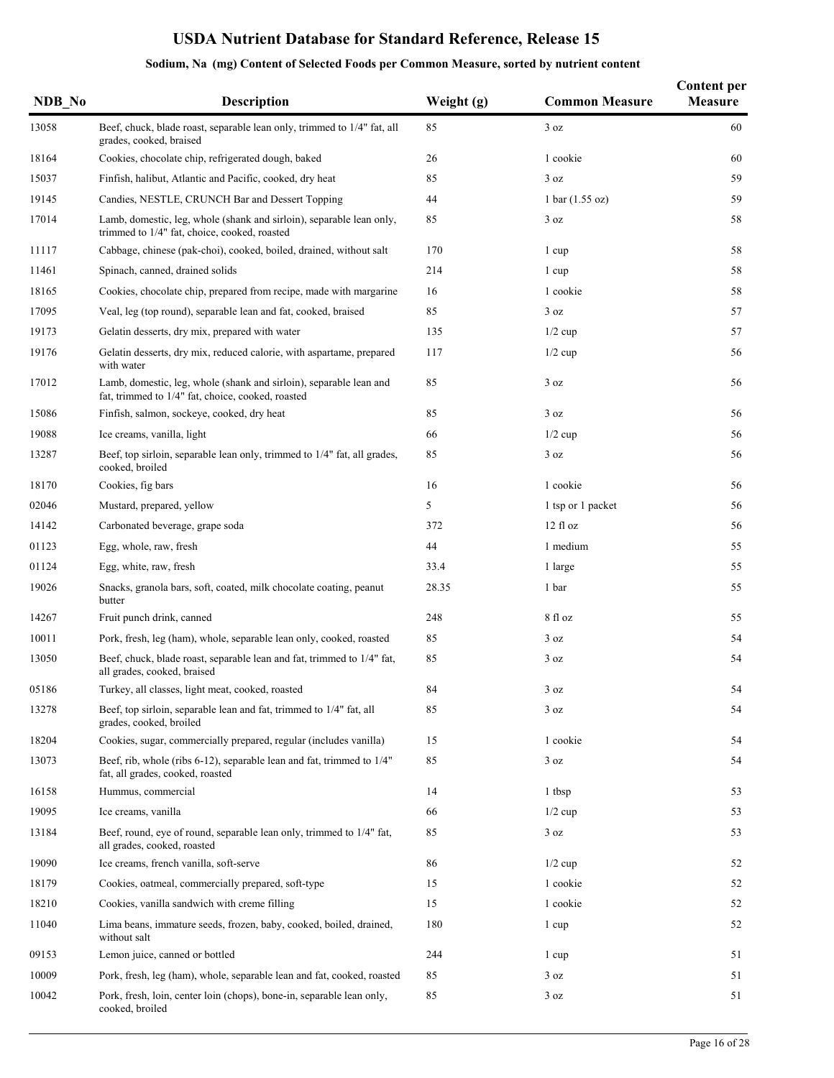| NDB No | Description                                                                                                             | Weight (g) | <b>Common Measure</b>             | <b>Content per</b><br><b>Measure</b> |
|--------|-------------------------------------------------------------------------------------------------------------------------|------------|-----------------------------------|--------------------------------------|
| 13058  | Beef, chuck, blade roast, separable lean only, trimmed to 1/4" fat, all<br>grades, cooked, braised                      | 85         | 3 oz                              | 60                                   |
| 18164  | Cookies, chocolate chip, refrigerated dough, baked                                                                      | 26         | 1 cookie                          | 60                                   |
| 15037  | Finfish, halibut, Atlantic and Pacific, cooked, dry heat                                                                | 85         | 3 oz                              | 59                                   |
| 19145  | Candies, NESTLE, CRUNCH Bar and Dessert Topping                                                                         | 44         | $1 \text{ bar} (1.55 \text{ oz})$ | 59                                   |
| 17014  | Lamb, domestic, leg, whole (shank and sirloin), separable lean only,<br>trimmed to 1/4" fat, choice, cooked, roasted    | 85         | 3 oz                              | 58                                   |
| 11117  | Cabbage, chinese (pak-choi), cooked, boiled, drained, without salt                                                      | 170        | 1 cup                             | 58                                   |
| 11461  | Spinach, canned, drained solids                                                                                         | 214        | 1 cup                             | 58                                   |
| 18165  | Cookies, chocolate chip, prepared from recipe, made with margarine                                                      | 16         | 1 cookie                          | 58                                   |
| 17095  | Veal, leg (top round), separable lean and fat, cooked, braised                                                          | 85         | 3 oz                              | 57                                   |
| 19173  | Gelatin desserts, dry mix, prepared with water                                                                          | 135        | $1/2$ cup                         | 57                                   |
| 19176  | Gelatin desserts, dry mix, reduced calorie, with aspartame, prepared<br>with water                                      | 117        | $1/2$ cup                         | 56                                   |
| 17012  | Lamb, domestic, leg, whole (shank and sirloin), separable lean and<br>fat, trimmed to 1/4" fat, choice, cooked, roasted | 85         | 3 oz                              | 56                                   |
| 15086  | Finfish, salmon, sockeye, cooked, dry heat                                                                              | 85         | 3 oz                              | 56                                   |
| 19088  | Ice creams, vanilla, light                                                                                              | 66         | $1/2$ cup                         | 56                                   |
| 13287  | Beef, top sirloin, separable lean only, trimmed to 1/4" fat, all grades,<br>cooked, broiled                             | 85         | 3 oz                              | 56                                   |
| 18170  | Cookies, fig bars                                                                                                       | 16         | 1 cookie                          | 56                                   |
| 02046  | Mustard, prepared, yellow                                                                                               | 5          | 1 tsp or 1 packet                 | 56                                   |
| 14142  | Carbonated beverage, grape soda                                                                                         | 372        | 12f1oz                            | 56                                   |
| 01123  | Egg, whole, raw, fresh                                                                                                  | 44         | 1 medium                          | 55                                   |
| 01124  | Egg, white, raw, fresh                                                                                                  | 33.4       | 1 large                           | 55                                   |
| 19026  | Snacks, granola bars, soft, coated, milk chocolate coating, peanut<br>butter                                            | 28.35      | 1 bar                             | 55                                   |
| 14267  | Fruit punch drink, canned                                                                                               | 248        | 8 fl oz                           | 55                                   |
| 10011  | Pork, fresh, leg (ham), whole, separable lean only, cooked, roasted                                                     | 85         | 3 oz                              | 54                                   |
| 13050  | Beef, chuck, blade roast, separable lean and fat, trimmed to 1/4" fat,<br>all grades, cooked, braised                   | 85         | 3 oz                              | 54                                   |
| 05186  | Turkey, all classes, light meat, cooked, roasted                                                                        | 84         | $3\ \text{oz}$                    | 54                                   |
| 13278  | Beef, top sirloin, separable lean and fat, trimmed to 1/4" fat, all<br>grades, cooked, broiled                          | 85         | 3 oz                              | 54                                   |
| 18204  | Cookies, sugar, commercially prepared, regular (includes vanilla)                                                       | 15         | 1 cookie                          | 54                                   |
| 13073  | Beef, rib, whole (ribs 6-12), separable lean and fat, trimmed to 1/4"<br>fat, all grades, cooked, roasted               | 85         | 3 oz                              | 54                                   |
| 16158  | Hummus, commercial                                                                                                      | 14         | 1 tbsp                            | 53                                   |
| 19095  | Ice creams, vanilla                                                                                                     | 66         | $1/2$ cup                         | 53                                   |
| 13184  | Beef, round, eye of round, separable lean only, trimmed to 1/4" fat,<br>all grades, cooked, roasted                     | 85         | 3 oz                              | 53                                   |
| 19090  | Ice creams, french vanilla, soft-serve                                                                                  | 86         | $1/2$ cup                         | 52                                   |
| 18179  | Cookies, oatmeal, commercially prepared, soft-type                                                                      | 15         | 1 cookie                          | 52                                   |
| 18210  | Cookies, vanilla sandwich with creme filling                                                                            | 15         | 1 cookie                          | 52                                   |
| 11040  | Lima beans, immature seeds, frozen, baby, cooked, boiled, drained,<br>without salt                                      | 180        | 1 cup                             | 52                                   |
| 09153  | Lemon juice, canned or bottled                                                                                          | 244        | 1 cup                             | 51                                   |
| 10009  | Pork, fresh, leg (ham), whole, separable lean and fat, cooked, roasted                                                  | 85         | 3 oz                              | 51                                   |
| 10042  | Pork, fresh, loin, center loin (chops), bone-in, separable lean only,<br>cooked, broiled                                | 85         | 3 oz                              | 51                                   |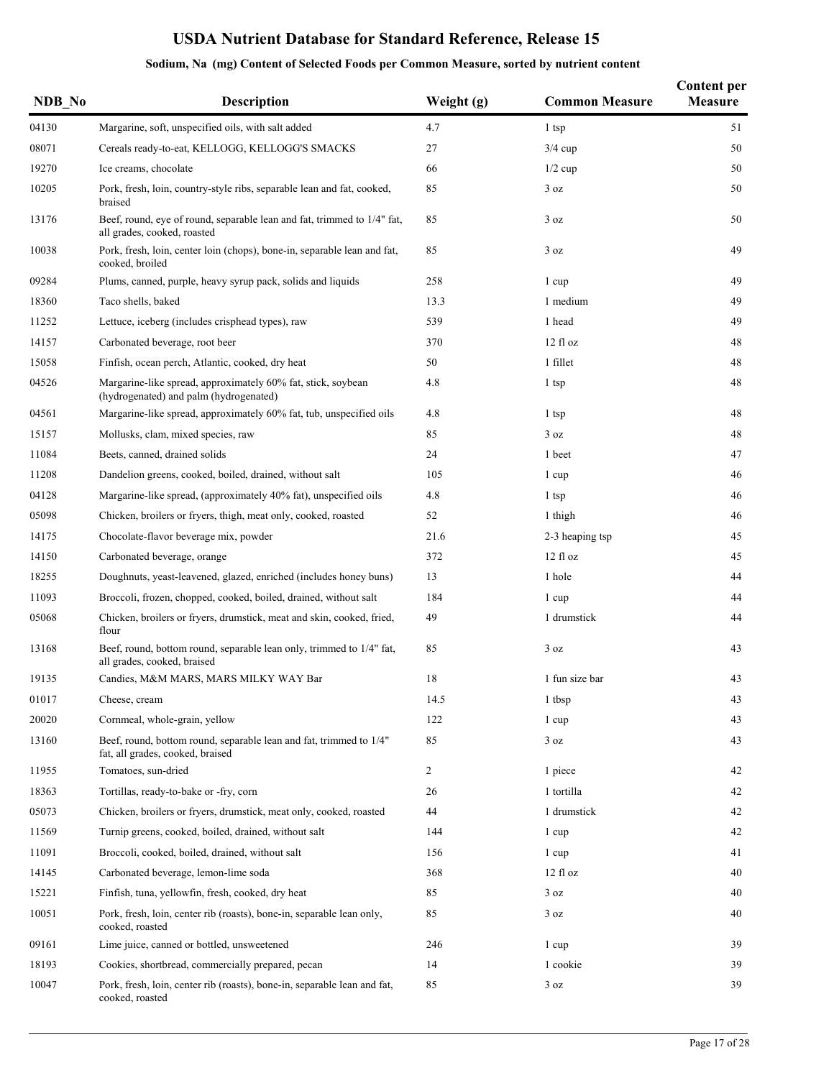| NDB No | <b>Description</b>                                                                                     | Weight (g)     | <b>Common Measure</b> | <b>Content per</b><br>Measure |
|--------|--------------------------------------------------------------------------------------------------------|----------------|-----------------------|-------------------------------|
| 04130  | Margarine, soft, unspecified oils, with salt added                                                     | 4.7            | 1 tsp                 | 51                            |
| 08071  | Cereals ready-to-eat, KELLOGG, KELLOGG'S SMACKS                                                        | 27             | $3/4$ cup             | 50                            |
| 19270  | Ice creams, chocolate                                                                                  | 66             | $1/2$ cup             | 50                            |
| 10205  | Pork, fresh, loin, country-style ribs, separable lean and fat, cooked,<br>braised                      | 85             | 3 oz                  | 50                            |
| 13176  | Beef, round, eye of round, separable lean and fat, trimmed to 1/4" fat,<br>all grades, cooked, roasted | 85             | 3 oz                  | 50                            |
| 10038  | Pork, fresh, loin, center loin (chops), bone-in, separable lean and fat,<br>cooked, broiled            | 85             | 3 oz                  | 49                            |
| 09284  | Plums, canned, purple, heavy syrup pack, solids and liquids                                            | 258            | 1 cup                 | 49                            |
| 18360  | Taco shells, baked                                                                                     | 13.3           | 1 medium              | 49                            |
| 11252  | Lettuce, iceberg (includes crisphead types), raw                                                       | 539            | 1 head                | 49                            |
| 14157  | Carbonated beverage, root beer                                                                         | 370            | 12 fl oz              | 48                            |
| 15058  | Finfish, ocean perch, Atlantic, cooked, dry heat                                                       | 50             | 1 fillet              | 48                            |
| 04526  | Margarine-like spread, approximately 60% fat, stick, soybean<br>(hydrogenated) and palm (hydrogenated) | 4.8            | 1 tsp                 | 48                            |
| 04561  | Margarine-like spread, approximately 60% fat, tub, unspecified oils                                    | 4.8            | 1 tsp                 | 48                            |
| 15157  | Mollusks, clam, mixed species, raw                                                                     | 85             | 3 oz                  | 48                            |
| 11084  | Beets, canned, drained solids                                                                          | 24             | 1 beet                | 47                            |
| 11208  | Dandelion greens, cooked, boiled, drained, without salt                                                | 105            | 1 cup                 | 46                            |
| 04128  | Margarine-like spread, (approximately 40% fat), unspecified oils                                       | 4.8            | 1 tsp                 | 46                            |
| 05098  | Chicken, broilers or fryers, thigh, meat only, cooked, roasted                                         | 52             | 1 thigh               | 46                            |
| 14175  | Chocolate-flavor beverage mix, powder                                                                  | 21.6           | 2-3 heaping tsp       | 45                            |
| 14150  | Carbonated beverage, orange                                                                            | 372            | 12f1oz                | 45                            |
| 18255  | Doughnuts, yeast-leavened, glazed, enriched (includes honey buns)                                      | 13             | 1 hole                | 44                            |
| 11093  | Broccoli, frozen, chopped, cooked, boiled, drained, without salt                                       | 184            | 1 cup                 | 44                            |
| 05068  | Chicken, broilers or fryers, drumstick, meat and skin, cooked, fried,<br>flour                         | 49             | 1 drumstick           | 44                            |
| 13168  | Beef, round, bottom round, separable lean only, trimmed to 1/4" fat,<br>all grades, cooked, braised    | 85             | 3 oz                  | 43                            |
| 19135  | Candies, M&M MARS, MARS MILKY WAY Bar                                                                  | 18             | 1 fun size bar        | 43                            |
| 01017  | Cheese, cream                                                                                          | 14.5           | 1 tbsp                | 43                            |
| 20020  | Cornmeal, whole-grain, yellow                                                                          | 122            | 1 cup                 | 43                            |
| 13160  | Beef, round, bottom round, separable lean and fat, trimmed to 1/4"<br>fat, all grades, cooked, braised | 85             | 3 oz                  | 43                            |
| 11955  | Tomatoes, sun-dried                                                                                    | $\overline{2}$ | 1 piece               | 42                            |
| 18363  | Tortillas, ready-to-bake or -fry, corn                                                                 | 26             | 1 tortilla            | 42                            |
| 05073  | Chicken, broilers or fryers, drumstick, meat only, cooked, roasted                                     | 44             | 1 drumstick           | 42                            |
| 11569  | Turnip greens, cooked, boiled, drained, without salt                                                   | 144            | 1 cup                 | 42                            |
| 11091  | Broccoli, cooked, boiled, drained, without salt                                                        | 156            | 1 cup                 | 41                            |
| 14145  | Carbonated beverage, lemon-lime soda                                                                   | 368            | $12 \text{ fl oz}$    | 40                            |
| 15221  | Finfish, tuna, yellowfin, fresh, cooked, dry heat                                                      | 85             | 3 oz                  | 40                            |
| 10051  | Pork, fresh, loin, center rib (roasts), bone-in, separable lean only,<br>cooked, roasted               | 85             | 3 oz                  | 40                            |
| 09161  | Lime juice, canned or bottled, unsweetened                                                             | 246            | 1 cup                 | 39                            |
| 18193  | Cookies, shortbread, commercially prepared, pecan                                                      | 14             | 1 cookie              | 39                            |
| 10047  | Pork, fresh, loin, center rib (roasts), bone-in, separable lean and fat,<br>cooked, roasted            | 85             | 3 oz                  | 39                            |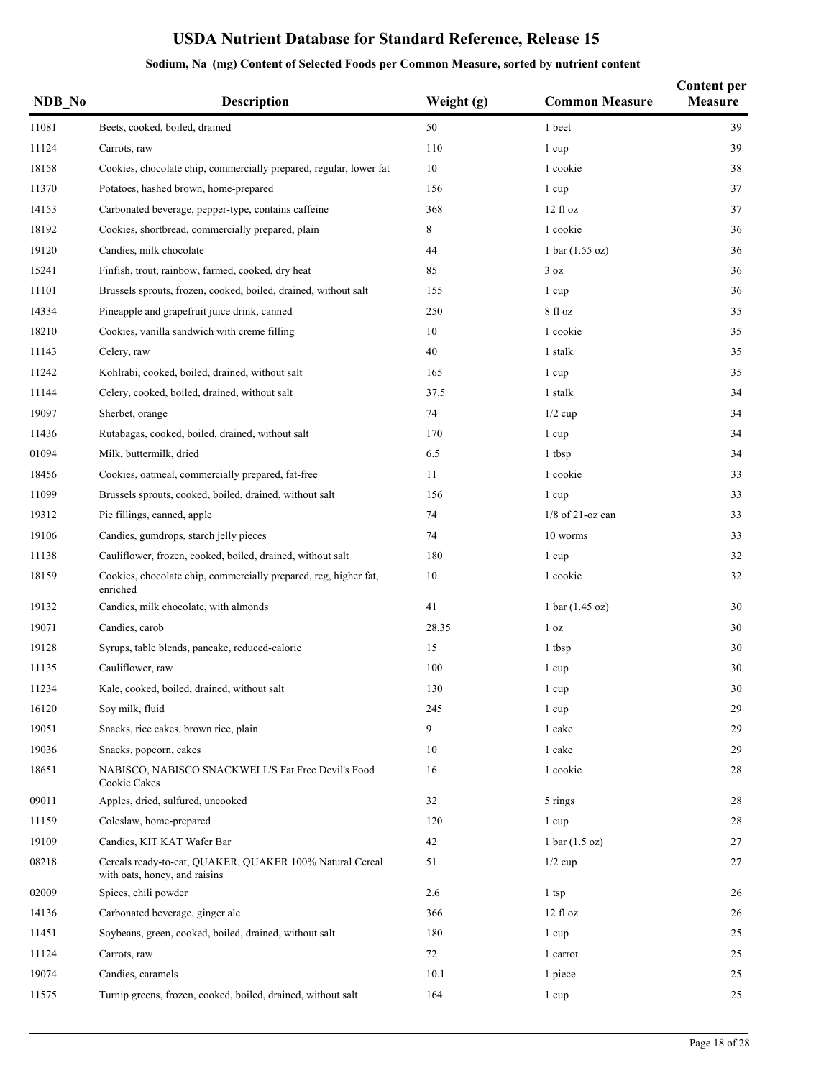| NDB No | <b>Description</b>                                                                        | Weight (g) | <b>Common Measure</b>             | <b>Content per</b><br>Measure |
|--------|-------------------------------------------------------------------------------------------|------------|-----------------------------------|-------------------------------|
| 11081  | Beets, cooked, boiled, drained                                                            | 50         | 1 beet                            | 39                            |
| 11124  | Carrots, raw                                                                              | 110        | 1 cup                             | 39                            |
| 18158  | Cookies, chocolate chip, commercially prepared, regular, lower fat                        | 10         | 1 cookie                          | 38                            |
| 11370  | Potatoes, hashed brown, home-prepared                                                     | 156        | 1 cup                             | 37                            |
| 14153  | Carbonated beverage, pepper-type, contains caffeine                                       | 368        | 12 fl oz                          | 37                            |
| 18192  | Cookies, shortbread, commercially prepared, plain                                         | 8          | 1 cookie                          | 36                            |
| 19120  | Candies, milk chocolate                                                                   | 44         | 1 bar (1.55 oz)                   | 36                            |
| 15241  | Finfish, trout, rainbow, farmed, cooked, dry heat                                         | 85         | 3 oz                              | 36                            |
| 11101  | Brussels sprouts, frozen, cooked, boiled, drained, without salt                           | 155        | 1 cup                             | 36                            |
| 14334  | Pineapple and grapefruit juice drink, canned                                              | 250        | 8 fl oz                           | 35                            |
| 18210  | Cookies, vanilla sandwich with creme filling                                              | 10         | 1 cookie                          | 35                            |
| 11143  | Celery, raw                                                                               | 40         | 1 stalk                           | 35                            |
| 11242  | Kohlrabi, cooked, boiled, drained, without salt                                           | 165        | 1 cup                             | 35                            |
| 11144  | Celery, cooked, boiled, drained, without salt                                             | 37.5       | 1 stalk                           | 34                            |
| 19097  | Sherbet, orange                                                                           | 74         | $1/2$ cup                         | 34                            |
| 11436  | Rutabagas, cooked, boiled, drained, without salt                                          | 170        | 1 cup                             | 34                            |
| 01094  | Milk, buttermilk, dried                                                                   | 6.5        | 1 tbsp                            | 34                            |
| 18456  | Cookies, oatmeal, commercially prepared, fat-free                                         | 11         | 1 cookie                          | 33                            |
| 11099  | Brussels sprouts, cooked, boiled, drained, without salt                                   | 156        | 1 cup                             | 33                            |
| 19312  | Pie fillings, canned, apple                                                               | 74         | $1/8$ of 21-oz can                | 33                            |
| 19106  | Candies, gumdrops, starch jelly pieces                                                    | 74         | 10 worms                          | 33                            |
| 11138  | Cauliflower, frozen, cooked, boiled, drained, without salt                                | 180        | 1 cup                             | 32                            |
| 18159  | Cookies, chocolate chip, commercially prepared, reg, higher fat,<br>enriched              | 10         | 1 cookie                          | 32                            |
| 19132  | Candies, milk chocolate, with almonds                                                     | 41         | $1 \text{ bar} (1.45 \text{ oz})$ | 30                            |
| 19071  | Candies, carob                                                                            | 28.35      | 1 <sub>oz</sub>                   | 30                            |
| 19128  | Syrups, table blends, pancake, reduced-calorie                                            | 15         | 1 tbsp                            | 30                            |
| 11135  | Cauliflower, raw                                                                          | 100        | 1 cup                             | 30                            |
| 11234  | Kale, cooked, boiled, drained, without salt                                               | 130        | 1 cup                             | 30                            |
| 16120  | Soy milk, fluid                                                                           | 245        | 1 cup                             | 29                            |
| 19051  | Snacks, rice cakes, brown rice, plain                                                     | 9          | 1 cake                            | 29                            |
| 19036  | Snacks, popcorn, cakes                                                                    | 10         | 1 cake                            | 29                            |
| 18651  | NABISCO, NABISCO SNACKWELL'S Fat Free Devil's Food<br>Cookie Cakes                        | 16         | 1 cookie                          | 28                            |
| 09011  | Apples, dried, sulfured, uncooked                                                         | 32         | 5 rings                           | 28                            |
| 11159  | Coleslaw, home-prepared                                                                   | 120        | 1 cup                             | 28                            |
| 19109  | Candies, KIT KAT Wafer Bar                                                                | 42         | $1 \text{ bar} (1.5 \text{ oz})$  | 27                            |
| 08218  | Cereals ready-to-eat, QUAKER, QUAKER 100% Natural Cereal<br>with oats, honey, and raisins | 51         | $1/2$ cup                         | 27                            |
| 02009  | Spices, chili powder                                                                      | 2.6        | 1 tsp                             | 26                            |
| 14136  | Carbonated beverage, ginger ale                                                           | 366        | 12 fl oz                          | 26                            |
| 11451  | Soybeans, green, cooked, boiled, drained, without salt                                    | 180        | 1 cup                             | 25                            |
| 11124  | Carrots, raw                                                                              | 72         | 1 carrot                          | 25                            |
| 19074  | Candies, caramels                                                                         | 10.1       | 1 piece                           | 25                            |
| 11575  | Turnip greens, frozen, cooked, boiled, drained, without salt                              | 164        | 1 cup                             | 25                            |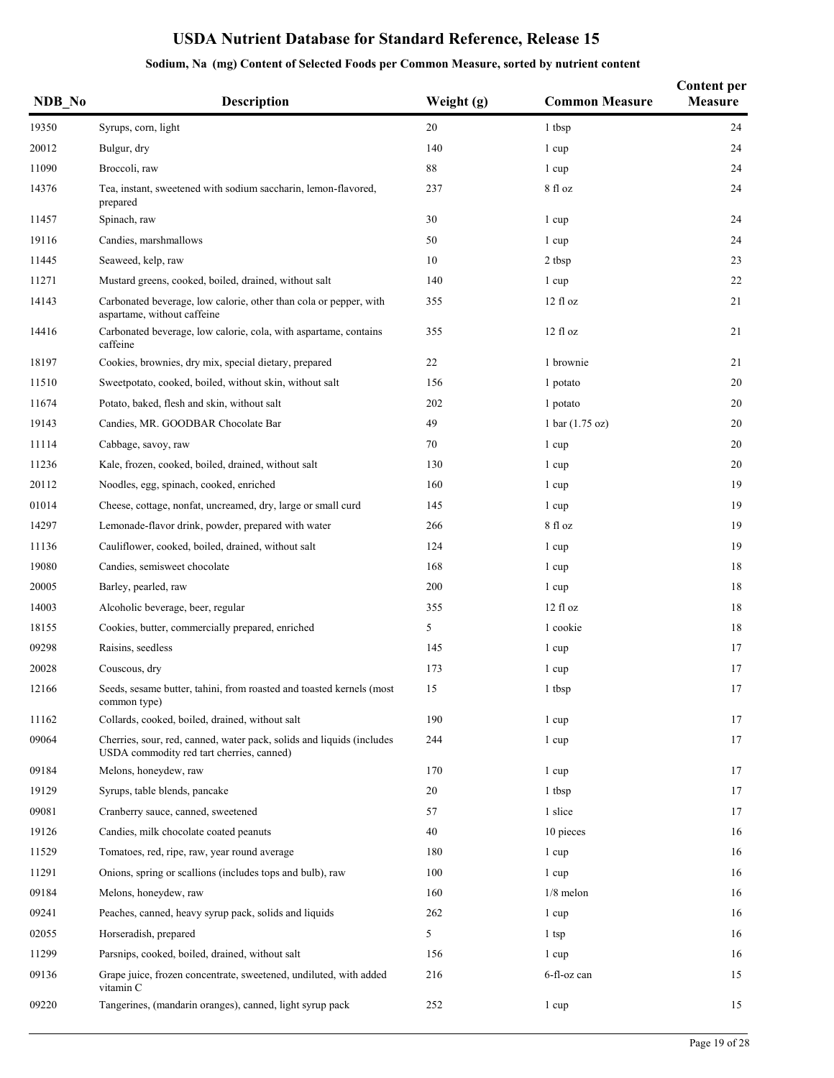| NDB No | <b>Description</b>                                                                                                 | Weight (g) | <b>Common Measure</b>     | <b>Content per</b><br><b>Measure</b> |
|--------|--------------------------------------------------------------------------------------------------------------------|------------|---------------------------|--------------------------------------|
| 19350  | Syrups, corn, light                                                                                                | 20         | 1 tbsp                    | 24                                   |
| 20012  | Bulgur, dry                                                                                                        | 140        | 1 cup                     | 24                                   |
| 11090  | Broccoli, raw                                                                                                      | 88         | 1 cup                     | 24                                   |
| 14376  | Tea, instant, sweetened with sodium saccharin, lemon-flavored,<br>prepared                                         | 237        | 8 fl oz                   | 24                                   |
| 11457  | Spinach, raw                                                                                                       | 30         | 1 cup                     | 24                                   |
| 19116  | Candies, marshmallows                                                                                              | 50         | 1 cup                     | 24                                   |
| 11445  | Seaweed, kelp, raw                                                                                                 | 10         | 2 tbsp                    | 23                                   |
| 11271  | Mustard greens, cooked, boiled, drained, without salt                                                              | 140        | 1 cup                     | 22                                   |
| 14143  | Carbonated beverage, low calorie, other than cola or pepper, with<br>aspartame, without caffeine                   | 355        | 12f1oz                    | 21                                   |
| 14416  | Carbonated beverage, low calorie, cola, with aspartame, contains<br>caffeine                                       | 355        | 12 fl oz                  | 21                                   |
| 18197  | Cookies, brownies, dry mix, special dietary, prepared                                                              | 22         | 1 brownie                 | 21                                   |
| 11510  | Sweetpotato, cooked, boiled, without skin, without salt                                                            | 156        | 1 potato                  | 20                                   |
| 11674  | Potato, baked, flesh and skin, without salt                                                                        | 202        | 1 potato                  | 20                                   |
| 19143  | Candies, MR. GOODBAR Chocolate Bar                                                                                 | 49         | 1 bar $(1.75 \text{ oz})$ | 20                                   |
| 11114  | Cabbage, savoy, raw                                                                                                | 70         | 1 cup                     | 20                                   |
| 11236  | Kale, frozen, cooked, boiled, drained, without salt                                                                | 130        | 1 cup                     | 20                                   |
| 20112  | Noodles, egg, spinach, cooked, enriched                                                                            | 160        | 1 cup                     | 19                                   |
| 01014  | Cheese, cottage, nonfat, uncreamed, dry, large or small curd                                                       | 145        | 1 cup                     | 19                                   |
| 14297  | Lemonade-flavor drink, powder, prepared with water                                                                 | 266        | 8 fl oz                   | 19                                   |
| 11136  | Cauliflower, cooked, boiled, drained, without salt                                                                 | 124        | 1 cup                     | 19                                   |
| 19080  | Candies, semisweet chocolate                                                                                       | 168        | 1 cup                     | 18                                   |
| 20005  | Barley, pearled, raw                                                                                               | 200        | 1 cup                     | 18                                   |
| 14003  | Alcoholic beverage, beer, regular                                                                                  | 355        | 12f1oz                    | 18                                   |
| 18155  | Cookies, butter, commercially prepared, enriched                                                                   | 5          | 1 cookie                  | 18                                   |
| 09298  | Raisins, seedless                                                                                                  | 145        | 1 cup                     | 17                                   |
| 20028  | Couscous, dry                                                                                                      | 173        | 1 cup                     | 17                                   |
| 12166  | Seeds, sesame butter, tahini, from roasted and toasted kernels (most<br>common type)                               | 15         | 1 tbsp                    | $17\,$                               |
| 11162  | Collards, cooked, boiled, drained, without salt                                                                    | 190        | 1 cup                     | 17                                   |
| 09064  | Cherries, sour, red, canned, water pack, solids and liquids (includes<br>USDA commodity red tart cherries, canned) | 244        | 1 cup                     | 17                                   |
| 09184  | Melons, honeydew, raw                                                                                              | 170        | 1 cup                     | 17                                   |
| 19129  | Syrups, table blends, pancake                                                                                      | 20         | 1 tbsp                    | 17                                   |
| 09081  | Cranberry sauce, canned, sweetened                                                                                 | 57         | 1 slice                   | 17                                   |
| 19126  | Candies, milk chocolate coated peanuts                                                                             | 40         | 10 pieces                 | 16                                   |
| 11529  | Tomatoes, red, ripe, raw, year round average                                                                       | 180        | 1 cup                     | 16                                   |
| 11291  | Onions, spring or scallions (includes tops and bulb), raw                                                          | 100        | 1 cup                     | 16                                   |
| 09184  | Melons, honeydew, raw                                                                                              | 160        | $1/8$ melon               | 16                                   |
| 09241  | Peaches, canned, heavy syrup pack, solids and liquids                                                              | 262        | 1 cup                     | 16                                   |
| 02055  | Horseradish, prepared                                                                                              | 5          | 1 tsp                     | 16                                   |
| 11299  | Parsnips, cooked, boiled, drained, without salt                                                                    | 156        | 1 cup                     | 16                                   |
| 09136  | Grape juice, frozen concentrate, sweetened, undiluted, with added<br>vitamin C                                     | 216        | 6-fl-oz can               | 15                                   |
| 09220  | Tangerines, (mandarin oranges), canned, light syrup pack                                                           | 252        | 1 cup                     | 15                                   |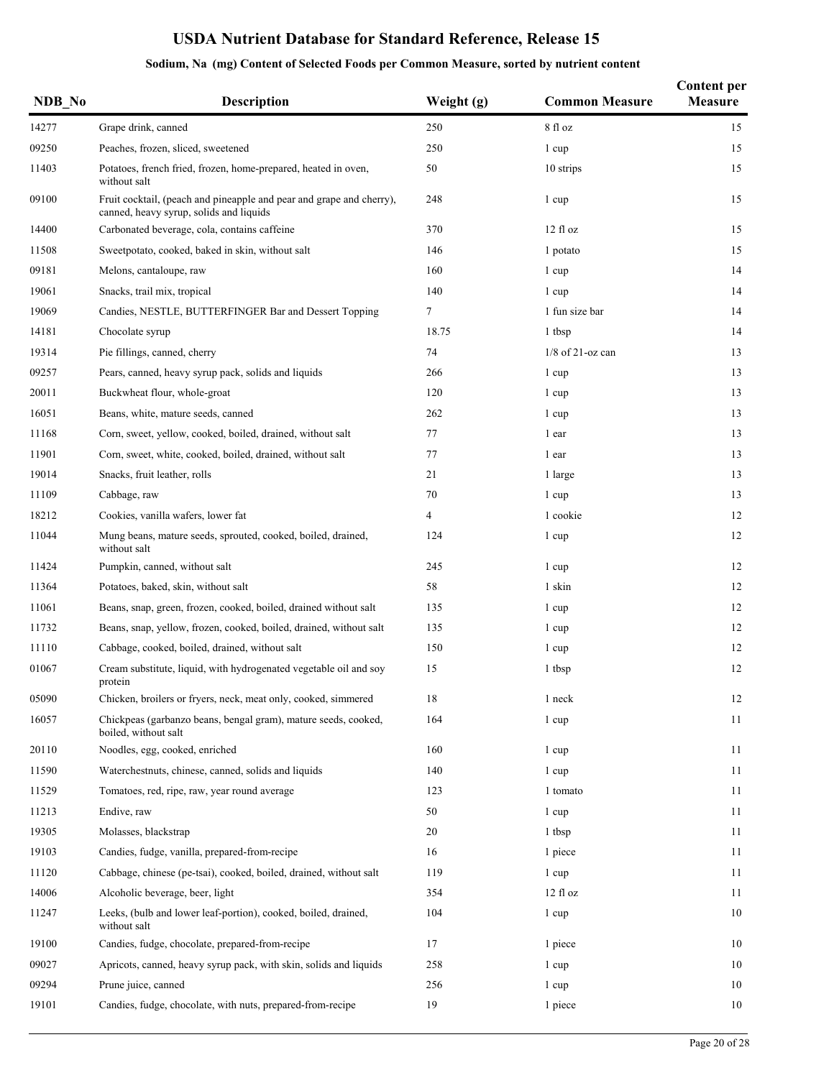|  |  |  |  |  | Sodium, Na (mg) Content of Selected Foods per Common Measure, sorted by nutrient content |
|--|--|--|--|--|------------------------------------------------------------------------------------------|
|--|--|--|--|--|------------------------------------------------------------------------------------------|

| NDB No | <b>Description</b>                                                                                              | Weight (g)     | <b>Common Measure</b> | <b>Content per</b><br><b>Measure</b> |
|--------|-----------------------------------------------------------------------------------------------------------------|----------------|-----------------------|--------------------------------------|
| 14277  | Grape drink, canned                                                                                             | 250            | 8 fl oz               | 15                                   |
| 09250  | Peaches, frozen, sliced, sweetened                                                                              | 250            | 1 cup                 | 15                                   |
| 11403  | Potatoes, french fried, frozen, home-prepared, heated in oven,<br>without salt                                  | 50             | 10 strips             | 15                                   |
| 09100  | Fruit cocktail, (peach and pineapple and pear and grape and cherry),<br>canned, heavy syrup, solids and liquids | 248            | 1 cup                 | 15                                   |
| 14400  | Carbonated beverage, cola, contains caffeine                                                                    | 370            | $12 \text{ fl oz}$    | 15                                   |
| 11508  | Sweetpotato, cooked, baked in skin, without salt                                                                | 146            | 1 potato              | 15                                   |
| 09181  | Melons, cantaloupe, raw                                                                                         | 160            | 1 cup                 | 14                                   |
| 19061  | Snacks, trail mix, tropical                                                                                     | 140            | 1 cup                 | 14                                   |
| 19069  | Candies, NESTLE, BUTTERFINGER Bar and Dessert Topping                                                           | 7              | 1 fun size bar        | 14                                   |
| 14181  | Chocolate syrup                                                                                                 | 18.75          | 1 tbsp                | 14                                   |
| 19314  | Pie fillings, canned, cherry                                                                                    | 74             | $1/8$ of 21-oz can    | 13                                   |
| 09257  | Pears, canned, heavy syrup pack, solids and liquids                                                             | 266            | 1 cup                 | 13                                   |
| 20011  | Buckwheat flour, whole-groat                                                                                    | 120            | 1 cup                 | 13                                   |
| 16051  | Beans, white, mature seeds, canned                                                                              | 262            | 1 cup                 | 13                                   |
| 11168  | Corn, sweet, yellow, cooked, boiled, drained, without salt                                                      | 77             | 1 ear                 | 13                                   |
| 11901  | Corn, sweet, white, cooked, boiled, drained, without salt                                                       | 77             | 1 ear                 | 13                                   |
| 19014  | Snacks, fruit leather, rolls                                                                                    | 21             | 1 large               | 13                                   |
| 11109  | Cabbage, raw                                                                                                    | 70             | 1 cup                 | 13                                   |
| 18212  | Cookies, vanilla wafers, lower fat                                                                              | $\overline{4}$ | 1 cookie              | 12                                   |
| 11044  | Mung beans, mature seeds, sprouted, cooked, boiled, drained,<br>without salt                                    | 124            | 1 cup                 | 12                                   |
| 11424  | Pumpkin, canned, without salt                                                                                   | 245            | 1 cup                 | 12                                   |
| 11364  | Potatoes, baked, skin, without salt                                                                             | 58             | 1 skin                | 12                                   |
| 11061  | Beans, snap, green, frozen, cooked, boiled, drained without salt                                                | 135            | 1 cup                 | 12                                   |
| 11732  | Beans, snap, yellow, frozen, cooked, boiled, drained, without salt                                              | 135            | 1 cup                 | 12                                   |
| 11110  | Cabbage, cooked, boiled, drained, without salt                                                                  | 150            | 1 cup                 | 12                                   |
| 01067  | Cream substitute, liquid, with hydrogenated vegetable oil and soy<br>protein                                    | 15             | 1 tbsp                | 12                                   |
| 05090  | Chicken, broilers or fryers, neck, meat only, cooked, simmered                                                  | 18             | 1 neck                | 12                                   |
| 16057  | Chickpeas (garbanzo beans, bengal gram), mature seeds, cooked,<br>boiled, without salt                          | 164            | 1 cup                 | 11                                   |
| 20110  | Noodles, egg, cooked, enriched                                                                                  | 160            | 1 cup                 | 11                                   |
| 11590  | Waterchestnuts, chinese, canned, solids and liquids                                                             | 140            | 1 cup                 | 11                                   |
| 11529  | Tomatoes, red, ripe, raw, year round average                                                                    | 123            | 1 tomato              | 11                                   |
| 11213  | Endive, raw                                                                                                     | 50             | 1 cup                 | 11                                   |
| 19305  | Molasses, blackstrap                                                                                            | 20             | 1 tbsp                | 11                                   |
| 19103  | Candies, fudge, vanilla, prepared-from-recipe                                                                   | 16             | 1 piece               | 11                                   |
| 11120  | Cabbage, chinese (pe-tsai), cooked, boiled, drained, without salt                                               | 119            | 1 cup                 | 11                                   |
| 14006  | Alcoholic beverage, beer, light                                                                                 | 354            | 12f1oz                | 11                                   |
| 11247  | Leeks, (bulb and lower leaf-portion), cooked, boiled, drained,<br>without salt                                  | 104            | 1 cup                 | 10                                   |
| 19100  | Candies, fudge, chocolate, prepared-from-recipe                                                                 | 17             | 1 piece               | 10                                   |
| 09027  | Apricots, canned, heavy syrup pack, with skin, solids and liquids                                               | 258            | 1 cup                 | 10                                   |
| 09294  | Prune juice, canned                                                                                             | 256            | 1 cup                 | 10                                   |
| 19101  | Candies, fudge, chocolate, with nuts, prepared-from-recipe                                                      | 19             | 1 piece               | 10                                   |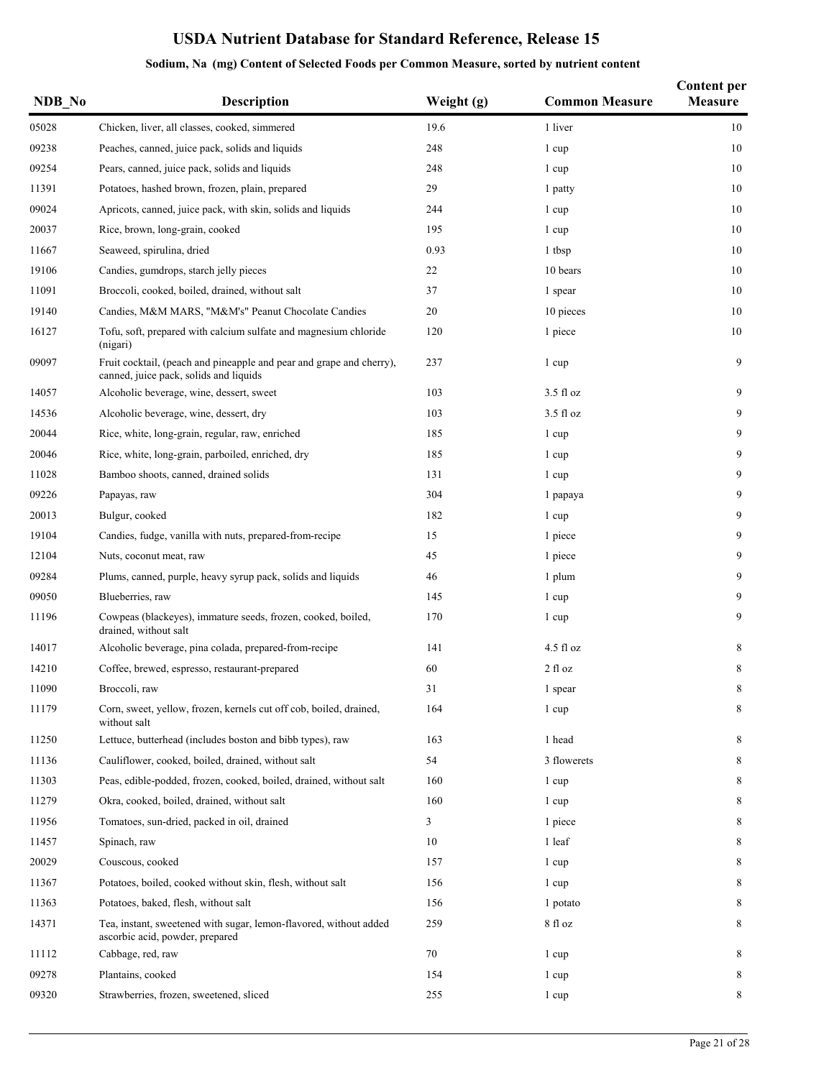| NDB_No | <b>Description</b>                                                                                             | Weight (g) | <b>Common Measure</b> | <b>Content per</b><br>Measure |
|--------|----------------------------------------------------------------------------------------------------------------|------------|-----------------------|-------------------------------|
| 05028  | Chicken, liver, all classes, cooked, simmered                                                                  | 19.6       | 1 liver               | 10                            |
| 09238  | Peaches, canned, juice pack, solids and liquids                                                                | 248        | 1 cup                 | 10                            |
| 09254  | Pears, canned, juice pack, solids and liquids                                                                  | 248        | 1 cup                 | 10                            |
| 11391  | Potatoes, hashed brown, frozen, plain, prepared                                                                | 29         | 1 patty               | 10                            |
| 09024  | Apricots, canned, juice pack, with skin, solids and liquids                                                    | 244        | 1 cup                 | 10                            |
| 20037  | Rice, brown, long-grain, cooked                                                                                | 195        | 1 cup                 | 10                            |
| 11667  | Seaweed, spirulina, dried                                                                                      | 0.93       | 1 tbsp                | 10                            |
| 19106  | Candies, gumdrops, starch jelly pieces                                                                         | 22         | 10 bears              | 10                            |
| 11091  | Broccoli, cooked, boiled, drained, without salt                                                                | 37         | 1 spear               | 10                            |
| 19140  | Candies, M&M MARS, "M&M's" Peanut Chocolate Candies                                                            | 20         | 10 pieces             | 10                            |
| 16127  | Tofu, soft, prepared with calcium sulfate and magnesium chloride<br>(nigari)                                   | 120        | 1 piece               | 10                            |
| 09097  | Fruit cocktail, (peach and pineapple and pear and grape and cherry),<br>canned, juice pack, solids and liquids | 237        | 1 cup                 | 9                             |
| 14057  | Alcoholic beverage, wine, dessert, sweet                                                                       | 103        | $3.5 \text{ fl oz}$   | 9                             |
| 14536  | Alcoholic beverage, wine, dessert, dry                                                                         | 103        | $3.5 \text{ fl oz}$   | 9                             |
| 20044  | Rice, white, long-grain, regular, raw, enriched                                                                | 185        | 1 cup                 | 9                             |
| 20046  | Rice, white, long-grain, parboiled, enriched, dry                                                              | 185        | 1 cup                 | 9                             |
| 11028  | Bamboo shoots, canned, drained solids                                                                          | 131        | 1 cup                 | 9                             |
| 09226  | Papayas, raw                                                                                                   | 304        | 1 papaya              | 9                             |
| 20013  | Bulgur, cooked                                                                                                 | 182        | 1 cup                 | 9                             |
| 19104  | Candies, fudge, vanilla with nuts, prepared-from-recipe                                                        | 15         | 1 piece               | 9                             |
| 12104  | Nuts, coconut meat, raw                                                                                        | 45         | 1 piece               | 9                             |
| 09284  | Plums, canned, purple, heavy syrup pack, solids and liquids                                                    | 46         | 1 plum                | 9                             |
| 09050  | Blueberries, raw                                                                                               | 145        | 1 cup                 | 9                             |
| 11196  | Cowpeas (blackeyes), immature seeds, frozen, cooked, boiled,<br>drained, without salt                          | 170        | 1 cup                 | 9                             |
| 14017  | Alcoholic beverage, pina colada, prepared-from-recipe                                                          | 141        | $4.5$ fl oz           | 8                             |
| 14210  | Coffee, brewed, espresso, restaurant-prepared                                                                  | 60         | $2$ fl oz             | 8                             |
| 11090  | Broccoli, raw                                                                                                  | 31         | 1 spear               | 8                             |
| 11179  | Corn, sweet, yellow, frozen, kernels cut off cob, boiled, drained,<br>without salt                             | 164        | 1 cup                 | 8                             |
| 11250  | Lettuce, butterhead (includes boston and bibb types), raw                                                      | 163        | 1 head                | 8                             |
| 11136  | Cauliflower, cooked, boiled, drained, without salt                                                             | 54         | 3 flowerets           | 8                             |
| 11303  | Peas, edible-podded, frozen, cooked, boiled, drained, without salt                                             | 160        | 1 cup                 | 8                             |
| 11279  | Okra, cooked, boiled, drained, without salt                                                                    | 160        | 1 cup                 | 8                             |
| 11956  | Tomatoes, sun-dried, packed in oil, drained                                                                    | 3          | 1 piece               | 8                             |
| 11457  | Spinach, raw                                                                                                   | 10         | 1 leaf                | 8                             |
| 20029  | Couscous, cooked                                                                                               | 157        | 1 cup                 | 8                             |
| 11367  | Potatoes, boiled, cooked without skin, flesh, without salt                                                     | 156        | 1 cup                 | 8                             |
| 11363  | Potatoes, baked, flesh, without salt                                                                           | 156        | 1 potato              | 8                             |
| 14371  | Tea, instant, sweetened with sugar, lemon-flavored, without added<br>ascorbic acid, powder, prepared           | 259        | 8 fl oz               | 8                             |
| 11112  | Cabbage, red, raw                                                                                              | 70         | 1 cup                 | 8                             |
| 09278  | Plantains, cooked                                                                                              | 154        | 1 cup                 | 8                             |
| 09320  | Strawberries, frozen, sweetened, sliced                                                                        | 255        | 1 cup                 | 8                             |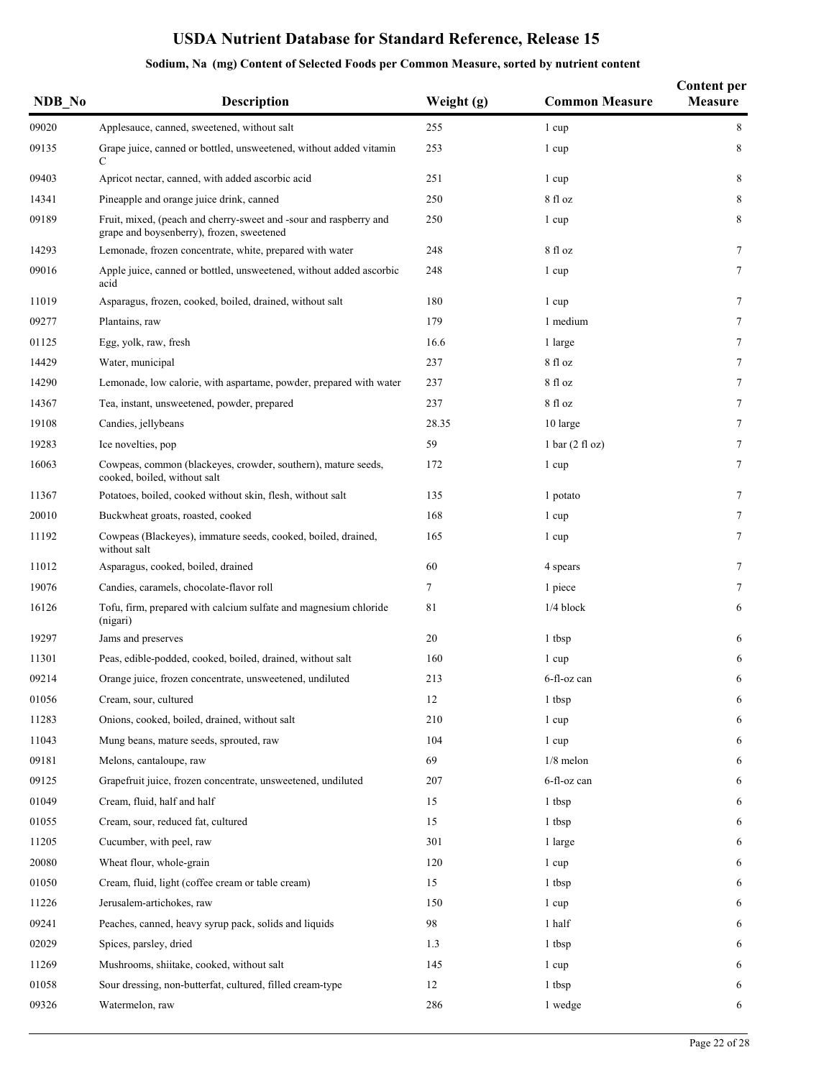| NDB_No | Description                                                                                                    | Weight (g) | <b>Common Measure</b>             | <b>Content per</b><br><b>Measure</b> |
|--------|----------------------------------------------------------------------------------------------------------------|------------|-----------------------------------|--------------------------------------|
| 09020  | Applesauce, canned, sweetened, without salt                                                                    | 255        | 1 cup                             | 8                                    |
| 09135  | Grape juice, canned or bottled, unsweetened, without added vitamin<br>C                                        | 253        | 1 cup                             | 8                                    |
| 09403  | Apricot nectar, canned, with added ascorbic acid                                                               | 251        | 1 cup                             | 8                                    |
| 14341  | Pineapple and orange juice drink, canned                                                                       | 250        | 8 fl oz                           | 8                                    |
| 09189  | Fruit, mixed, (peach and cherry-sweet and -sour and raspberry and<br>grape and boysenberry), frozen, sweetened | 250        | 1 cup                             | 8                                    |
| 14293  | Lemonade, frozen concentrate, white, prepared with water                                                       | 248        | 8 fl oz                           | $\tau$                               |
| 09016  | Apple juice, canned or bottled, unsweetened, without added ascorbic<br>acid                                    | 248        | 1 cup                             | $\tau$                               |
| 11019  | Asparagus, frozen, cooked, boiled, drained, without salt                                                       | 180        | 1 cup                             | 7                                    |
| 09277  | Plantains, raw                                                                                                 | 179        | 1 medium                          | 7                                    |
| 01125  | Egg, yolk, raw, fresh                                                                                          | 16.6       | 1 large                           | 7                                    |
| 14429  | Water, municipal                                                                                               | 237        | 8 fl oz                           | 7                                    |
| 14290  | Lemonade, low calorie, with aspartame, powder, prepared with water                                             | 237        | 8 fl oz                           | 7                                    |
| 14367  | Tea, instant, unsweetened, powder, prepared                                                                    | 237        | 8 fl oz                           | 7                                    |
| 19108  | Candies, jellybeans                                                                                            | 28.35      | 10 large                          | 7                                    |
| 19283  | Ice novelties, pop                                                                                             | 59         | $1 \text{ bar} (2 \text{ fl oz})$ | $\tau$                               |
| 16063  | Cowpeas, common (blackeyes, crowder, southern), mature seeds,<br>cooked, boiled, without salt                  | 172        | 1 cup                             | $\tau$                               |
| 11367  | Potatoes, boiled, cooked without skin, flesh, without salt                                                     | 135        | 1 potato                          | $\tau$                               |
| 20010  | Buckwheat groats, roasted, cooked                                                                              | 168        | 1 cup                             | $\tau$                               |
| 11192  | Cowpeas (Blackeyes), immature seeds, cooked, boiled, drained,<br>without salt                                  | 165        | 1 cup                             | $\tau$                               |
| 11012  | Asparagus, cooked, boiled, drained                                                                             | 60         | 4 spears                          | $\tau$                               |
| 19076  | Candies, caramels, chocolate-flavor roll                                                                       | 7          | 1 piece                           | $\tau$                               |
| 16126  | Tofu, firm, prepared with calcium sulfate and magnesium chloride<br>(nigari)                                   | 81         | $1/4$ block                       | 6                                    |
| 19297  | Jams and preserves                                                                                             | 20         | 1 tbsp                            | 6                                    |
| 11301  | Peas, edible-podded, cooked, boiled, drained, without salt                                                     | 160        | 1 cup                             | 6                                    |
| 09214  | Orange juice, frozen concentrate, unsweetened, undiluted                                                       | 213        | 6-fl-oz can                       | 6                                    |
| 01056  | Cream, sour, cultured                                                                                          | 12         | 1 tbsp                            | 6                                    |
| 11283  | Onions, cooked, boiled, drained, without salt                                                                  | 210        | 1 cup                             | 6                                    |
| 11043  | Mung beans, mature seeds, sprouted, raw                                                                        | 104        | 1 cup                             | 6                                    |
| 09181  | Melons, cantaloupe, raw                                                                                        | 69         | $1/8$ melon                       | 6                                    |
| 09125  | Grapefruit juice, frozen concentrate, unsweetened, undiluted                                                   | 207        | 6-fl-oz can                       | 6                                    |
| 01049  | Cream, fluid, half and half                                                                                    | 15         | 1 tbsp                            | 6                                    |
| 01055  | Cream, sour, reduced fat, cultured                                                                             | 15         | 1 tbsp                            | 6                                    |
| 11205  | Cucumber, with peel, raw                                                                                       | 301        | 1 large                           | 6                                    |
| 20080  | Wheat flour, whole-grain                                                                                       | 120        | 1 cup                             | 6                                    |
| 01050  | Cream, fluid, light (coffee cream or table cream)                                                              | 15         | 1 tbsp                            | 6                                    |
| 11226  | Jerusalem-artichokes, raw                                                                                      | 150        | 1 cup                             | 6                                    |
| 09241  | Peaches, canned, heavy syrup pack, solids and liquids                                                          | 98         | 1 half                            | 6                                    |
| 02029  | Spices, parsley, dried                                                                                         | 1.3        | 1 tbsp                            | 6                                    |
| 11269  | Mushrooms, shiitake, cooked, without salt                                                                      | 145        | 1 cup                             | 6                                    |
| 01058  | Sour dressing, non-butterfat, cultured, filled cream-type                                                      | 12         | 1 tbsp                            | 6                                    |
| 09326  | Watermelon, raw                                                                                                | 286        | 1 wedge                           | 6                                    |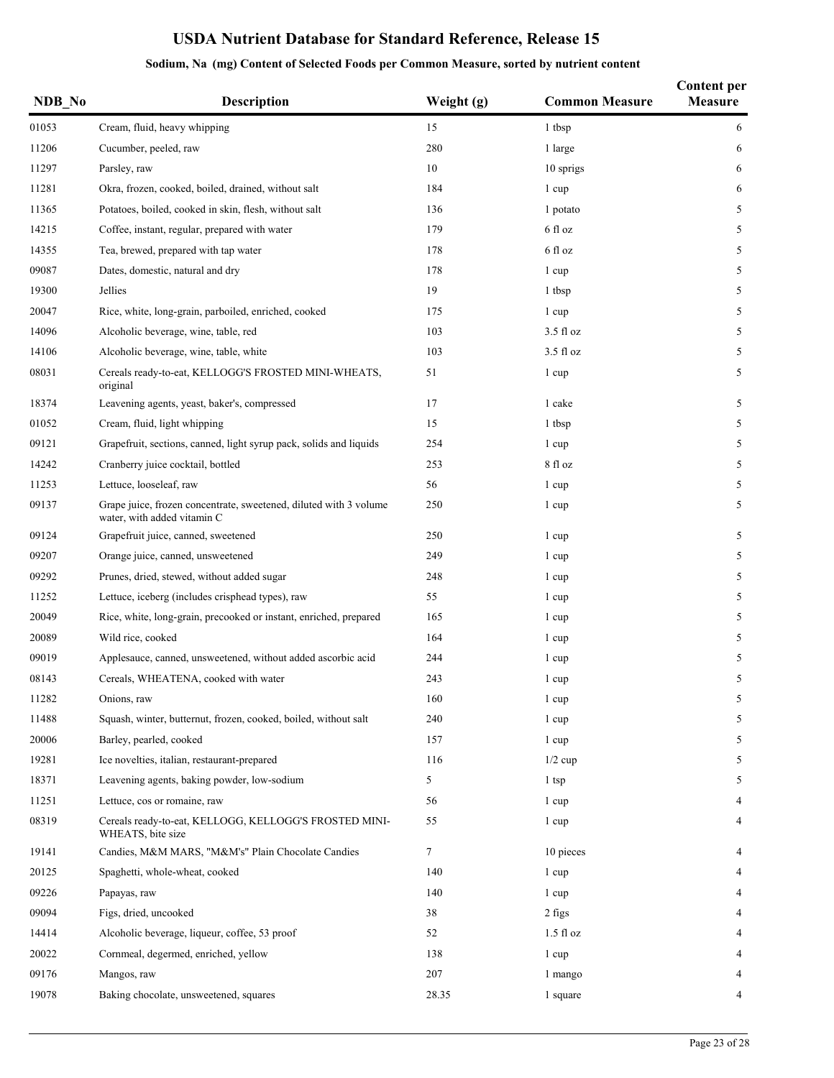| NDB No | Description                                                                                      | Weight (g) | <b>Common Measure</b> | <b>Content per</b><br>Measure |
|--------|--------------------------------------------------------------------------------------------------|------------|-----------------------|-------------------------------|
| 01053  | Cream, fluid, heavy whipping                                                                     | 15         | 1 tbsp                | 6                             |
| 11206  | Cucumber, peeled, raw                                                                            | 280        | 1 large               | 6                             |
| 11297  | Parsley, raw                                                                                     | 10         | 10 sprigs             | 6                             |
| 11281  | Okra, frozen, cooked, boiled, drained, without salt                                              | 184        | 1 cup                 | 6                             |
| 11365  | Potatoes, boiled, cooked in skin, flesh, without salt                                            | 136        | 1 potato              | 5                             |
| 14215  | Coffee, instant, regular, prepared with water                                                    | 179        | 6 fl oz               | 5                             |
| 14355  | Tea, brewed, prepared with tap water                                                             | 178        | 6 fl oz               | 5                             |
| 09087  | Dates, domestic, natural and dry                                                                 | 178        | 1 cup                 | 5                             |
| 19300  | Jellies                                                                                          | 19         | 1 tbsp                | 5                             |
| 20047  | Rice, white, long-grain, parboiled, enriched, cooked                                             | 175        | 1 cup                 | 5                             |
| 14096  | Alcoholic beverage, wine, table, red                                                             | 103        | $3.5 \text{ fl oz}$   | 5                             |
| 14106  | Alcoholic beverage, wine, table, white                                                           | 103        | $3.5 \text{ fl oz}$   | 5                             |
| 08031  | Cereals ready-to-eat, KELLOGG'S FROSTED MINI-WHEATS,<br>original                                 | 51         | 1 cup                 | 5                             |
| 18374  | Leavening agents, yeast, baker's, compressed                                                     | 17         | 1 cake                | 5                             |
| 01052  | Cream, fluid, light whipping                                                                     | 15         | 1 tbsp                | 5                             |
| 09121  | Grapefruit, sections, canned, light syrup pack, solids and liquids                               | 254        | 1 cup                 | 5                             |
| 14242  | Cranberry juice cocktail, bottled                                                                | 253        | 8 fl oz               | 5                             |
| 11253  | Lettuce, looseleaf, raw                                                                          | 56         | 1 cup                 | 5                             |
| 09137  | Grape juice, frozen concentrate, sweetened, diluted with 3 volume<br>water, with added vitamin C | 250        | 1 cup                 | 5                             |
| 09124  | Grapefruit juice, canned, sweetened                                                              | 250        | 1 cup                 | 5                             |
| 09207  | Orange juice, canned, unsweetened                                                                | 249        | 1 cup                 | 5                             |
| 09292  | Prunes, dried, stewed, without added sugar                                                       | 248        | 1 cup                 | 5                             |
| 11252  | Lettuce, iceberg (includes crisphead types), raw                                                 | 55         | 1 cup                 | 5                             |
| 20049  | Rice, white, long-grain, precooked or instant, enriched, prepared                                | 165        | 1 cup                 | 5                             |
| 20089  | Wild rice, cooked                                                                                | 164        | 1 cup                 | 5                             |
| 09019  | Applesauce, canned, unsweetened, without added ascorbic acid                                     | 244        | 1 cup                 | 5                             |
| 08143  | Cereals, WHEATENA, cooked with water                                                             | 243        | 1 cup                 | 5                             |
| 11282  | Onions, raw                                                                                      | 160        | 1 cup                 | 5                             |
| 11488  | Squash, winter, butternut, frozen, cooked, boiled, without salt                                  | 240        | 1 cup                 | 5                             |
| 20006  | Barley, pearled, cooked                                                                          | 157        | 1 cup                 | 5                             |
| 19281  | Ice novelties, italian, restaurant-prepared                                                      | 116        | $1/2$ cup             | 5                             |
| 18371  | Leavening agents, baking powder, low-sodium                                                      | 5          | 1 tsp                 | 5                             |
| 11251  | Lettuce, cos or romaine, raw                                                                     | 56         | 1 cup                 | 4                             |
| 08319  | Cereals ready-to-eat, KELLOGG, KELLOGG'S FROSTED MINI-<br>WHEATS, bite size                      | 55         | 1 cup                 | 4                             |
| 19141  | Candies, M&M MARS, "M&M's" Plain Chocolate Candies                                               | 7          | 10 pieces             | 4                             |
| 20125  | Spaghetti, whole-wheat, cooked                                                                   | 140        | 1 cup                 | 4                             |
| 09226  | Papayas, raw                                                                                     | 140        | 1 cup                 | 4                             |
| 09094  | Figs, dried, uncooked                                                                            | 38         | 2 figs                | 4                             |
| 14414  | Alcoholic beverage, liqueur, coffee, 53 proof                                                    | 52         | $1.5$ fl oz           | 4                             |
| 20022  | Cornmeal, degermed, enriched, yellow                                                             | 138        | 1 cup                 | 4                             |
| 09176  | Mangos, raw                                                                                      | 207        | 1 mango               | 4                             |
| 19078  | Baking chocolate, unsweetened, squares                                                           | 28.35      | 1 square              | 4                             |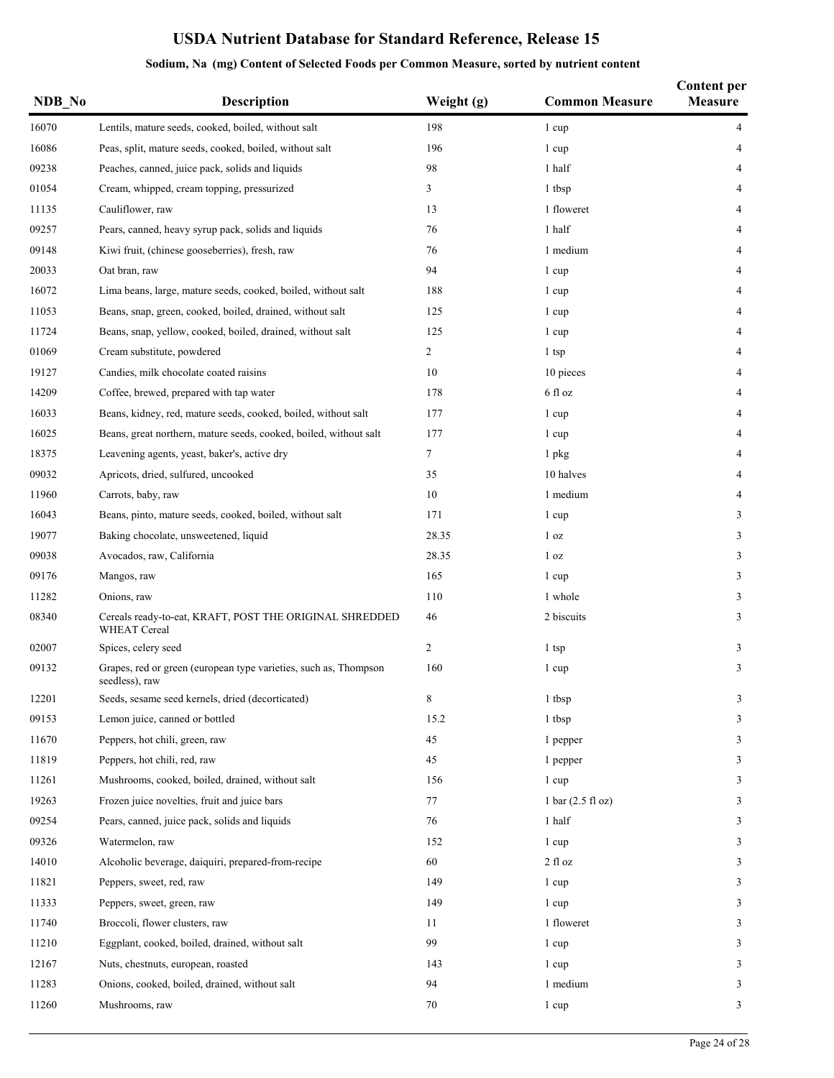| NDB No | Description                                                                        | Weight (g) | <b>Common Measure</b>               | <b>Content per</b><br>Measure |
|--------|------------------------------------------------------------------------------------|------------|-------------------------------------|-------------------------------|
| 16070  | Lentils, mature seeds, cooked, boiled, without salt                                | 198        | 1 cup                               | 4                             |
| 16086  | Peas, split, mature seeds, cooked, boiled, without salt                            | 196        | 1 cup                               | 4                             |
| 09238  | Peaches, canned, juice pack, solids and liquids                                    | 98         | 1 half                              | 4                             |
| 01054  | Cream, whipped, cream topping, pressurized                                         | 3          | 1 tbsp                              | 4                             |
| 11135  | Cauliflower, raw                                                                   | 13         | 1 floweret                          | 4                             |
| 09257  | Pears, canned, heavy syrup pack, solids and liquids                                | 76         | 1 half                              | 4                             |
| 09148  | Kiwi fruit, (chinese gooseberries), fresh, raw                                     | 76         | 1 medium                            | 4                             |
| 20033  | Oat bran, raw                                                                      | 94         | 1 cup                               | 4                             |
| 16072  | Lima beans, large, mature seeds, cooked, boiled, without salt                      | 188        | 1 cup                               | 4                             |
| 11053  | Beans, snap, green, cooked, boiled, drained, without salt                          | 125        | 1 cup                               | 4                             |
| 11724  | Beans, snap, yellow, cooked, boiled, drained, without salt                         | 125        | 1 cup                               | $\overline{4}$                |
| 01069  | Cream substitute, powdered                                                         | 2          | 1 tsp                               | 4                             |
| 19127  | Candies, milk chocolate coated raisins                                             | 10         | 10 pieces                           | 4                             |
| 14209  | Coffee, brewed, prepared with tap water                                            | 178        | 6 fl oz                             | 4                             |
| 16033  | Beans, kidney, red, mature seeds, cooked, boiled, without salt                     | 177        | 1 cup                               | 4                             |
| 16025  | Beans, great northern, mature seeds, cooked, boiled, without salt                  | 177        | 1 cup                               | 4                             |
| 18375  | Leavening agents, yeast, baker's, active dry                                       | $\tau$     | 1 pkg                               | 4                             |
| 09032  | Apricots, dried, sulfured, uncooked                                                | 35         | 10 halves                           | 4                             |
| 11960  | Carrots, baby, raw                                                                 | 10         | 1 medium                            | 4                             |
| 16043  | Beans, pinto, mature seeds, cooked, boiled, without salt                           | 171        | 1 cup                               | 3                             |
| 19077  | Baking chocolate, unsweetened, liquid                                              | 28.35      | 1 <sub>oz</sub>                     | 3                             |
| 09038  | Avocados, raw, California                                                          | 28.35      | 1 <sub>oz</sub>                     | 3                             |
| 09176  | Mangos, raw                                                                        | 165        | 1 cup                               | 3                             |
| 11282  | Onions, raw                                                                        | 110        | 1 whole                             | 3                             |
| 08340  | Cereals ready-to-eat, KRAFT, POST THE ORIGINAL SHREDDED<br><b>WHEAT Cereal</b>     | 46         | 2 biscuits                          | 3                             |
| 02007  | Spices, celery seed                                                                | 2          | 1 tsp                               | 3                             |
| 09132  | Grapes, red or green (european type varieties, such as, Thompson<br>seedless), raw | 160        | 1 cup                               | 3                             |
| 12201  | Seeds, sesame seed kernels, dried (decorticated)                                   | 8          | 1 tbsp                              | 3                             |
| 09153  | Lemon juice, canned or bottled                                                     | 15.2       | 1 tbsp                              | 3                             |
| 11670  | Peppers, hot chili, green, raw                                                     | 45         | 1 pepper                            | 3                             |
| 11819  | Peppers, hot chili, red, raw                                                       | 45         | 1 pepper                            | 3                             |
| 11261  | Mushrooms, cooked, boiled, drained, without salt                                   | 156        | 1 cup                               | 3                             |
| 19263  | Frozen juice novelties, fruit and juice bars                                       | 77         | $1 \text{ bar} (2.5 \text{ fl oz})$ | 3                             |
| 09254  | Pears, canned, juice pack, solids and liquids                                      | 76         | 1 half                              | 3                             |
| 09326  | Watermelon, raw                                                                    | 152        | 1 cup                               | 3                             |
| 14010  | Alcoholic beverage, daiquiri, prepared-from-recipe                                 | 60         | 2 fl oz                             | 3                             |
| 11821  | Peppers, sweet, red, raw                                                           | 149        | 1 cup                               | 3                             |
| 11333  | Peppers, sweet, green, raw                                                         | 149        | 1 cup                               | 3                             |
| 11740  | Broccoli, flower clusters, raw                                                     | 11         | 1 floweret                          | 3                             |
| 11210  | Eggplant, cooked, boiled, drained, without salt                                    | 99         | 1 cup                               | 3                             |
| 12167  | Nuts, chestnuts, european, roasted                                                 | 143        | 1 cup                               | 3                             |
| 11283  | Onions, cooked, boiled, drained, without salt                                      | 94         | 1 medium                            | 3                             |
| 11260  | Mushrooms, raw                                                                     | 70         | 1 cup                               | 3                             |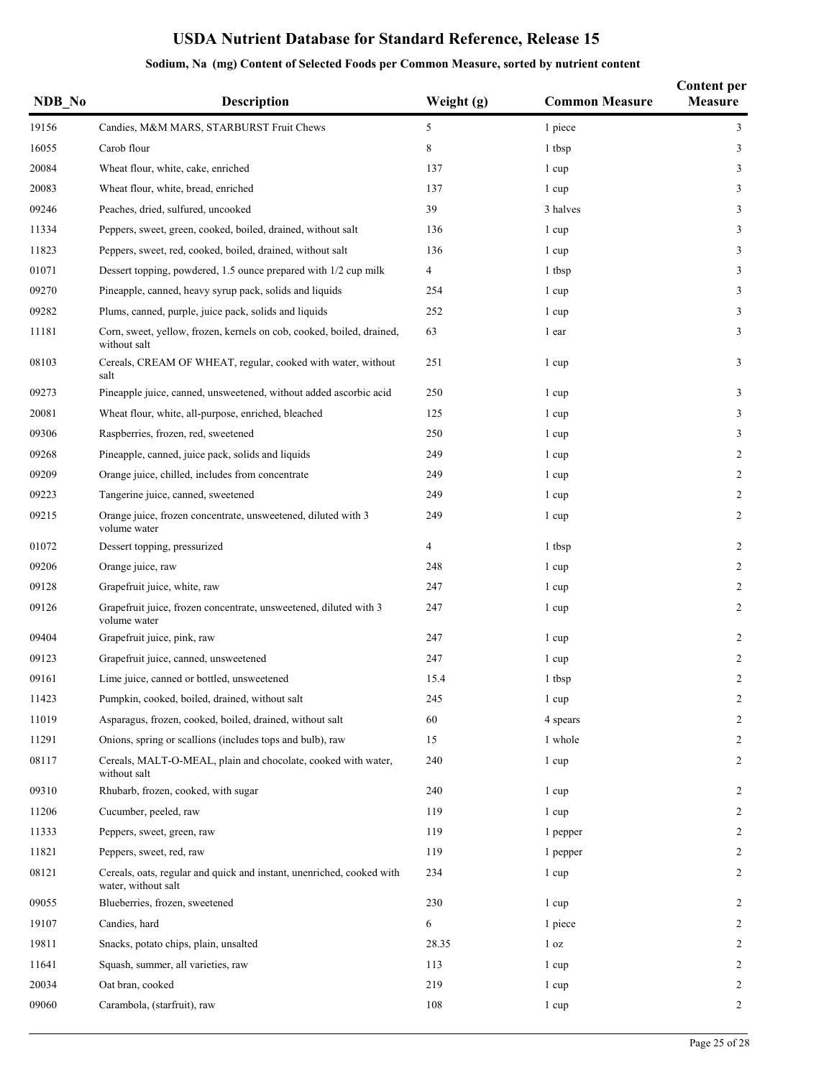| NDB No | <b>Description</b>                                                                           | Weight (g)     | <b>Common Measure</b> | <b>Content per</b><br>Measure |
|--------|----------------------------------------------------------------------------------------------|----------------|-----------------------|-------------------------------|
| 19156  | Candies, M&M MARS, STARBURST Fruit Chews                                                     | 5              | 1 piece               | 3                             |
| 16055  | Carob flour                                                                                  | 8              | 1 tbsp                | 3                             |
| 20084  | Wheat flour, white, cake, enriched                                                           | 137            | 1 cup                 | 3                             |
| 20083  | Wheat flour, white, bread, enriched                                                          | 137            | 1 cup                 | 3                             |
| 09246  | Peaches, dried, sulfured, uncooked                                                           | 39             | 3 halves              | 3                             |
| 11334  | Peppers, sweet, green, cooked, boiled, drained, without salt                                 | 136            | 1 cup                 | 3                             |
| 11823  | Peppers, sweet, red, cooked, boiled, drained, without salt                                   | 136            | 1 cup                 | 3                             |
| 01071  | Dessert topping, powdered, 1.5 ounce prepared with 1/2 cup milk                              | $\overline{4}$ | 1 tbsp                | 3                             |
| 09270  | Pineapple, canned, heavy syrup pack, solids and liquids                                      | 254            | 1 cup                 | 3                             |
| 09282  | Plums, canned, purple, juice pack, solids and liquids                                        | 252            | 1 cup                 | 3                             |
| 11181  | Corn, sweet, yellow, frozen, kernels on cob, cooked, boiled, drained,<br>without salt        | 63             | 1 ear                 | 3                             |
| 08103  | Cereals, CREAM OF WHEAT, regular, cooked with water, without<br>salt                         | 251            | 1 cup                 | 3                             |
| 09273  | Pineapple juice, canned, unsweetened, without added ascorbic acid                            | 250            | 1 cup                 | 3                             |
| 20081  | Wheat flour, white, all-purpose, enriched, bleached                                          | 125            | 1 cup                 | 3                             |
| 09306  | Raspberries, frozen, red, sweetened                                                          | 250            | 1 cup                 | 3                             |
| 09268  | Pineapple, canned, juice pack, solids and liquids                                            | 249            | 1 cup                 | $\overline{c}$                |
| 09209  | Orange juice, chilled, includes from concentrate                                             | 249            | 1 cup                 | $\overline{c}$                |
| 09223  | Tangerine juice, canned, sweetened                                                           | 249            | 1 cup                 | $\overline{c}$                |
| 09215  | Orange juice, frozen concentrate, unsweetened, diluted with 3<br>volume water                | 249            | 1 cup                 | $\overline{2}$                |
| 01072  | Dessert topping, pressurized                                                                 | $\overline{4}$ | 1 tbsp                | $\overline{2}$                |
| 09206  | Orange juice, raw                                                                            | 248            | 1 cup                 | $\overline{2}$                |
| 09128  | Grapefruit juice, white, raw                                                                 | 247            | 1 cup                 | $\overline{c}$                |
| 09126  | Grapefruit juice, frozen concentrate, unsweetened, diluted with 3<br>volume water            | 247            | 1 cup                 | $\overline{c}$                |
| 09404  | Grapefruit juice, pink, raw                                                                  | 247            | 1 cup                 | 2                             |
| 09123  | Grapefruit juice, canned, unsweetened                                                        | 247            | 1 cup                 | $\overline{2}$                |
| 09161  | Lime juice, canned or bottled, unsweetened                                                   | 15.4           | 1 tbsp                | $\overline{c}$                |
| 11423  | Pumpkin, cooked, boiled, drained, without salt                                               | 245            | 1 cup                 | 2                             |
| 11019  | Asparagus, frozen, cooked, boiled, drained, without salt                                     | 60             | 4 spears              | 2                             |
| 11291  | Onions, spring or scallions (includes tops and bulb), raw                                    | 15             | 1 whole               | 2                             |
| 08117  | Cereals, MALT-O-MEAL, plain and chocolate, cooked with water,<br>without salt                | 240            | 1 cup                 | $\overline{c}$                |
| 09310  | Rhubarb, frozen, cooked, with sugar                                                          | 240            | 1 cup                 | $\overline{2}$                |
| 11206  | Cucumber, peeled, raw                                                                        | 119            | 1 cup                 | $\overline{2}$                |
| 11333  | Peppers, sweet, green, raw                                                                   | 119            | 1 pepper              | 2                             |
| 11821  | Peppers, sweet, red, raw                                                                     | 119            | 1 pepper              | $\overline{c}$                |
| 08121  | Cereals, oats, regular and quick and instant, unenriched, cooked with<br>water, without salt | 234            | 1 cup                 | 2                             |
| 09055  | Blueberries, frozen, sweetened                                                               | 230            | 1 cup                 | $\overline{2}$                |
| 19107  | Candies, hard                                                                                | 6              | 1 piece               | $\overline{2}$                |
| 19811  | Snacks, potato chips, plain, unsalted                                                        | 28.35          | 1 <sub>oz</sub>       | $\overline{2}$                |
| 11641  | Squash, summer, all varieties, raw                                                           | 113            | 1 cup                 | 2                             |
| 20034  | Oat bran, cooked                                                                             | 219            | 1 cup                 | 2                             |
| 09060  | Carambola, (starfruit), raw                                                                  | 108            | 1 cup                 | 2                             |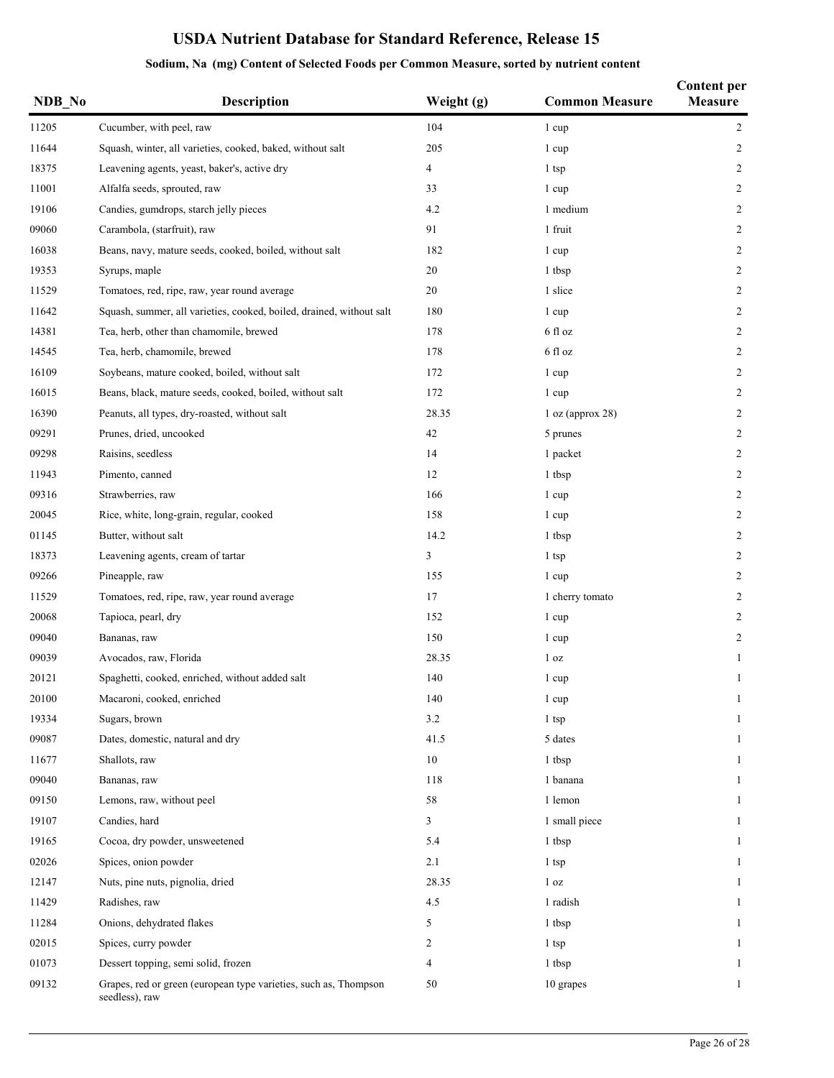| NDB_No | Description                                                                        | Weight (g) | <b>Common Measure</b> | <b>Content per</b><br>Measure |
|--------|------------------------------------------------------------------------------------|------------|-----------------------|-------------------------------|
| 11205  | Cucumber, with peel, raw                                                           | 104        | 1 cup                 | $\overline{2}$                |
| 11644  | Squash, winter, all varieties, cooked, baked, without salt                         | 205        | 1 cup                 | 2                             |
| 18375  | Leavening agents, yeast, baker's, active dry                                       | 4          | 1 tsp                 | $\overline{c}$                |
| 11001  | Alfalfa seeds, sprouted, raw                                                       | 33         | 1 cup                 | 2                             |
| 19106  | Candies, gumdrops, starch jelly pieces                                             | 4.2        | 1 medium              | 2                             |
| 09060  | Carambola, (starfruit), raw                                                        | 91         | 1 fruit               | 2                             |
| 16038  | Beans, navy, mature seeds, cooked, boiled, without salt                            | 182        | 1 cup                 | 2                             |
| 19353  | Syrups, maple                                                                      | 20         | 1 tbsp                | $\overline{c}$                |
| 11529  | Tomatoes, red, ripe, raw, year round average                                       | 20         | 1 slice               | $\overline{c}$                |
| 11642  | Squash, summer, all varieties, cooked, boiled, drained, without salt               | 180        | 1 cup                 | $\overline{c}$                |
| 14381  | Tea, herb, other than chamomile, brewed                                            | 178        | 6 fl oz               | 2                             |
| 14545  | Tea, herb, chamomile, brewed                                                       | 178        | 6 fl oz               | $\overline{c}$                |
| 16109  | Soybeans, mature cooked, boiled, without salt                                      | 172        | 1 cup                 | $\overline{c}$                |
| 16015  | Beans, black, mature seeds, cooked, boiled, without salt                           | 172        | 1 cup                 | $\overline{c}$                |
| 16390  | Peanuts, all types, dry-roasted, without salt                                      | 28.35      | 1 oz (approx 28)      | 2                             |
| 09291  | Prunes, dried, uncooked                                                            | 42         | 5 prunes              | $\overline{c}$                |
| 09298  | Raisins, seedless                                                                  | 14         | 1 packet              | $\overline{c}$                |
| 11943  | Pimento, canned                                                                    | 12         | 1 tbsp                | $\overline{c}$                |
| 09316  | Strawberries, raw                                                                  | 166        | 1 cup                 | $\overline{2}$                |
| 20045  | Rice, white, long-grain, regular, cooked                                           | 158        | 1 cup                 | $\overline{c}$                |
| 01145  | Butter, without salt                                                               | 14.2       | 1 tbsp                | $\overline{c}$                |
| 18373  | Leavening agents, cream of tartar                                                  | 3          | 1 tsp                 | $\overline{c}$                |
| 09266  | Pineapple, raw                                                                     | 155        | 1 cup                 | 2                             |
| 11529  | Tomatoes, red, ripe, raw, year round average                                       | 17         | 1 cherry tomato       | 2                             |
| 20068  | Tapioca, pearl, dry                                                                | 152        | 1 cup                 | 2                             |
| 09040  | Bananas, raw                                                                       | 150        | 1 cup                 | $\overline{c}$                |
| 09039  | Avocados, raw, Florida                                                             | 28.35      | 1 <sub>oz</sub>       | 1                             |
| 20121  | Spaghetti, cooked, enriched, without added salt                                    | 140        | 1 cup                 | 1                             |
| 20100  | Macaroni, cooked, enriched                                                         | 140        | 1 cup                 | 1                             |
| 19334  | Sugars, brown                                                                      | 3.2        | 1 tsp                 | $\mathbf{1}$                  |
| 09087  | Dates, domestic, natural and dry                                                   | 41.5       | 5 dates               | 1                             |
| 11677  | Shallots, raw                                                                      | 10         | 1 tbsp                | 1                             |
| 09040  | Bananas, raw                                                                       | 118        | 1 banana              | 1                             |
| 09150  | Lemons, raw, without peel                                                          | 58         | 1 lemon               | 1                             |
| 19107  | Candies, hard                                                                      | 3          | 1 small piece         | 1                             |
| 19165  | Cocoa, dry powder, unsweetened                                                     | 5.4        | 1 tbsp                | 1                             |
| 02026  | Spices, onion powder                                                               | 2.1        | 1 tsp                 | 1                             |
| 12147  | Nuts, pine nuts, pignolia, dried                                                   | 28.35      | 1 <sub>oz</sub>       | 1                             |
| 11429  | Radishes, raw                                                                      | 4.5        | 1 radish              | 1                             |
| 11284  | Onions, dehydrated flakes                                                          | 5          | 1 tbsp                | 1                             |
| 02015  | Spices, curry powder                                                               | 2          | 1 tsp                 | 1                             |
| 01073  | Dessert topping, semi solid, frozen                                                | 4          | 1 tbsp                | 1                             |
| 09132  | Grapes, red or green (european type varieties, such as, Thompson<br>seedless), raw | 50         | 10 grapes             | $\mathbf{1}$                  |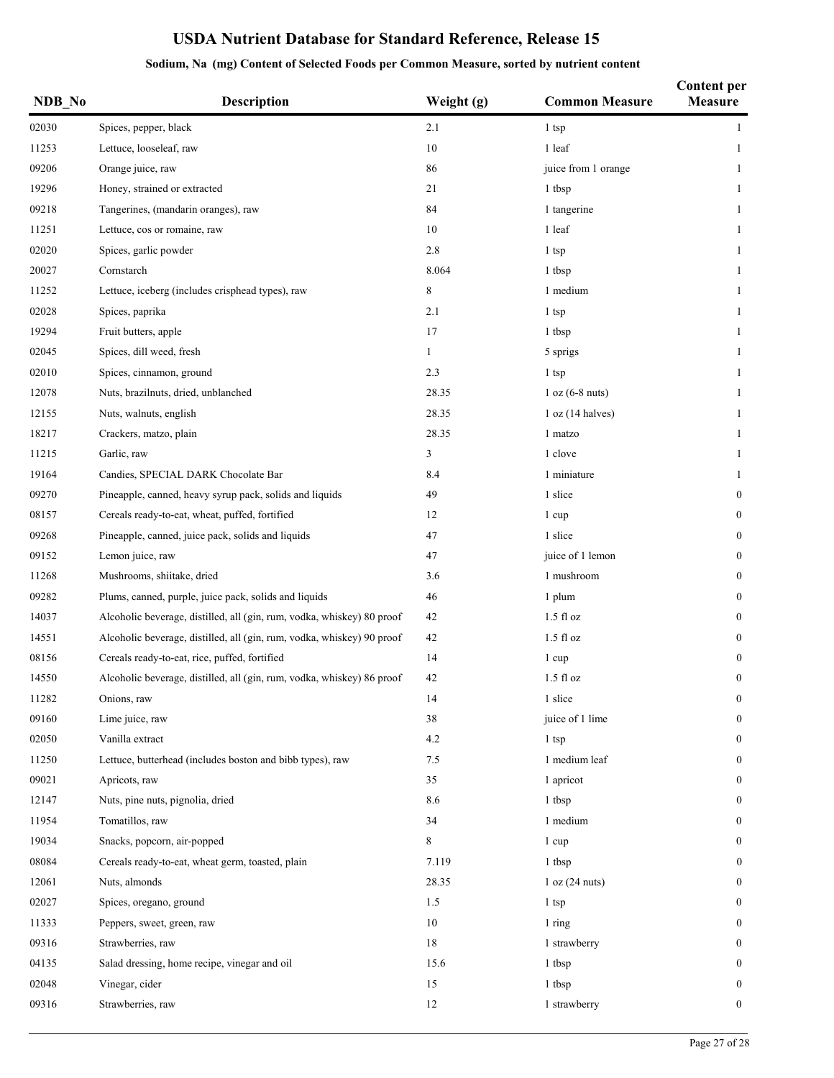| NDB No | Description                                                            | Weight (g) | <b>Common Measure</b> | <b>Content per</b><br><b>Measure</b> |
|--------|------------------------------------------------------------------------|------------|-----------------------|--------------------------------------|
| 02030  | Spices, pepper, black                                                  | 2.1        | $1$ tsp               | $\mathbf{1}$                         |
| 11253  | Lettuce, looseleaf, raw                                                | 10         | 1 leaf                | 1                                    |
| 09206  | Orange juice, raw                                                      | 86         | juice from 1 orange   | 1                                    |
| 19296  | Honey, strained or extracted                                           | 21         | 1 tbsp                | 1                                    |
| 09218  | Tangerines, (mandarin oranges), raw                                    | 84         | 1 tangerine           | 1                                    |
| 11251  | Lettuce, cos or romaine, raw                                           | 10         | 1 leaf                | 1                                    |
| 02020  | Spices, garlic powder                                                  | 2.8        | 1 tsp                 | 1                                    |
| 20027  | Cornstarch                                                             | 8.064      | 1 tbsp                | 1                                    |
| 11252  | Lettuce, iceberg (includes crisphead types), raw                       | 8          | 1 medium              | $\mathbf{1}$                         |
| 02028  | Spices, paprika                                                        | 2.1        | 1 tsp                 | 1                                    |
| 19294  | Fruit butters, apple                                                   | 17         | 1 tbsp                | $\mathbf{1}$                         |
| 02045  | Spices, dill weed, fresh                                               | 1          | 5 sprigs              | 1                                    |
| 02010  | Spices, cinnamon, ground                                               | 2.3        | 1 tsp                 | $\mathbf{1}$                         |
| 12078  | Nuts, brazilnuts, dried, unblanched                                    | 28.35      | $1 oz (6-8 nuts)$     | 1                                    |
| 12155  | Nuts, walnuts, english                                                 | 28.35      | 1 oz (14 halves)      | 1                                    |
| 18217  | Crackers, matzo, plain                                                 | 28.35      | 1 matzo               | 1                                    |
| 11215  | Garlic, raw                                                            | 3          | 1 clove               | 1                                    |
| 19164  | Candies, SPECIAL DARK Chocolate Bar                                    | 8.4        | 1 miniature           | 1                                    |
| 09270  | Pineapple, canned, heavy syrup pack, solids and liquids                | 49         | 1 slice               | $\boldsymbol{0}$                     |
| 08157  | Cereals ready-to-eat, wheat, puffed, fortified                         | 12         | 1 cup                 | $\mathbf{0}$                         |
| 09268  | Pineapple, canned, juice pack, solids and liquids                      | 47         | 1 slice               | $\boldsymbol{0}$                     |
| 09152  | Lemon juice, raw                                                       | 47         | juice of 1 lemon      | $\mathbf{0}$                         |
| 11268  | Mushrooms, shiitake, dried                                             | 3.6        | 1 mushroom            | $\boldsymbol{0}$                     |
| 09282  | Plums, canned, purple, juice pack, solids and liquids                  | 46         | 1 plum                | $\mathbf{0}$                         |
| 14037  | Alcoholic beverage, distilled, all (gin, rum, vodka, whiskey) 80 proof | 42         | $1.5$ fl oz           | $\boldsymbol{0}$                     |
| 14551  | Alcoholic beverage, distilled, all (gin, rum, vodka, whiskey) 90 proof | 42         | $1.5$ fl $oz$         | $\boldsymbol{0}$                     |
| 08156  | Cereals ready-to-eat, rice, puffed, fortified                          | 14         | 1 cup                 | $\boldsymbol{0}$                     |
| 14550  | Alcoholic beverage, distilled, all (gin, rum, vodka, whiskey) 86 proof | 42         | $1.5$ fl oz           | $\boldsymbol{0}$                     |
| 11282  | Onions, raw                                                            | 14         | 1 slice               | $\boldsymbol{0}$                     |
| 09160  | Lime juice, raw                                                        | 38         | juice of 1 lime       | $\mathbf{0}$                         |
| 02050  | Vanilla extract                                                        | 4.2        | $1$ tsp               | $\boldsymbol{0}$                     |
| 11250  | Lettuce, butterhead (includes boston and bibb types), raw              | 7.5        | 1 medium leaf         | $\boldsymbol{0}$                     |
| 09021  | Apricots, raw                                                          | 35         | 1 apricot             | $\boldsymbol{0}$                     |
| 12147  | Nuts, pine nuts, pignolia, dried                                       | 8.6        | 1 tbsp                | $\mathbf{0}$                         |
| 11954  | Tomatillos, raw                                                        | 34         | 1 medium              | $\boldsymbol{0}$                     |
| 19034  | Snacks, popcorn, air-popped                                            | 8          | 1 cup                 | 0                                    |
| 08084  | Cereals ready-to-eat, wheat germ, toasted, plain                       | 7.119      | 1 tbsp                | $\boldsymbol{0}$                     |
| 12061  | Nuts, almonds                                                          | 28.35      | 1 oz (24 nuts)        | 0                                    |
| 02027  | Spices, oregano, ground                                                | 1.5        | 1 tsp                 | $\bf{0}$                             |
| 11333  | Peppers, sweet, green, raw                                             | 10         | 1 ring                | $\bf{0}$                             |
| 09316  | Strawberries, raw                                                      | 18         | 1 strawberry          | $\boldsymbol{0}$                     |
| 04135  | Salad dressing, home recipe, vinegar and oil                           | 15.6       | 1 tbsp                | $\overline{0}$                       |
| 02048  | Vinegar, cider                                                         | 15         | 1 tbsp                | $\bf{0}$                             |
| 09316  | Strawberries, raw                                                      | 12         | 1 strawberry          | $\boldsymbol{0}$                     |
|        |                                                                        |            |                       |                                      |